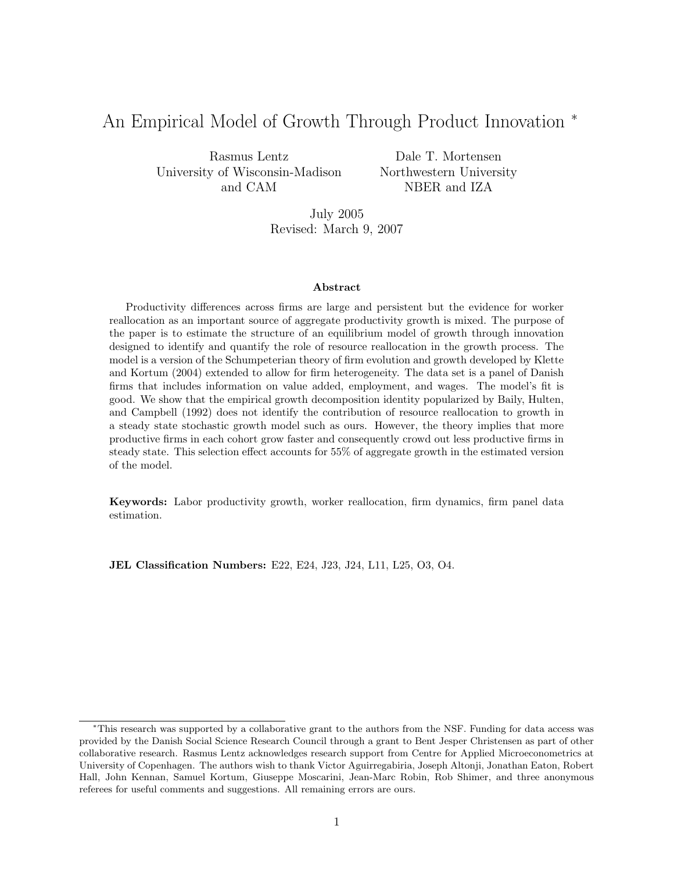# An Empirical Model of Growth Through Product Innovation <sup>∗</sup>

Rasmus Lentz University of Wisconsin-Madison and CAM

Dale T. Mortensen Northwestern University NBER and IZA

July 2005 Revised: March 9, 2007

#### Abstract

Productivity differences across firms are large and persistent but the evidence for worker reallocation as an important source of aggregate productivity growth is mixed. The purpose of the paper is to estimate the structure of an equilibrium model of growth through innovation designed to identify and quantify the role of resource reallocation in the growth process. The model is a version of the Schumpeterian theory of firm evolution and growth developed by Klette and Kortum (2004) extended to allow for firm heterogeneity. The data set is a panel of Danish firms that includes information on value added, employment, and wages. The model's fit is good. We show that the empirical growth decomposition identity popularized by Baily, Hulten, and Campbell (1992) does not identify the contribution of resource reallocation to growth in a steady state stochastic growth model such as ours. However, the theory implies that more productive firms in each cohort grow faster and consequently crowd out less productive firms in steady state. This selection effect accounts for 55% of aggregate growth in the estimated version of the model.

Keywords: Labor productivity growth, worker reallocation, firm dynamics, firm panel data estimation.

JEL Classification Numbers: E22, E24, J23, J24, L11, L25, O3, O4.

<sup>∗</sup>This research was supported by a collaborative grant to the authors from the NSF. Funding for data access was provided by the Danish Social Science Research Council through a grant to Bent Jesper Christensen as part of other collaborative research. Rasmus Lentz acknowledges research support from Centre for Applied Microeconometrics at University of Copenhagen. The authors wish to thank Victor Aguirregabiria, Joseph Altonji, Jonathan Eaton, Robert Hall, John Kennan, Samuel Kortum, Giuseppe Moscarini, Jean-Marc Robin, Rob Shimer, and three anonymous referees for useful comments and suggestions. All remaining errors are ours.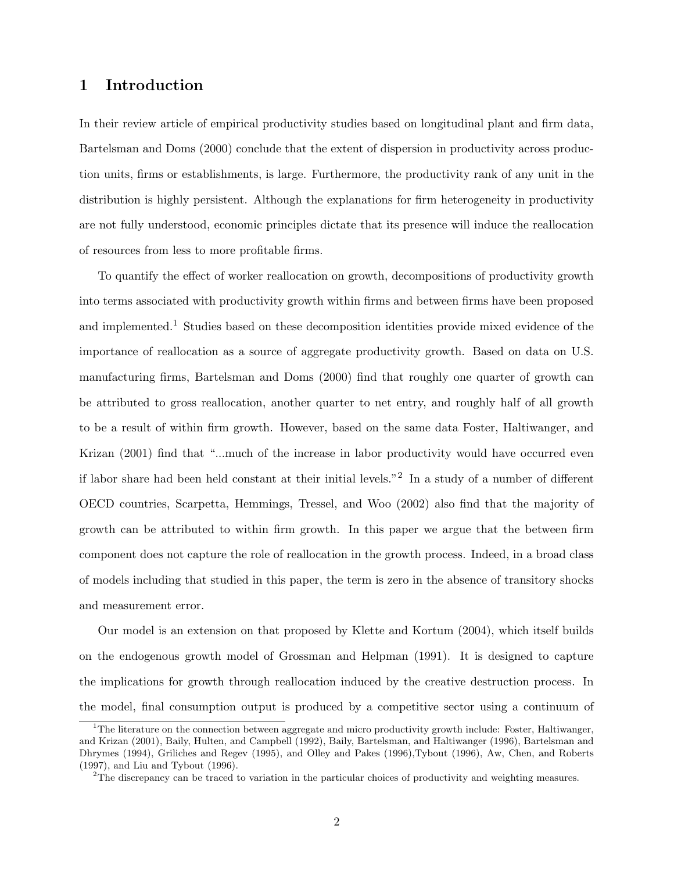## 1 Introduction

In their review article of empirical productivity studies based on longitudinal plant and firm data, Bartelsman and Doms (2000) conclude that the extent of dispersion in productivity across production units, firms or establishments, is large. Furthermore, the productivity rank of any unit in the distribution is highly persistent. Although the explanations for firm heterogeneity in productivity are not fully understood, economic principles dictate that its presence will induce the reallocation of resources from less to more profitable firms.

To quantify the effect of worker reallocation on growth, decompositions of productivity growth into terms associated with productivity growth within firms and between firms have been proposed and implemented.<sup>1</sup> Studies based on these decomposition identities provide mixed evidence of the importance of reallocation as a source of aggregate productivity growth. Based on data on U.S. manufacturing firms, Bartelsman and Doms (2000) find that roughly one quarter of growth can be attributed to gross reallocation, another quarter to net entry, and roughly half of all growth to be a result of within firm growth. However, based on the same data Foster, Haltiwanger, and Krizan (2001) find that "...much of the increase in labor productivity would have occurred even if labor share had been held constant at their initial levels."<sup>2</sup> In a study of a number of different OECD countries, Scarpetta, Hemmings, Tressel, and Woo (2002) also find that the majority of growth can be attributed to within firm growth. In this paper we argue that the between firm component does not capture the role of reallocation in the growth process. Indeed, in a broad class of models including that studied in this paper, the term is zero in the absence of transitory shocks and measurement error.

Our model is an extension on that proposed by Klette and Kortum (2004), which itself builds on the endogenous growth model of Grossman and Helpman (1991). It is designed to capture the implications for growth through reallocation induced by the creative destruction process. In the model, final consumption output is produced by a competitive sector using a continuum of

<sup>&</sup>lt;sup>1</sup>The literature on the connection between aggregate and micro productivity growth include: Foster, Haltiwanger, and Krizan (2001), Baily, Hulten, and Campbell (1992), Baily, Bartelsman, and Haltiwanger (1996), Bartelsman and Dhrymes (1994), Griliches and Regev (1995), and Olley and Pakes (1996),Tybout (1996), Aw, Chen, and Roberts (1997), and Liu and Tybout (1996).

<sup>&</sup>lt;sup>2</sup>The discrepancy can be traced to variation in the particular choices of productivity and weighting measures.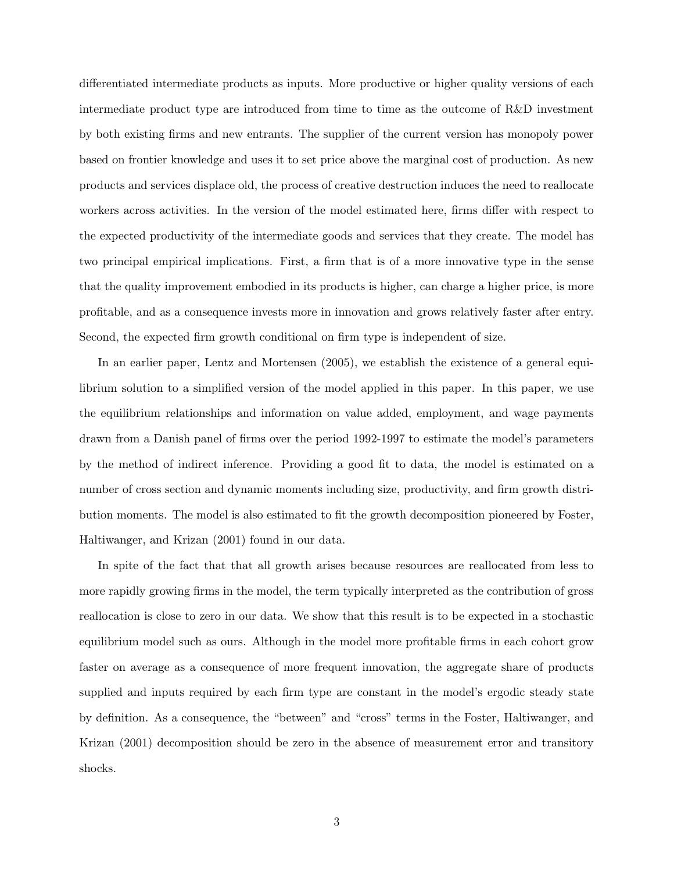differentiated intermediate products as inputs. More productive or higher quality versions of each intermediate product type are introduced from time to time as the outcome of R&D investment by both existing firms and new entrants. The supplier of the current version has monopoly power based on frontier knowledge and uses it to set price above the marginal cost of production. As new products and services displace old, the process of creative destruction induces the need to reallocate workers across activities. In the version of the model estimated here, firms differ with respect to the expected productivity of the intermediate goods and services that they create. The model has two principal empirical implications. First, a firm that is of a more innovative type in the sense that the quality improvement embodied in its products is higher, can charge a higher price, is more profitable, and as a consequence invests more in innovation and grows relatively faster after entry. Second, the expected firm growth conditional on firm type is independent of size.

In an earlier paper, Lentz and Mortensen (2005), we establish the existence of a general equilibrium solution to a simplified version of the model applied in this paper. In this paper, we use the equilibrium relationships and information on value added, employment, and wage payments drawn from a Danish panel of firms over the period 1992-1997 to estimate the model's parameters by the method of indirect inference. Providing a good fit to data, the model is estimated on a number of cross section and dynamic moments including size, productivity, and firm growth distribution moments. The model is also estimated to fit the growth decomposition pioneered by Foster, Haltiwanger, and Krizan (2001) found in our data.

In spite of the fact that that all growth arises because resources are reallocated from less to more rapidly growing firms in the model, the term typically interpreted as the contribution of gross reallocation is close to zero in our data. We show that this result is to be expected in a stochastic equilibrium model such as ours. Although in the model more profitable firms in each cohort grow faster on average as a consequence of more frequent innovation, the aggregate share of products supplied and inputs required by each firm type are constant in the model's ergodic steady state by definition. As a consequence, the "between" and "cross" terms in the Foster, Haltiwanger, and Krizan (2001) decomposition should be zero in the absence of measurement error and transitory shocks.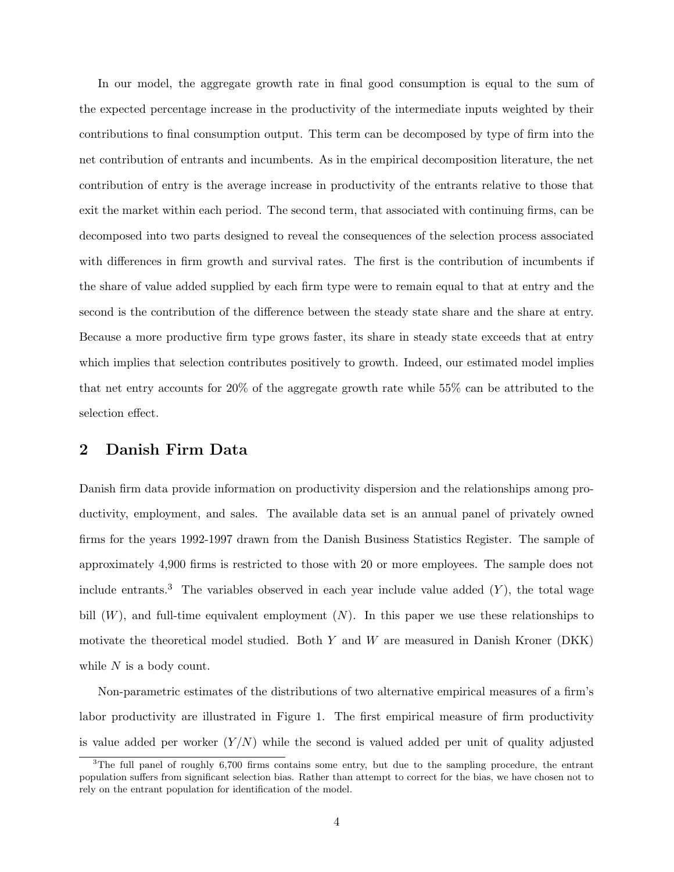In our model, the aggregate growth rate in final good consumption is equal to the sum of the expected percentage increase in the productivity of the intermediate inputs weighted by their contributions to final consumption output. This term can be decomposed by type of firm into the net contribution of entrants and incumbents. As in the empirical decomposition literature, the net contribution of entry is the average increase in productivity of the entrants relative to those that exit the market within each period. The second term, that associated with continuing firms, can be decomposed into two parts designed to reveal the consequences of the selection process associated with differences in firm growth and survival rates. The first is the contribution of incumbents if the share of value added supplied by each firm type were to remain equal to that at entry and the second is the contribution of the difference between the steady state share and the share at entry. Because a more productive firm type grows faster, its share in steady state exceeds that at entry which implies that selection contributes positively to growth. Indeed, our estimated model implies that net entry accounts for 20% of the aggregate growth rate while 55% can be attributed to the selection effect.

# 2 Danish Firm Data

Danish firm data provide information on productivity dispersion and the relationships among productivity, employment, and sales. The available data set is an annual panel of privately owned firms for the years 1992-1997 drawn from the Danish Business Statistics Register. The sample of approximately 4,900 firms is restricted to those with 20 or more employees. The sample does not include entrants.<sup>3</sup> The variables observed in each year include value added  $(Y)$ , the total wage bill  $(W)$ , and full-time equivalent employment  $(N)$ . In this paper we use these relationships to motivate the theoretical model studied. Both  $Y$  and  $W$  are measured in Danish Kroner (DKK) while  $N$  is a body count.

Non-parametric estimates of the distributions of two alternative empirical measures of a firm's labor productivity are illustrated in Figure 1. The first empirical measure of firm productivity is value added per worker  $(Y/N)$  while the second is valued added per unit of quality adjusted

<sup>3</sup>The full panel of roughly 6,700 firms contains some entry, but due to the sampling procedure, the entrant population suffers from significant selection bias. Rather than attempt to correct for the bias, we have chosen not to rely on the entrant population for identification of the model.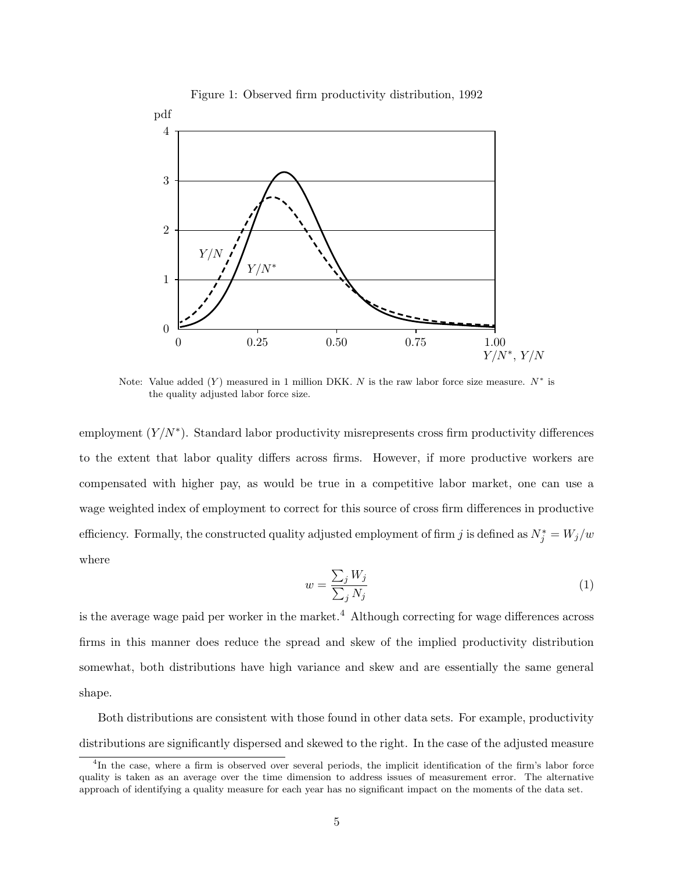

Figure 1: Observed firm productivity distribution, 1992

Note: Value added  $(Y)$  measured in 1 million DKK. N is the raw labor force size measure. N<sup>\*</sup> is the quality adjusted labor force size.

employment  $(Y/N^*)$ . Standard labor productivity misrepresents cross firm productivity differences to the extent that labor quality differs across firms. However, if more productive workers are compensated with higher pay, as would be true in a competitive labor market, one can use a wage weighted index of employment to correct for this source of cross firm differences in productive efficiency. Formally, the constructed quality adjusted employment of firm j is defined as  $N_j^* = W_j/w$ where

$$
w = \frac{\sum_{j} W_{j}}{\sum_{j} N_{j}} \tag{1}
$$

is the average wage paid per worker in the market.<sup>4</sup> Although correcting for wage differences across firms in this manner does reduce the spread and skew of the implied productivity distribution somewhat, both distributions have high variance and skew and are essentially the same general shape.

Both distributions are consistent with those found in other data sets. For example, productivity distributions are significantly dispersed and skewed to the right. In the case of the adjusted measure

<sup>&</sup>lt;sup>4</sup>In the case, where a firm is observed over several periods, the implicit identification of the firm's labor force quality is taken as an average over the time dimension to address issues of measurement error. The alternative approach of identifying a quality measure for each year has no significant impact on the moments of the data set.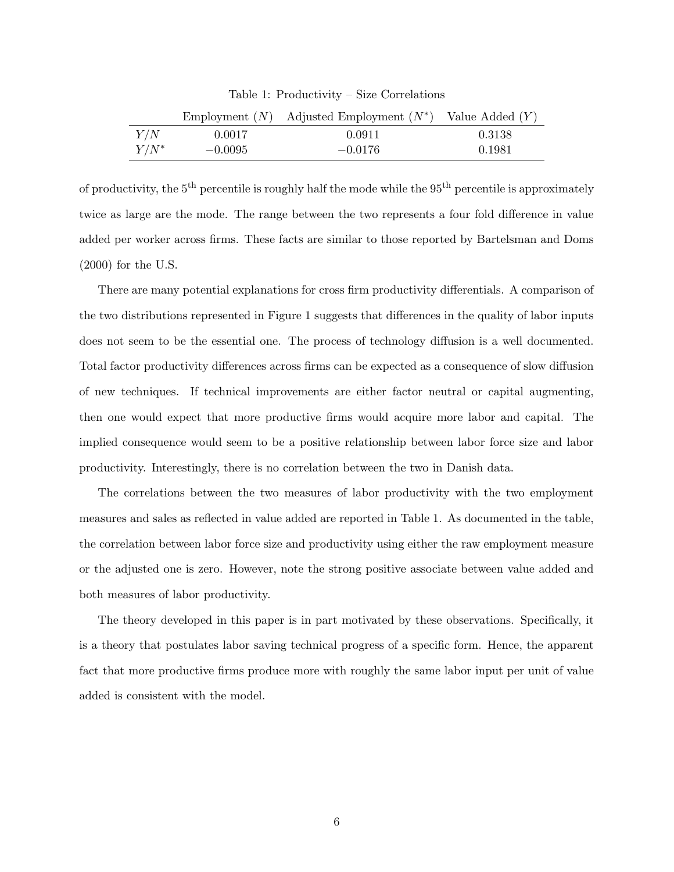|         |           | Employment $(N)$ Adjusted Employment $(N^*)$ Value Added $(Y)$ |        |
|---------|-----------|----------------------------------------------------------------|--------|
| Y/N     | 0.0017    | 0.0911                                                         | 0.3138 |
| $Y/N^*$ | $-0.0095$ | $-0.0176$                                                      | 0.1981 |

Table 1: Productivity – Size Correlations

of productivity, the  $5^{\text{th}}$  percentile is roughly half the mode while the  $95^{\text{th}}$  percentile is approximately twice as large are the mode. The range between the two represents a four fold difference in value added per worker across firms. These facts are similar to those reported by Bartelsman and Doms (2000) for the U.S.

There are many potential explanations for cross firm productivity differentials. A comparison of the two distributions represented in Figure 1 suggests that differences in the quality of labor inputs does not seem to be the essential one. The process of technology diffusion is a well documented. Total factor productivity differences across firms can be expected as a consequence of slow diffusion of new techniques. If technical improvements are either factor neutral or capital augmenting, then one would expect that more productive firms would acquire more labor and capital. The implied consequence would seem to be a positive relationship between labor force size and labor productivity. Interestingly, there is no correlation between the two in Danish data.

The correlations between the two measures of labor productivity with the two employment measures and sales as reflected in value added are reported in Table 1. As documented in the table, the correlation between labor force size and productivity using either the raw employment measure or the adjusted one is zero. However, note the strong positive associate between value added and both measures of labor productivity.

The theory developed in this paper is in part motivated by these observations. Specifically, it is a theory that postulates labor saving technical progress of a specific form. Hence, the apparent fact that more productive firms produce more with roughly the same labor input per unit of value added is consistent with the model.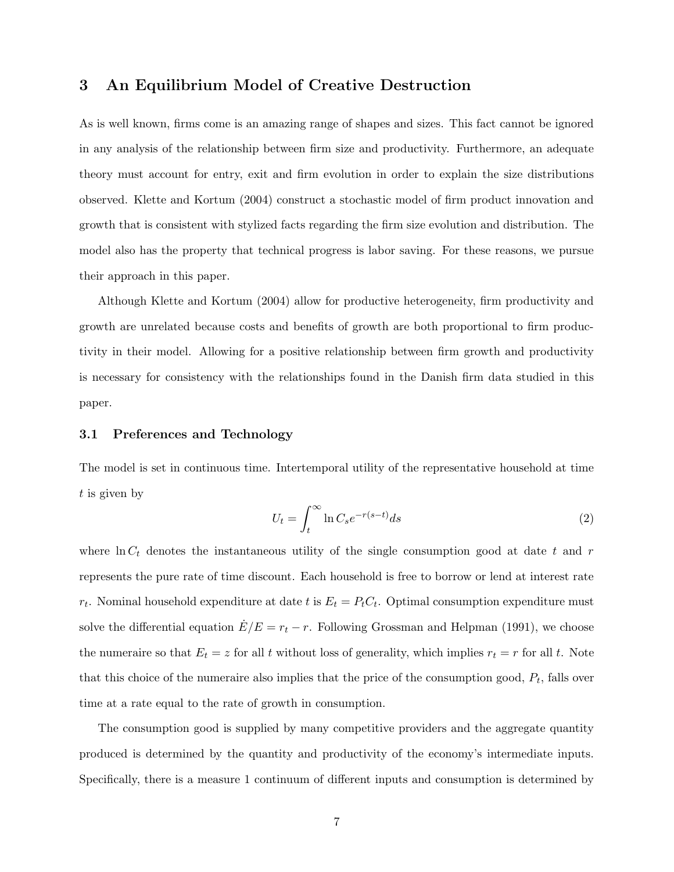# 3 An Equilibrium Model of Creative Destruction

As is well known, firms come is an amazing range of shapes and sizes. This fact cannot be ignored in any analysis of the relationship between firm size and productivity. Furthermore, an adequate theory must account for entry, exit and firm evolution in order to explain the size distributions observed. Klette and Kortum (2004) construct a stochastic model of firm product innovation and growth that is consistent with stylized facts regarding the firm size evolution and distribution. The model also has the property that technical progress is labor saving. For these reasons, we pursue their approach in this paper.

Although Klette and Kortum (2004) allow for productive heterogeneity, firm productivity and growth are unrelated because costs and benefits of growth are both proportional to firm productivity in their model. Allowing for a positive relationship between firm growth and productivity is necessary for consistency with the relationships found in the Danish firm data studied in this paper.

#### 3.1 Preferences and Technology

The model is set in continuous time. Intertemporal utility of the representative household at time t is given by

$$
U_t = \int_t^{\infty} \ln C_s e^{-r(s-t)} ds
$$
 (2)

where  $\ln C_t$  denotes the instantaneous utility of the single consumption good at date t and r represents the pure rate of time discount. Each household is free to borrow or lend at interest rate  $r_t$ . Nominal household expenditure at date t is  $E_t = P_t C_t$ . Optimal consumption expenditure must solve the differential equation  $E/E = r_t - r$ . Following Grossman and Helpman (1991), we choose the numeraire so that  $E_t = z$  for all t without loss of generality, which implies  $r_t = r$  for all t. Note that this choice of the numeraire also implies that the price of the consumption good,  $P_t$ , falls over time at a rate equal to the rate of growth in consumption.

The consumption good is supplied by many competitive providers and the aggregate quantity produced is determined by the quantity and productivity of the economy's intermediate inputs. Specifically, there is a measure 1 continuum of different inputs and consumption is determined by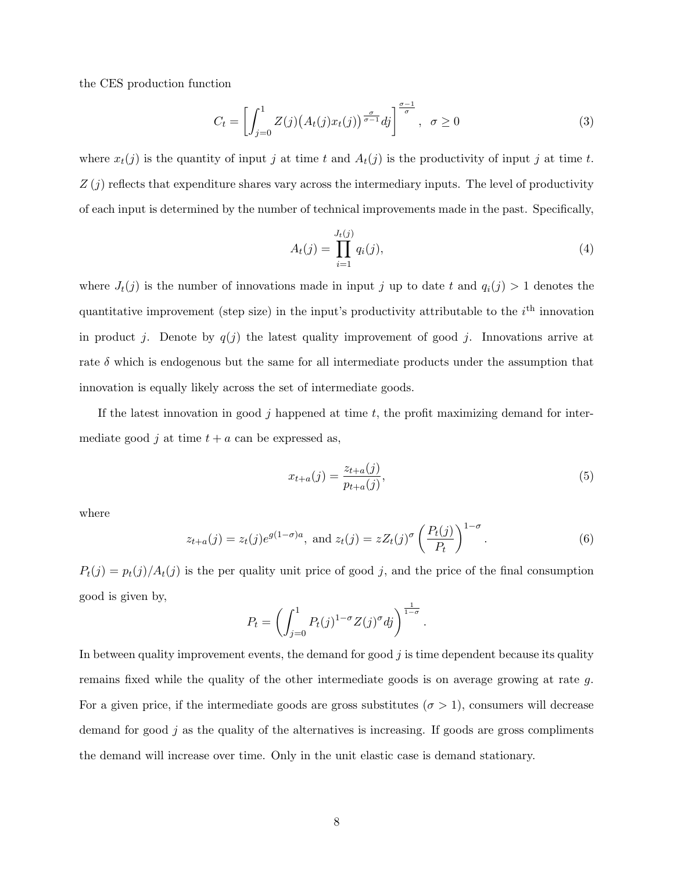the CES production function

$$
C_t = \left[ \int_{j=0}^1 Z(j) \left( A_t(j) x_t(j) \right)^{\frac{\sigma}{\sigma-1}} dy \right]^{\frac{\sigma-1}{\sigma}}, \ \sigma \ge 0 \tag{3}
$$

where  $x_t(j)$  is the quantity of input j at time t and  $A_t(j)$  is the productivity of input j at time t.  $Z(j)$  reflects that expenditure shares vary across the intermediary inputs. The level of productivity of each input is determined by the number of technical improvements made in the past. Specifically,

$$
A_t(j) = \prod_{i=1}^{J_t(j)} q_i(j),
$$
\n(4)

where  $J_t(j)$  is the number of innovations made in input j up to date t and  $q_i(j) > 1$  denotes the quantitative improvement (step size) in the input's productivity attributable to the  $i<sup>th</sup>$  innovation in product j. Denote by  $q(j)$  the latest quality improvement of good j. Innovations arrive at rate  $\delta$  which is endogenous but the same for all intermediate products under the assumption that innovation is equally likely across the set of intermediate goods.

If the latest innovation in good j happened at time t, the profit maximizing demand for intermediate good j at time  $t + a$  can be expressed as,

$$
x_{t+a}(j) = \frac{z_{t+a}(j)}{p_{t+a}(j)},
$$
\n(5)

where

$$
z_{t+a}(j) = z_t(j)e^{g(1-\sigma)a}, \text{ and } z_t(j) = zZ_t(j)^{\sigma} \left(\frac{P_t(j)}{P_t}\right)^{1-\sigma}.
$$
 (6)

 $P_t(j) = p_t(j)/A_t(j)$  is the per quality unit price of good j, and the price of the final consumption good is given by,

$$
P_t = \left(\int_{j=0}^1 P_t(j)^{1-\sigma} Z(j)^{\sigma} dj\right)^{\frac{1}{1-\sigma}}.
$$

In between quality improvement events, the demand for good  $j$  is time dependent because its quality remains fixed while the quality of the other intermediate goods is on average growing at rate g. For a given price, if the intermediate goods are gross substitutes ( $\sigma > 1$ ), consumers will decrease demand for good  $j$  as the quality of the alternatives is increasing. If goods are gross compliments the demand will increase over time. Only in the unit elastic case is demand stationary.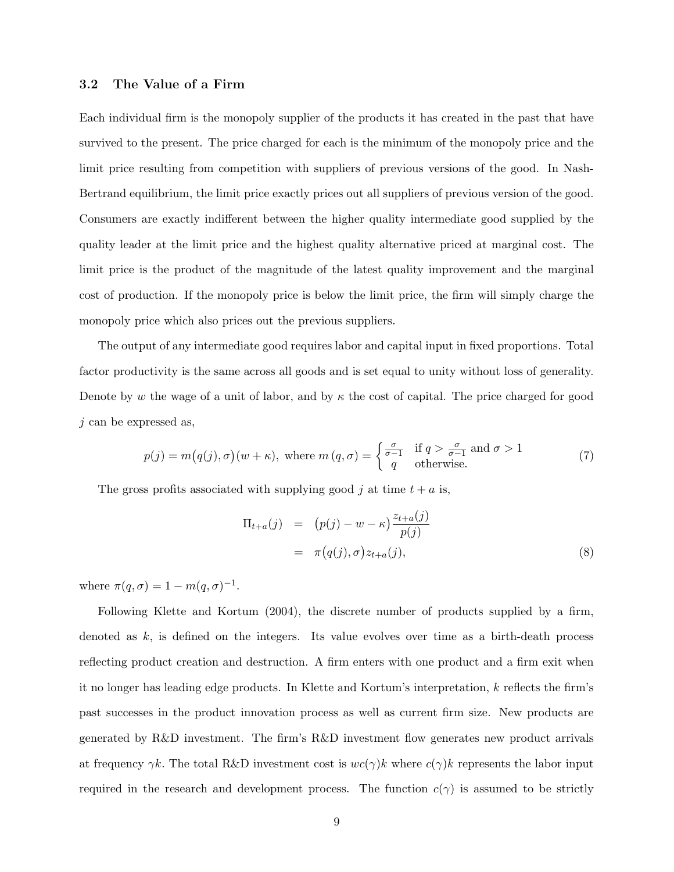## 3.2 The Value of a Firm

Each individual firm is the monopoly supplier of the products it has created in the past that have survived to the present. The price charged for each is the minimum of the monopoly price and the limit price resulting from competition with suppliers of previous versions of the good. In Nash-Bertrand equilibrium, the limit price exactly prices out all suppliers of previous version of the good. Consumers are exactly indifferent between the higher quality intermediate good supplied by the quality leader at the limit price and the highest quality alternative priced at marginal cost. The limit price is the product of the magnitude of the latest quality improvement and the marginal cost of production. If the monopoly price is below the limit price, the firm will simply charge the monopoly price which also prices out the previous suppliers.

The output of any intermediate good requires labor and capital input in fixed proportions. Total factor productivity is the same across all goods and is set equal to unity without loss of generality. Denote by w the wage of a unit of labor, and by  $\kappa$  the cost of capital. The price charged for good  $j$  can be expressed as,

$$
p(j) = m(q(j), \sigma)(w + \kappa), \text{ where } m(q, \sigma) = \begin{cases} \frac{\sigma}{\sigma - 1} & \text{if } q > \frac{\sigma}{\sigma - 1} \text{ and } \sigma > 1\\ q & \text{otherwise.} \end{cases}
$$
 (7)

The gross profits associated with supplying good j at time  $t + a$  is,

$$
\Pi_{t+a}(j) = (p(j) - w - \kappa) \frac{z_{t+a}(j)}{p(j)} \n= \pi(q(j), \sigma) z_{t+a}(j),
$$
\n(8)

where  $\pi(q, \sigma) = 1 - m(q, \sigma)^{-1}$ .

Following Klette and Kortum (2004), the discrete number of products supplied by a firm, denoted as  $k$ , is defined on the integers. Its value evolves over time as a birth-death process reflecting product creation and destruction. A firm enters with one product and a firm exit when it no longer has leading edge products. In Klette and Kortum's interpretation, k reflects the firm's past successes in the product innovation process as well as current firm size. New products are generated by R&D investment. The firm's R&D investment flow generates new product arrivals at frequency  $\gamma k$ . The total R&D investment cost is  $wc(\gamma)k$  where  $c(\gamma)k$  represents the labor input required in the research and development process. The function  $c(\gamma)$  is assumed to be strictly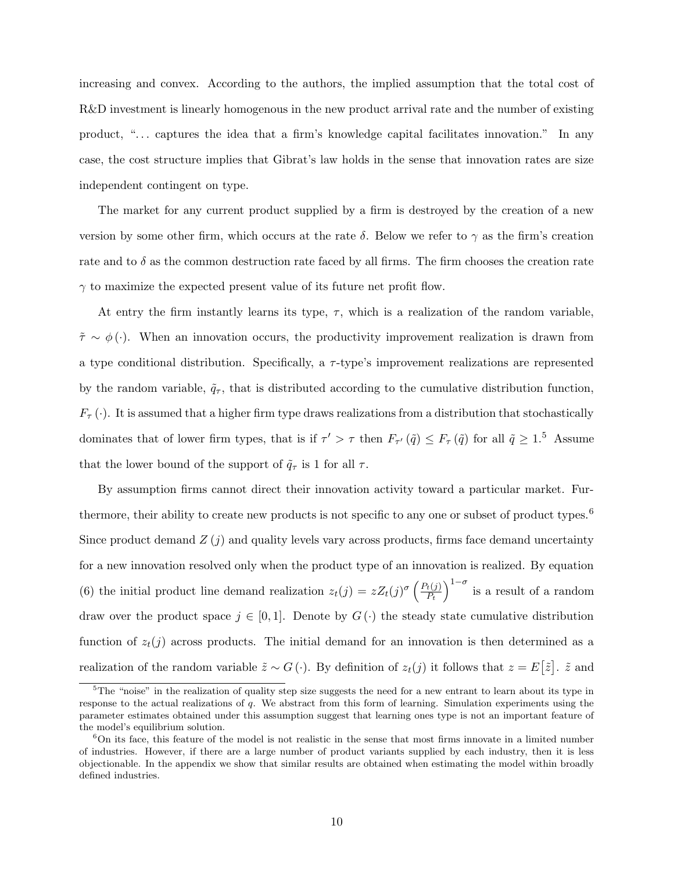increasing and convex. According to the authors, the implied assumption that the total cost of R&D investment is linearly homogenous in the new product arrival rate and the number of existing product, "... captures the idea that a firm's knowledge capital facilitates innovation." In any case, the cost structure implies that Gibrat's law holds in the sense that innovation rates are size independent contingent on type.

The market for any current product supplied by a firm is destroyed by the creation of a new version by some other firm, which occurs at the rate  $\delta$ . Below we refer to  $\gamma$  as the firm's creation rate and to  $\delta$  as the common destruction rate faced by all firms. The firm chooses the creation rate  $\gamma$  to maximize the expected present value of its future net profit flow.

At entry the firm instantly learns its type,  $\tau$ , which is a realization of the random variable,  $\tilde{\tau} \sim \phi(\cdot)$ . When an innovation occurs, the productivity improvement realization is drawn from a type conditional distribution. Specifically, a  $\tau$ -type's improvement realizations are represented by the random variable,  $\tilde{q}_{\tau}$ , that is distributed according to the cumulative distribution function,  $F_{\tau}(\cdot)$ . It is assumed that a higher firm type draws realizations from a distribution that stochastically dominates that of lower firm types, that is if  $\tau' > \tau$  then  $F_{\tau'}(\tilde{q}) \leq F_{\tau}(\tilde{q})$  for all  $\tilde{q} \geq 1.5$  Assume that the lower bound of the support of  $\tilde{q}_{\tau}$  is 1 for all  $\tau$ .

By assumption firms cannot direct their innovation activity toward a particular market. Furthermore, their ability to create new products is not specific to any one or subset of product types.<sup>6</sup> Since product demand  $Z(j)$  and quality levels vary across products, firms face demand uncertainty for a new innovation resolved only when the product type of an innovation is realized. By equation (6) the initial product line demand realization  $z_t(j) = z Z_t(j)^\sigma \left( \frac{P_t(j)}{P_t} \right)$  $\left(\frac{P_t(j)}{P_t}\right)^{1-\sigma}$  is a result of a random draw over the product space  $j \in [0,1]$ . Denote by  $G(\cdot)$  the steady state cumulative distribution function of  $z_t(j)$  across products. The initial demand for an innovation is then determined as a realization of the random variable  $\tilde{z} \sim G(\cdot)$ . By definition of  $z_t(j)$  it follows that  $z = E[\tilde{z}]$ .  $\tilde{z}$  and

<sup>&</sup>lt;sup>5</sup>The "noise" in the realization of quality step size suggests the need for a new entrant to learn about its type in response to the actual realizations of q. We abstract from this form of learning. Simulation experiments using the parameter estimates obtained under this assumption suggest that learning ones type is not an important feature of the model's equilibrium solution.

<sup>6</sup>On its face, this feature of the model is not realistic in the sense that most firms innovate in a limited number of industries. However, if there are a large number of product variants supplied by each industry, then it is less objectionable. In the appendix we show that similar results are obtained when estimating the model within broadly defined industries.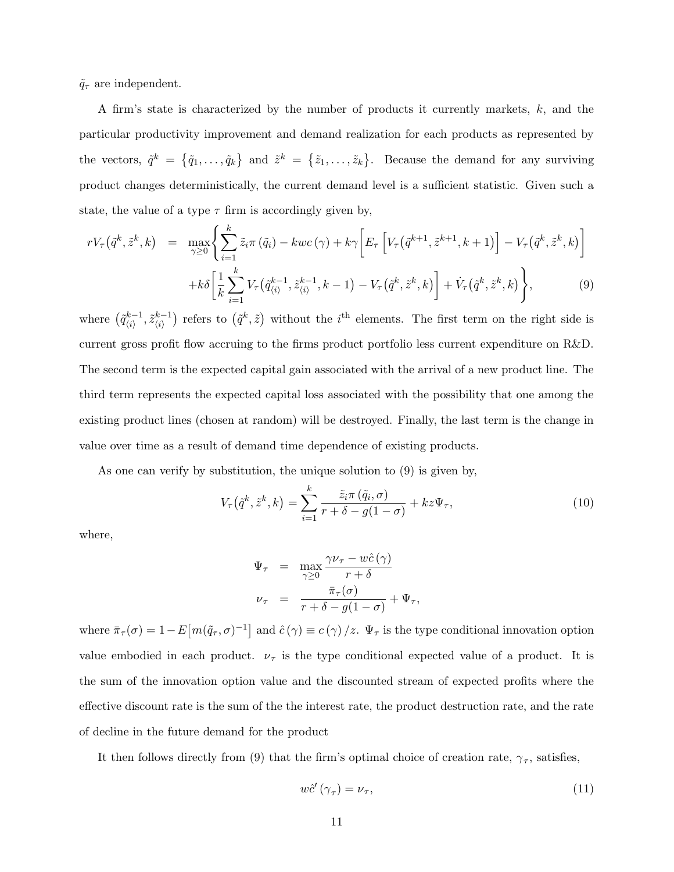$\tilde{q}_{\tau}$  are independent.

A firm's state is characterized by the number of products it currently markets, k, and the particular productivity improvement and demand realization for each products as represented by the vectors,  $\tilde{q}^k = \{\tilde{q}_1, \ldots, \tilde{q}_k\}$  and  $\tilde{z}^k = \{\tilde{z}_1, \ldots, \tilde{z}_k\}$ . Because the demand for any surviving product changes deterministically, the current demand level is a sufficient statistic. Given such a state, the value of a type  $\tau$  firm is accordingly given by,

$$
rV_{\tau}(\tilde{q}^{k}, \tilde{z}^{k}, k) = \max_{\gamma \geq 0} \left\{ \sum_{i=1}^{k} \tilde{z}_{i} \pi(\tilde{q}_{i}) - kwc(\gamma) + k\gamma \left[ E_{\tau} \left[ V_{\tau}(\tilde{q}^{k+1}, \tilde{z}^{k+1}, k+1) \right] - V_{\tau}(\tilde{q}^{k}, \tilde{z}^{k}, k) \right] \right. \\ \left. + k\delta \left[ \frac{1}{k} \sum_{i=1}^{k} V_{\tau}(\tilde{q}_{\langle i \rangle}^{k-1}, \tilde{z}_{\langle i \rangle}^{k-1}, k-1) - V_{\tau}(\tilde{q}^{k}, \tilde{z}^{k}, k) \right] + \dot{V}_{\tau}(\tilde{q}^{k}, \tilde{z}^{k}, k) \right\}, \tag{9}
$$

where  $(\tilde{q}_{ij}^{k-1})$  $\begin{array}{c} \langle k{-}1\ \langle i\rangle \end{array} , \tilde{z}_{\langle i\rangle}^{k{-}1}$  $\binom{k-1}{\langle i \rangle}$  refers to  $(\tilde{q}^k, \tilde{z})$  without the *i*<sup>th</sup> elements. The first term on the right side is current gross profit flow accruing to the firms product portfolio less current expenditure on R&D. The second term is the expected capital gain associated with the arrival of a new product line. The third term represents the expected capital loss associated with the possibility that one among the existing product lines (chosen at random) will be destroyed. Finally, the last term is the change in value over time as a result of demand time dependence of existing products.

As one can verify by substitution, the unique solution to (9) is given by,

$$
V_{\tau}(\tilde{q}^k, \tilde{z}^k, k) = \sum_{i=1}^k \frac{\tilde{z}_i \pi(\tilde{q}_i, \sigma)}{r + \delta - g(1 - \sigma)} + kz \Psi_{\tau},
$$
\n(10)

where,

$$
\Psi_{\tau} = \max_{\gamma \ge 0} \frac{\gamma \nu_{\tau} - w\hat{c}(\gamma)}{r + \delta}
$$

$$
\nu_{\tau} = \frac{\bar{\pi}_{\tau}(\sigma)}{r + \delta - g(1 - \sigma)} + \Psi_{\tau},
$$

where  $\bar{\pi}_{\tau}(\sigma) = 1 - E\big[m(\tilde{q}_{\tau}, \sigma)^{-1}\big]$  and  $\hat{c}(\gamma) \equiv c(\gamma)/z$ .  $\Psi_{\tau}$  is the type conditional innovation option value embodied in each product.  $\nu_{\tau}$  is the type conditional expected value of a product. It is the sum of the innovation option value and the discounted stream of expected profits where the effective discount rate is the sum of the the interest rate, the product destruction rate, and the rate of decline in the future demand for the product

It then follows directly from (9) that the firm's optimal choice of creation rate,  $\gamma_{\tau}$ , satisfies,

$$
w\hat{c}'\left(\gamma_{\tau}\right) = \nu_{\tau},\tag{11}
$$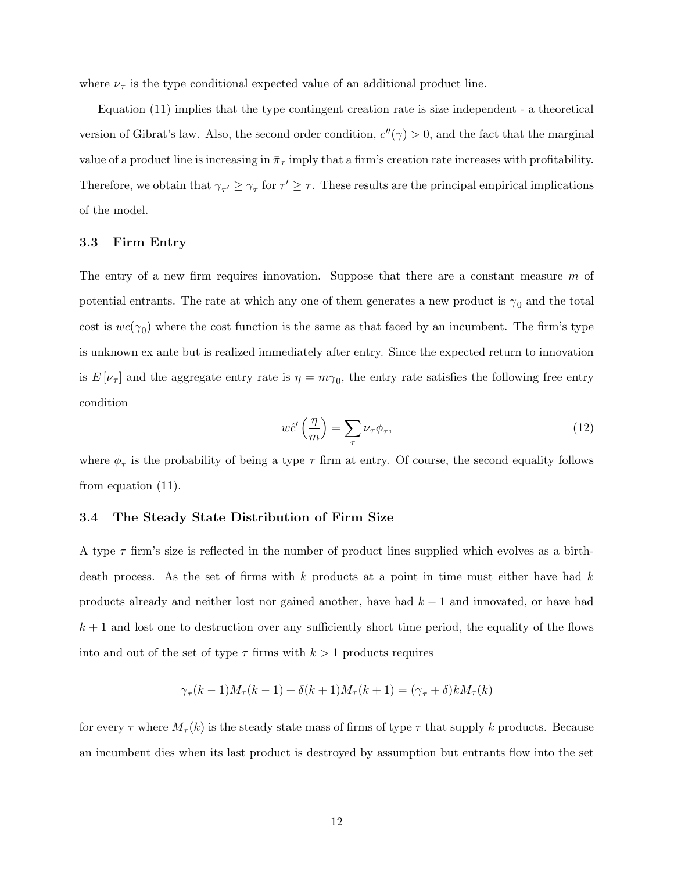where  $\nu_{\tau}$  is the type conditional expected value of an additional product line.

Equation (11) implies that the type contingent creation rate is size independent - a theoretical version of Gibrat's law. Also, the second order condition,  $c''(\gamma) > 0$ , and the fact that the marginal value of a product line is increasing in  $\bar{\pi}_{\tau}$  imply that a firm's creation rate increases with profitability. Therefore, we obtain that  $\gamma_{\tau'} \geq \gamma_{\tau}$  for  $\tau' \geq \tau$ . These results are the principal empirical implications of the model.

## 3.3 Firm Entry

The entry of a new firm requires innovation. Suppose that there are a constant measure m of potential entrants. The rate at which any one of them generates a new product is  $\gamma_0$  and the total cost is  $wc(\gamma_0)$  where the cost function is the same as that faced by an incumbent. The firm's type is unknown ex ante but is realized immediately after entry. Since the expected return to innovation is  $E[\nu_{\tau}]$  and the aggregate entry rate is  $\eta = m\gamma_0$ , the entry rate satisfies the following free entry condition

$$
w\hat{c}'\left(\frac{\eta}{m}\right) = \sum_{\tau} \nu_{\tau} \phi_{\tau},\tag{12}
$$

where  $\phi_{\tau}$  is the probability of being a type  $\tau$  firm at entry. Of course, the second equality follows from equation (11).

## 3.4 The Steady State Distribution of Firm Size

A type  $\tau$  firm's size is reflected in the number of product lines supplied which evolves as a birthdeath process. As the set of firms with  $k$  products at a point in time must either have had  $k$ products already and neither lost nor gained another, have had  $k-1$  and innovated, or have had  $k+1$  and lost one to destruction over any sufficiently short time period, the equality of the flows into and out of the set of type  $\tau$  firms with  $k > 1$  products requires

$$
\gamma_{\tau}(k-1)M_{\tau}(k-1) + \delta(k+1)M_{\tau}(k+1) = (\gamma_{\tau} + \delta)kM_{\tau}(k)
$$

for every  $\tau$  where  $M_{\tau}(k)$  is the steady state mass of firms of type  $\tau$  that supply k products. Because an incumbent dies when its last product is destroyed by assumption but entrants flow into the set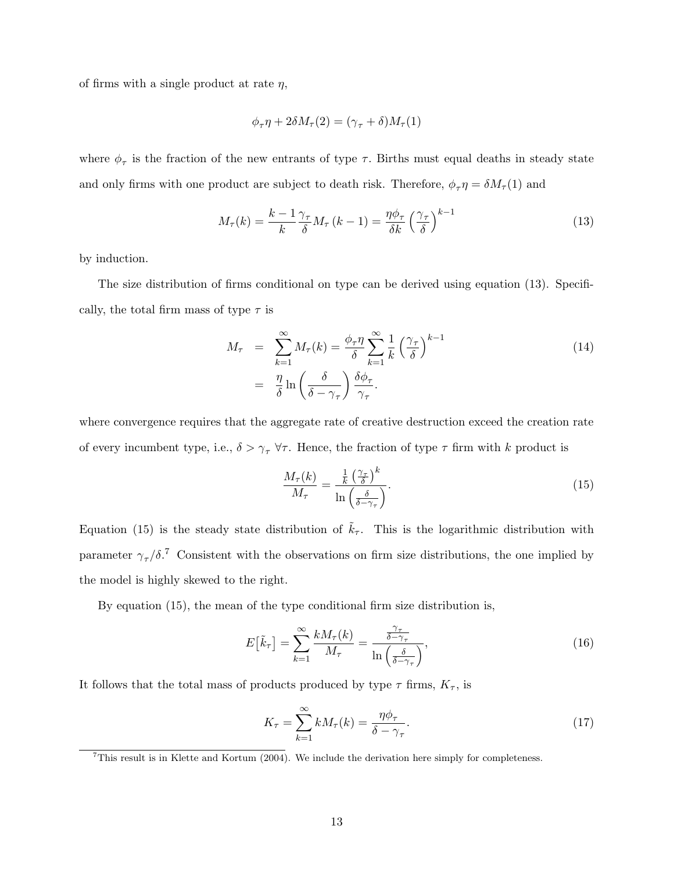of firms with a single product at rate  $\eta$ ,

$$
\phi_{\tau}\eta + 2\delta M_{\tau}(2) = (\gamma_{\tau} + \delta)M_{\tau}(1)
$$

where  $\phi_{\tau}$  is the fraction of the new entrants of type  $\tau$ . Births must equal deaths in steady state and only firms with one product are subject to death risk. Therefore,  $\phi_{\tau} \eta = \delta M_{\tau}(1)$  and

$$
M_{\tau}(k) = \frac{k-1}{k} \frac{\gamma_{\tau}}{\delta} M_{\tau} (k-1) = \frac{\eta \phi_{\tau}}{\delta k} \left(\frac{\gamma_{\tau}}{\delta}\right)^{k-1}
$$
(13)

by induction.

The size distribution of firms conditional on type can be derived using equation (13). Specifically, the total firm mass of type  $\tau$  is

$$
M_{\tau} = \sum_{k=1}^{\infty} M_{\tau}(k) = \frac{\phi_{\tau} \eta}{\delta} \sum_{k=1}^{\infty} \frac{1}{k} \left(\frac{\gamma_{\tau}}{\delta}\right)^{k-1}
$$
  

$$
= \frac{\eta}{\delta} \ln \left(\frac{\delta}{\delta - \gamma_{\tau}}\right) \frac{\delta \phi_{\tau}}{\gamma_{\tau}}.
$$
 (14)

where convergence requires that the aggregate rate of creative destruction exceed the creation rate of every incumbent type, i.e.,  $\delta > \gamma_{\tau} \ \forall \tau$ . Hence, the fraction of type  $\tau$  firm with k product is

$$
\frac{M_{\tau}(k)}{M_{\tau}} = \frac{\frac{1}{k} \left(\frac{\gamma_{\tau}}{\delta}\right)^k}{\ln\left(\frac{\delta}{\delta - \gamma_{\tau}}\right)}.
$$
\n(15)

Equation (15) is the steady state distribution of  $\tilde{k}_{\tau}$ . This is the logarithmic distribution with parameter  $\gamma_{\tau}/\delta$ .<sup>7</sup> Consistent with the observations on firm size distributions, the one implied by the model is highly skewed to the right.

By equation (15), the mean of the type conditional firm size distribution is,

$$
E\left[\tilde{k}_{\tau}\right] = \sum_{k=1}^{\infty} \frac{k M_{\tau}(k)}{M_{\tau}} = \frac{\frac{\gamma_{\tau}}{\delta - \gamma_{\tau}}}{\ln\left(\frac{\delta}{\delta - \gamma_{\tau}}\right)},\tag{16}
$$

It follows that the total mass of products produced by type  $\tau$  firms,  $K_{\tau},$  is

$$
K_{\tau} = \sum_{k=1}^{\infty} k M_{\tau}(k) = \frac{\eta \phi_{\tau}}{\delta - \gamma_{\tau}}.
$$
\n(17)

 $7$ This result is in Klette and Kortum (2004). We include the derivation here simply for completeness.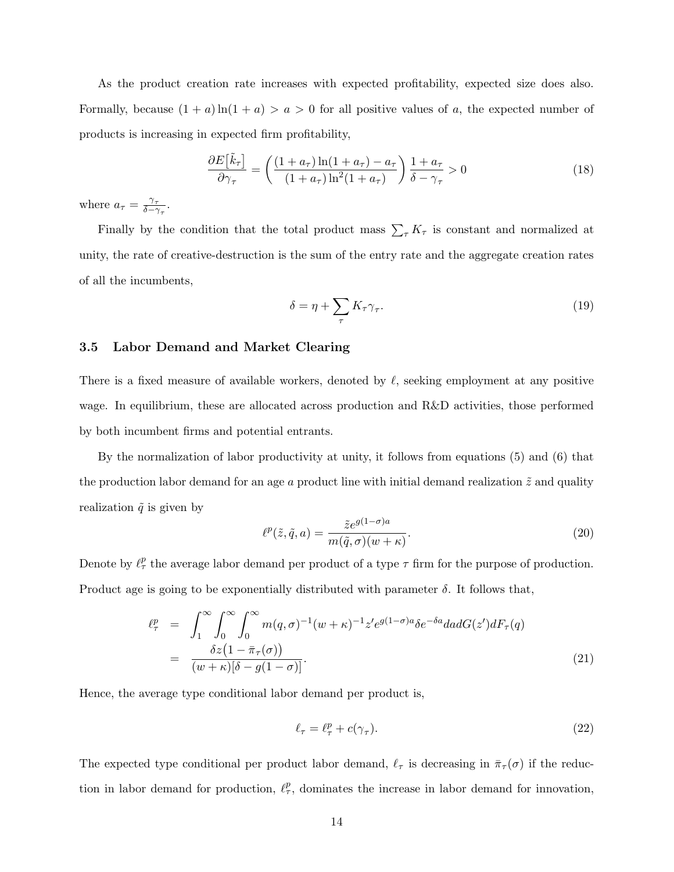As the product creation rate increases with expected profitability, expected size does also. Formally, because  $(1 + a) \ln(1 + a) > a > 0$  for all positive values of a, the expected number of products is increasing in expected firm profitability,

$$
\frac{\partial E\left[\tilde{k}_{\tau}\right]}{\partial \gamma_{\tau}} = \left(\frac{(1+a_{\tau})\ln(1+a_{\tau}) - a_{\tau}}{(1+a_{\tau})\ln^2(1+a_{\tau})}\right) \frac{1+a_{\tau}}{\delta - \gamma_{\tau}} > 0
$$
\n(18)

where  $a_{\tau} = \frac{\gamma_{\tau}}{\delta - \hat{\tau}}$  $\frac{\gamma_{\tau}}{\delta-\gamma_{\tau}}.$ 

Finally by the condition that the total product mass  $\sum_{\tau} K_{\tau}$  is constant and normalized at unity, the rate of creative-destruction is the sum of the entry rate and the aggregate creation rates of all the incumbents,

$$
\delta = \eta + \sum_{\tau} K_{\tau} \gamma_{\tau}.
$$
 (19)

## 3.5 Labor Demand and Market Clearing

There is a fixed measure of available workers, denoted by  $\ell$ , seeking employment at any positive wage. In equilibrium, these are allocated across production and R&D activities, those performed by both incumbent firms and potential entrants.

By the normalization of labor productivity at unity, it follows from equations (5) and (6) that the production labor demand for an age a product line with initial demand realization  $\tilde{z}$  and quality realization  $\tilde{q}$  is given by

$$
\ell^{p}(\tilde{z}, \tilde{q}, a) = \frac{\tilde{z}e^{g(1-\sigma)a}}{m(\tilde{q}, \sigma)(w+\kappa)}.
$$
\n(20)

Denote by  $\ell^p_\tau$  the average labor demand per product of a type  $\tau$  firm for the purpose of production. Product age is going to be exponentially distributed with parameter  $\delta$ . It follows that,

$$
\ell_{\tau}^{p} = \int_{1}^{\infty} \int_{0}^{\infty} \int_{0}^{\infty} m(q, \sigma)^{-1} (w + \kappa)^{-1} z' e^{g(1 - \sigma)a} \delta e^{-\delta a} da dG(z') dF_{\tau}(q)
$$
\n
$$
= \frac{\delta z (1 - \bar{\pi}_{\tau}(\sigma))}{(w + \kappa)[\delta - g(1 - \sigma)]}.
$$
\n(21)

Hence, the average type conditional labor demand per product is,

$$
\ell_{\tau} = \ell_{\tau}^p + c(\gamma_{\tau}).\tag{22}
$$

The expected type conditional per product labor demand,  $\ell_{\tau}$  is decreasing in  $\bar{\pi}_{\tau}(\sigma)$  if the reduction in labor demand for production,  $\ell^p_\tau$ , dominates the increase in labor demand for innovation,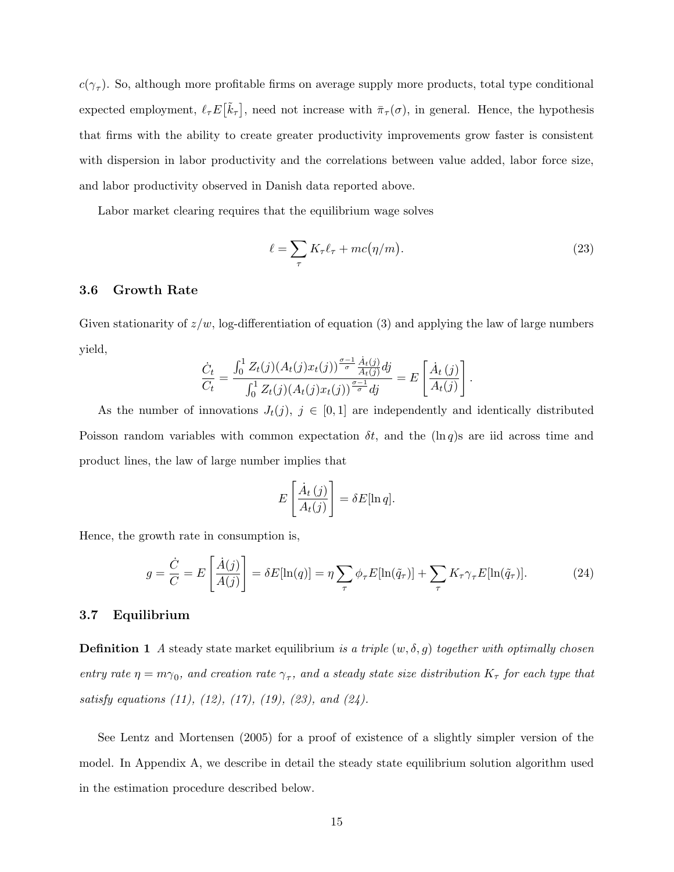$c(\gamma_\tau)$ . So, although more profitable firms on average supply more products, total type conditional expected employment,  $\ell_{\tau} E[\tilde{k}_{\tau}]$ , need not increase with  $\bar{\pi}_{\tau}(\sigma)$ , in general. Hence, the hypothesis that firms with the ability to create greater productivity improvements grow faster is consistent with dispersion in labor productivity and the correlations between value added, labor force size, and labor productivity observed in Danish data reported above.

Labor market clearing requires that the equilibrium wage solves

$$
\ell = \sum_{\tau} K_{\tau} \ell_{\tau} + mc(\eta/m). \tag{23}
$$

.

## 3.6 Growth Rate

Given stationarity of  $z/w$ , log-differentiation of equation (3) and applying the law of large numbers yield,

$$
\frac{\dot{C}_t}{C_t} = \frac{\int_0^1 Z_t(j) (A_t(j)x_t(j))^{\frac{\sigma-1}{\sigma}} \frac{\dot{A}_t(j)}{A_t(j)} dj}{\int_0^1 Z_t(j) (A_t(j)x_t(j))^{\frac{\sigma-1}{\sigma}} dj} = E\left[\frac{\dot{A}_t(j)}{A_t(j)}\right]
$$

As the number of innovations  $J_t(j)$ ,  $j \in [0,1]$  are independently and identically distributed Poisson random variables with common expectation  $\delta t$ , and the (lnq)s are iid across time and product lines, the law of large number implies that

$$
E\left[\frac{\dot{A}_t(j)}{A_t(j)}\right] = \delta E[\ln q].
$$

Hence, the growth rate in consumption is,

$$
g = \frac{\dot{C}}{C} = E\left[\frac{\dot{A}(j)}{A(j)}\right] = \delta E[\ln(q)] = \eta \sum_{\tau} \phi_{\tau} E[\ln(\tilde{q}_{\tau})] + \sum_{\tau} K_{\tau} \gamma_{\tau} E[\ln(\tilde{q}_{\tau})]. \tag{24}
$$

#### 3.7 Equilibrium

**Definition 1** A steady state market equilibrium is a triple  $(w, \delta, g)$  together with optimally chosen entry rate  $\eta = m\gamma_0$ , and creation rate  $\gamma_\tau$ , and a steady state size distribution  $K_\tau$  for each type that satisfy equations (11), (12), (17), (19), (23), and (24).

See Lentz and Mortensen (2005) for a proof of existence of a slightly simpler version of the model. In Appendix A, we describe in detail the steady state equilibrium solution algorithm used in the estimation procedure described below.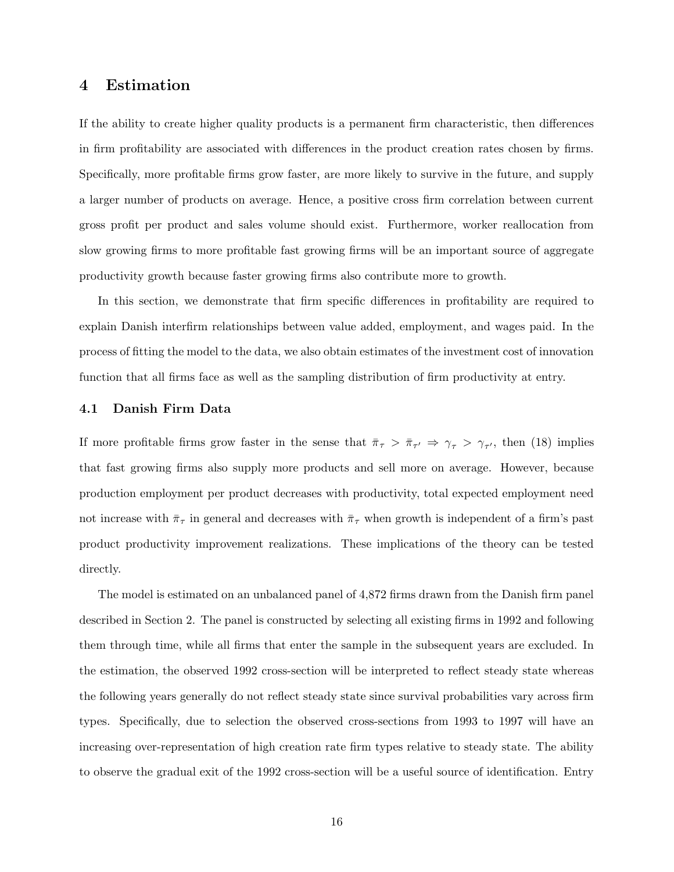## 4 Estimation

If the ability to create higher quality products is a permanent firm characteristic, then differences in firm profitability are associated with differences in the product creation rates chosen by firms. Specifically, more profitable firms grow faster, are more likely to survive in the future, and supply a larger number of products on average. Hence, a positive cross firm correlation between current gross profit per product and sales volume should exist. Furthermore, worker reallocation from slow growing firms to more profitable fast growing firms will be an important source of aggregate productivity growth because faster growing firms also contribute more to growth.

In this section, we demonstrate that firm specific differences in profitability are required to explain Danish interfirm relationships between value added, employment, and wages paid. In the process of fitting the model to the data, we also obtain estimates of the investment cost of innovation function that all firms face as well as the sampling distribution of firm productivity at entry.

#### 4.1 Danish Firm Data

If more profitable firms grow faster in the sense that  $\bar{\pi}_{\tau} > \bar{\pi}_{\tau'} \Rightarrow \gamma_{\tau} > \gamma_{\tau'}$ , then (18) implies that fast growing firms also supply more products and sell more on average. However, because production employment per product decreases with productivity, total expected employment need not increase with  $\bar{\pi}_{\tau}$  in general and decreases with  $\bar{\pi}_{\tau}$  when growth is independent of a firm's past product productivity improvement realizations. These implications of the theory can be tested directly.

The model is estimated on an unbalanced panel of 4,872 firms drawn from the Danish firm panel described in Section 2. The panel is constructed by selecting all existing firms in 1992 and following them through time, while all firms that enter the sample in the subsequent years are excluded. In the estimation, the observed 1992 cross-section will be interpreted to reflect steady state whereas the following years generally do not reflect steady state since survival probabilities vary across firm types. Specifically, due to selection the observed cross-sections from 1993 to 1997 will have an increasing over-representation of high creation rate firm types relative to steady state. The ability to observe the gradual exit of the 1992 cross-section will be a useful source of identification. Entry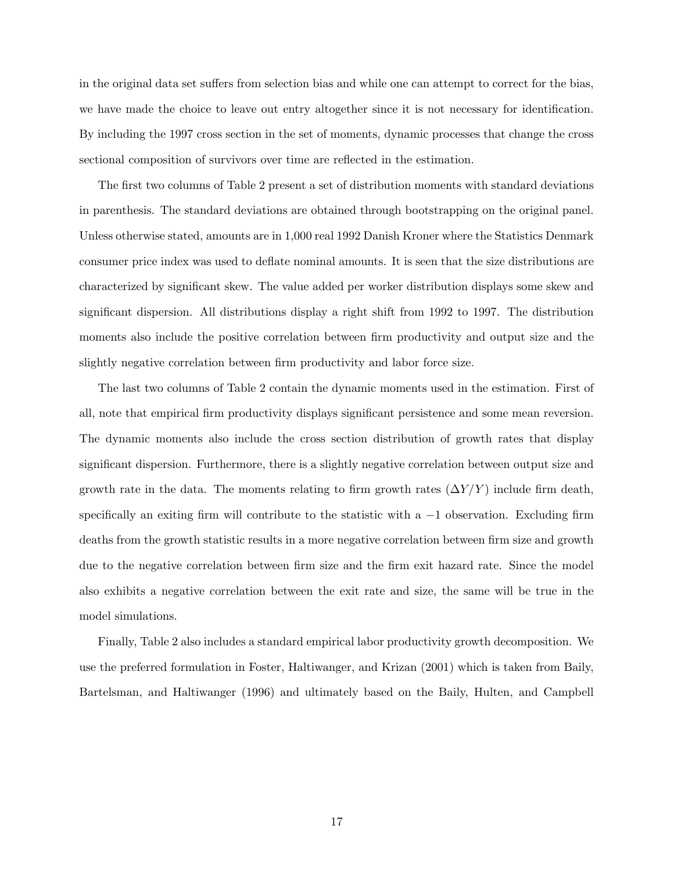in the original data set suffers from selection bias and while one can attempt to correct for the bias, we have made the choice to leave out entry altogether since it is not necessary for identification. By including the 1997 cross section in the set of moments, dynamic processes that change the cross sectional composition of survivors over time are reflected in the estimation.

The first two columns of Table 2 present a set of distribution moments with standard deviations in parenthesis. The standard deviations are obtained through bootstrapping on the original panel. Unless otherwise stated, amounts are in 1,000 real 1992 Danish Kroner where the Statistics Denmark consumer price index was used to deflate nominal amounts. It is seen that the size distributions are characterized by significant skew. The value added per worker distribution displays some skew and significant dispersion. All distributions display a right shift from 1992 to 1997. The distribution moments also include the positive correlation between firm productivity and output size and the slightly negative correlation between firm productivity and labor force size.

The last two columns of Table 2 contain the dynamic moments used in the estimation. First of all, note that empirical firm productivity displays significant persistence and some mean reversion. The dynamic moments also include the cross section distribution of growth rates that display significant dispersion. Furthermore, there is a slightly negative correlation between output size and growth rate in the data. The moments relating to firm growth rates  $(\Delta Y/Y)$  include firm death, specifically an exiting firm will contribute to the statistic with a  $-1$  observation. Excluding firm deaths from the growth statistic results in a more negative correlation between firm size and growth due to the negative correlation between firm size and the firm exit hazard rate. Since the model also exhibits a negative correlation between the exit rate and size, the same will be true in the model simulations.

Finally, Table 2 also includes a standard empirical labor productivity growth decomposition. We use the preferred formulation in Foster, Haltiwanger, and Krizan (2001) which is taken from Baily, Bartelsman, and Haltiwanger (1996) and ultimately based on the Baily, Hulten, and Campbell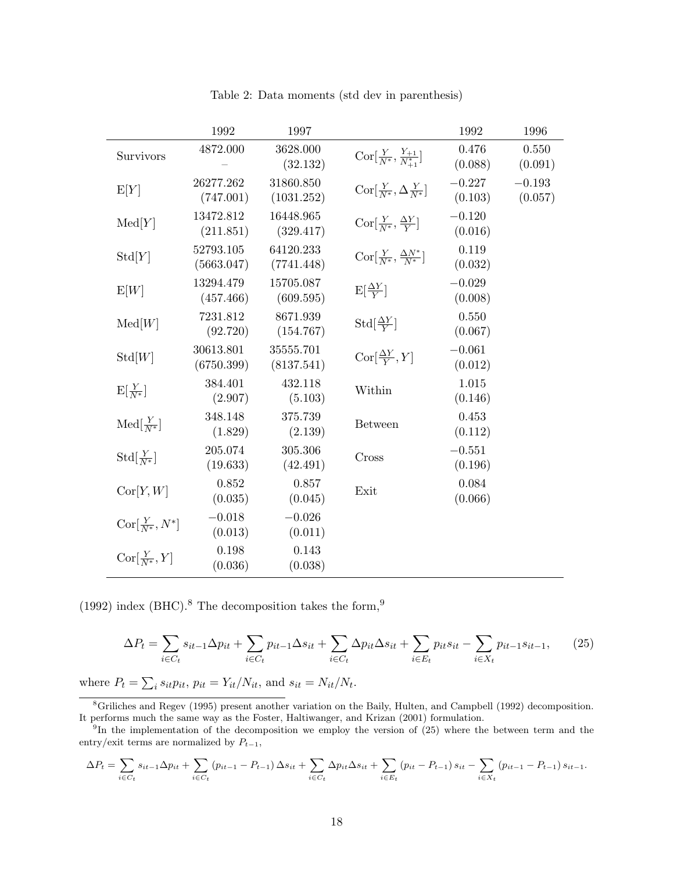|                             | 1992                    | 1997                    |                                               | 1992                | 1996                |
|-----------------------------|-------------------------|-------------------------|-----------------------------------------------|---------------------|---------------------|
| Survivors                   | 4872.000                | 3628.000<br>(32.132)    | $Cor[\frac{Y}{N^*}, \frac{Y_{+1}}{N^*_{-1}}]$ | 0.476<br>(0.088)    | 0.550<br>(0.091)    |
| E[Y]                        | 26277.262<br>(747.001)  | 31860.850<br>(1031.252) | $Cor[\frac{Y}{N^*}, \Delta \frac{Y}{N^*}]$    | $-0.227$<br>(0.103) | $-0.193$<br>(0.057) |
| Med[Y]                      | 13472.812<br>(211.851)  | 16448.965<br>(329.417)  | $Cor[\frac{Y}{N^*}, \frac{\Delta Y}{Y}]$      | $-0.120$<br>(0.016) |                     |
| Std[Y]                      | 52793.105<br>(5663.047) | 64120.233<br>(7741.448) | $Cor[\frac{Y}{N^*}, \frac{\Delta N^*}{N^*}]$  | 0.119<br>(0.032)    |                     |
| E[W]                        | 13294.479<br>(457.466)  | 15705.087<br>(609.595)  | $E[\frac{\Delta Y}{Y}]$                       | $-0.029$<br>(0.008) |                     |
| Med[W]                      | 7231.812<br>(92.720)    | 8671.939<br>(154.767)   | $\text{Std}[\frac{\Delta Y}{Y}]$              | 0.550<br>(0.067)    |                     |
| $\mathrm{Std}[W]$           | 30613.801<br>(6750.399) | 35555.701<br>(8137.541) | $Cor[\frac{\Delta Y}{V}, Y]$                  | $-0.061$<br>(0.012) |                     |
| $E[\frac{Y}{N^*}]$          | 384.401<br>(2.907)      | 432.118<br>(5.103)      | Within                                        | 1.015<br>(0.146)    |                     |
| $\text{Med}[\frac{Y}{N^*}]$ | 348.148<br>(1.829)      | 375.739<br>(2.139)      | <b>Between</b>                                | 0.453<br>(0.112)    |                     |
| $\text{Std}[\frac{Y}{N^*}]$ | 205.074<br>(19.633)     | 305.306<br>(42.491)     | Cross                                         | $-0.551$<br>(0.196) |                     |
| Cor[Y, W]                   | 0.852<br>(0.035)        | 0.857<br>(0.045)        | Exit                                          | 0.084<br>(0.066)    |                     |
| $Cor[\frac{Y}{N^*}, N^*]$   | $-0.018$<br>(0.013)     | $-0.026$<br>(0.011)     |                                               |                     |                     |
| $Cor[\frac{Y}{N^*}, Y]$     | 0.198<br>(0.036)        | 0.143<br>(0.038)        |                                               |                     |                     |

Table 2: Data moments (std dev in parenthesis)

(1992) index (BHC).<sup>8</sup> The decomposition takes the form,<sup>9</sup>

$$
\Delta P_t = \sum_{i \in C_t} s_{it-1} \Delta p_{it} + \sum_{i \in C_t} p_{it-1} \Delta s_{it} + \sum_{i \in C_t} \Delta p_{it} \Delta s_{it} + \sum_{i \in E_t} p_{it} s_{it} - \sum_{i \in X_t} p_{it-1} s_{it-1},
$$
 (25)

where  $P_t = \sum_i s_{it} p_{it}$ ,  $p_{it} = Y_{it}/N_{it}$ , and  $s_{it} = N_{it}/N_t$ .

$$
\Delta P_t = \sum_{i \in C_t} s_{it-1} \Delta p_{it} + \sum_{i \in C_t} (p_{it-1} - P_{t-1}) \Delta s_{it} + \sum_{i \in C_t} \Delta p_{it} \Delta s_{it} + \sum_{i \in E_t} (p_{it} - P_{t-1}) s_{it} - \sum_{i \in X_t} (p_{it-1} - P_{t-1}) s_{it-1}.
$$

<sup>8</sup>Griliches and Regev (1995) present another variation on the Baily, Hulten, and Campbell (1992) decomposition. It performs much the same way as the Foster, Haltiwanger, and Krizan (2001) formulation.

<sup>&</sup>lt;sup>9</sup>In the implementation of the decomposition we employ the version of  $(25)$  where the between term and the entry/exit terms are normalized by  $P_{t-1}$ ,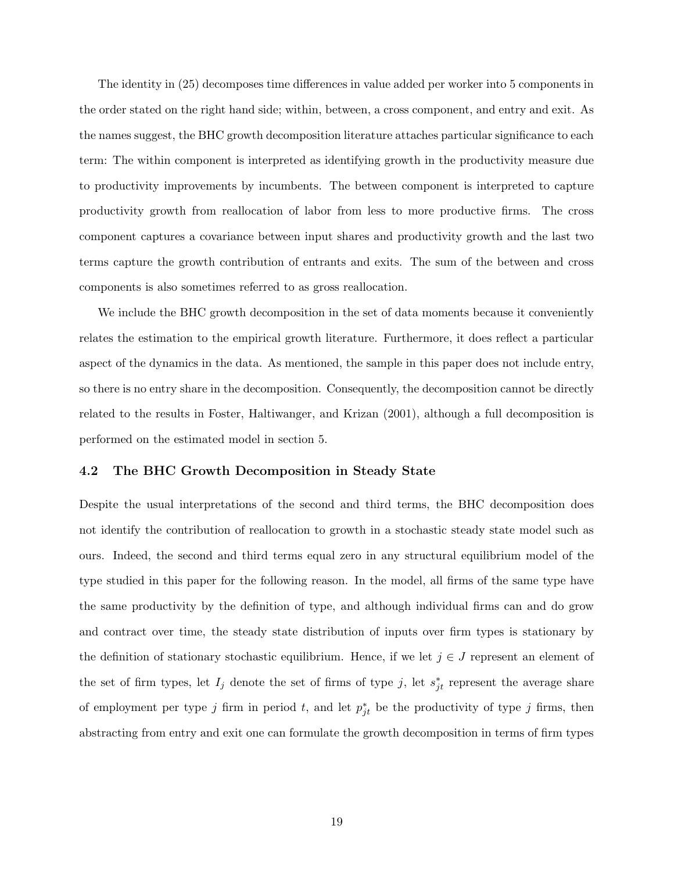The identity in (25) decomposes time differences in value added per worker into 5 components in the order stated on the right hand side; within, between, a cross component, and entry and exit. As the names suggest, the BHC growth decomposition literature attaches particular significance to each term: The within component is interpreted as identifying growth in the productivity measure due to productivity improvements by incumbents. The between component is interpreted to capture productivity growth from reallocation of labor from less to more productive firms. The cross component captures a covariance between input shares and productivity growth and the last two terms capture the growth contribution of entrants and exits. The sum of the between and cross components is also sometimes referred to as gross reallocation.

We include the BHC growth decomposition in the set of data moments because it conveniently relates the estimation to the empirical growth literature. Furthermore, it does reflect a particular aspect of the dynamics in the data. As mentioned, the sample in this paper does not include entry, so there is no entry share in the decomposition. Consequently, the decomposition cannot be directly related to the results in Foster, Haltiwanger, and Krizan (2001), although a full decomposition is performed on the estimated model in section 5.

## 4.2 The BHC Growth Decomposition in Steady State

Despite the usual interpretations of the second and third terms, the BHC decomposition does not identify the contribution of reallocation to growth in a stochastic steady state model such as ours. Indeed, the second and third terms equal zero in any structural equilibrium model of the type studied in this paper for the following reason. In the model, all firms of the same type have the same productivity by the definition of type, and although individual firms can and do grow and contract over time, the steady state distribution of inputs over firm types is stationary by the definition of stationary stochastic equilibrium. Hence, if we let  $j \in J$  represent an element of the set of firm types, let  $I_j$  denote the set of firms of type j, let  $s_{jt}^*$  represent the average share of employment per type j firm in period t, and let  $p_{jt}^*$  be the productivity of type j firms, then abstracting from entry and exit one can formulate the growth decomposition in terms of firm types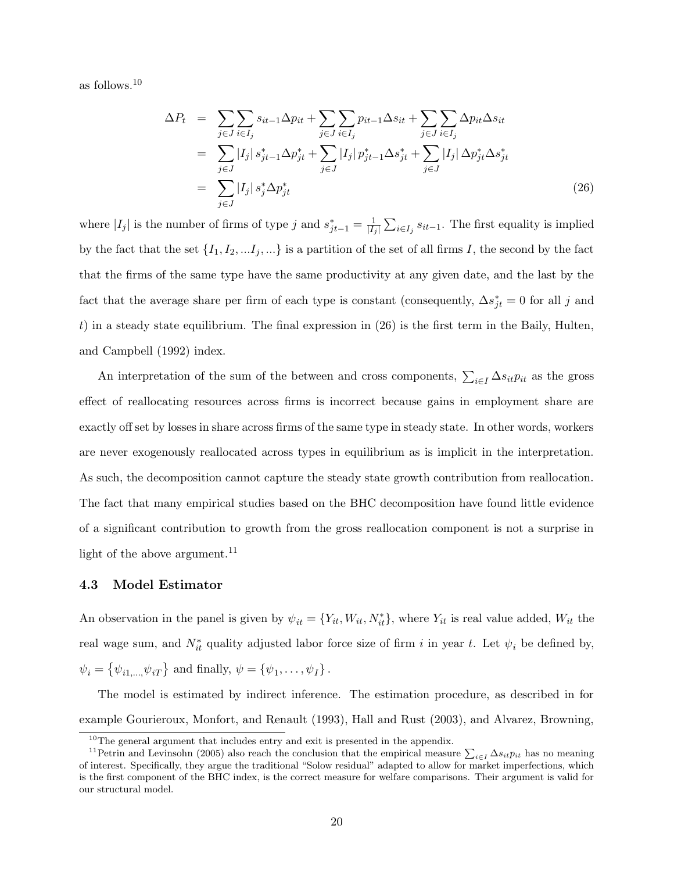as follows.<sup>10</sup>

$$
\Delta P_t = \sum_{j \in J} \sum_{i \in I_j} s_{it-1} \Delta p_{it} + \sum_{j \in J} \sum_{i \in I_j} p_{it-1} \Delta s_{it} + \sum_{j \in J} \sum_{i \in I_j} \Delta p_{it} \Delta s_{it}
$$
  
\n
$$
= \sum_{j \in J} |I_j| s_{jt-1}^* \Delta p_{jt}^* + \sum_{j \in J} |I_j| p_{jt-1}^* \Delta s_{jt}^* + \sum_{j \in J} |I_j| \Delta p_{jt}^* \Delta s_{jt}^*
$$
  
\n
$$
= \sum_{j \in J} |I_j| s_j^* \Delta p_{jt}^*
$$
\n(26)

where  $|I_j|$  is the number of firms of type j and  $s_{jt-1}^* = \frac{1}{|I_i|}$  $\frac{1}{|I_j|}\sum_{i\in I_j} s_{it-1}$ . The first equality is implied by the fact that the set  $\{I_1, I_2, \ldots I_j, \ldots\}$  is a partition of the set of all firms I, the second by the fact that the firms of the same type have the same productivity at any given date, and the last by the fact that the average share per firm of each type is constant (consequently,  $\Delta s_{jt}^* = 0$  for all j and  $t$ ) in a steady state equilibrium. The final expression in  $(26)$  is the first term in the Baily, Hulten, and Campbell (1992) index.

An interpretation of the sum of the between and cross components,  $\sum_{i\in I} \Delta s_{it} p_{it}$  as the gross effect of reallocating resources across firms is incorrect because gains in employment share are exactly off set by losses in share across firms of the same type in steady state. In other words, workers are never exogenously reallocated across types in equilibrium as is implicit in the interpretation. As such, the decomposition cannot capture the steady state growth contribution from reallocation. The fact that many empirical studies based on the BHC decomposition have found little evidence of a significant contribution to growth from the gross reallocation component is not a surprise in light of the above argument. $^{11}$ 

## 4.3 Model Estimator

An observation in the panel is given by  $\psi_{it} = \{Y_{it}, W_{it}, N_{it}^*\}$ , where  $Y_{it}$  is real value added,  $W_{it}$  the real wage sum, and  $N_{it}^*$  quality adjusted labor force size of firm i in year t. Let  $\psi_i$  be defined by,  $\psi_i = \{ \psi_{i1,...,}\psi_{iT} \}$  and finally,  $\psi = \{ \psi_1, ..., \psi_I \}$ .

The model is estimated by indirect inference. The estimation procedure, as described in for example Gourieroux, Monfort, and Renault (1993), Hall and Rust (2003), and Alvarez, Browning,

<sup>&</sup>lt;sup>10</sup>The general argument that includes entry and exit is presented in the appendix.

<sup>&</sup>lt;sup>11</sup>Petrin and Levinsohn (2005) also reach the conclusion that the empirical measure  $\sum_{i\in I} \Delta s_{it} p_{it}$  has no meaning of interest. Specifically, they argue the traditional "Solow residual" adapted to allow for market imperfections, which is the first component of the BHC index, is the correct measure for welfare comparisons. Their argument is valid for our structural model.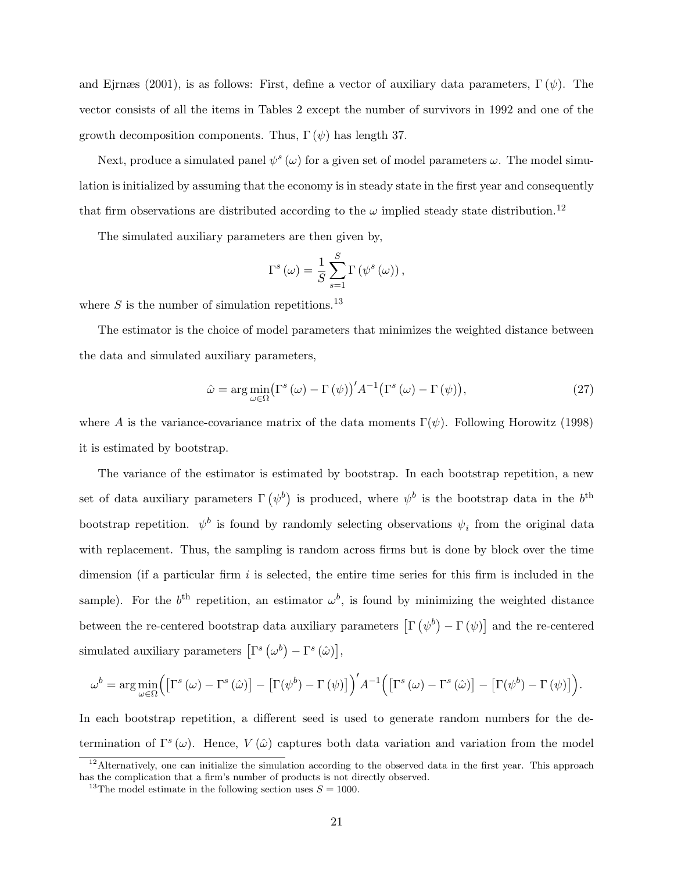and Ejrnæs (2001), is as follows: First, define a vector of auxiliary data parameters,  $\Gamma(\psi)$ . The vector consists of all the items in Tables 2 except the number of survivors in 1992 and one of the growth decomposition components. Thus,  $\Gamma(\psi)$  has length 37.

Next, produce a simulated panel  $\psi^s(\omega)$  for a given set of model parameters  $\omega$ . The model simulation is initialized by assuming that the economy is in steady state in the first year and consequently that firm observations are distributed according to the  $\omega$  implied steady state distribution.<sup>12</sup>

The simulated auxiliary parameters are then given by,

$$
\Gamma^{s}(\omega) = \frac{1}{S} \sum_{s=1}^{S} \Gamma(\psi^{s}(\omega)),
$$

where S is the number of simulation repetitions.<sup>13</sup>

The estimator is the choice of model parameters that minimizes the weighted distance between the data and simulated auxiliary parameters,

$$
\hat{\omega} = \arg\min_{\omega \in \Omega} \left( \Gamma^s \left( \omega \right) - \Gamma \left( \psi \right) \right) / A^{-1} \left( \Gamma^s \left( \omega \right) - \Gamma \left( \psi \right) \right),\tag{27}
$$

where A is the variance-covariance matrix of the data moments  $\Gamma(\psi)$ . Following Horowitz (1998) it is estimated by bootstrap.

The variance of the estimator is estimated by bootstrap. In each bootstrap repetition, a new set of data auxiliary parameters  $\Gamma(\psi^b)$  is produced, where  $\psi^b$  is the bootstrap data in the  $b^{\text{th}}$ bootstrap repetition.  $\psi^b$  is found by randomly selecting observations  $\psi_i$  from the original data with replacement. Thus, the sampling is random across firms but is done by block over the time dimension (if a particular firm  $i$  is selected, the entire time series for this firm is included in the sample). For the  $b<sup>th</sup>$  repetition, an estimator  $\omega<sup>b</sup>$ , is found by minimizing the weighted distance between the re-centered bootstrap data auxiliary parameters  $[\Gamma(\psi^b) - \Gamma(\psi)]$  and the re-centered simulated auxiliary parameters  $\left[\Gamma^s\left(\omega^b\right) - \Gamma^s\left(\hat{\omega}\right)\right],$ 

$$
\omega^{b} = \arg \min_{\omega \in \Omega} \Big( \left[ \Gamma^{s}(\omega) - \Gamma^{s}(\hat{\omega}) \right] - \left[ \Gamma(\psi^{b}) - \Gamma(\psi) \right] \Big)^{\prime} A^{-1} \Big( \left[ \Gamma^{s}(\omega) - \Gamma^{s}(\hat{\omega}) \right] - \left[ \Gamma(\psi^{b}) - \Gamma(\psi) \right] \Big).
$$

In each bootstrap repetition, a different seed is used to generate random numbers for the determination of  $\Gamma^s(\omega)$ . Hence,  $V(\hat{\omega})$  captures both data variation and variation from the model

 $12$ Alternatively, one can initialize the simulation according to the observed data in the first year. This approach has the complication that a firm's number of products is not directly observed.

<sup>&</sup>lt;sup>13</sup>The model estimate in the following section uses  $S = 1000$ .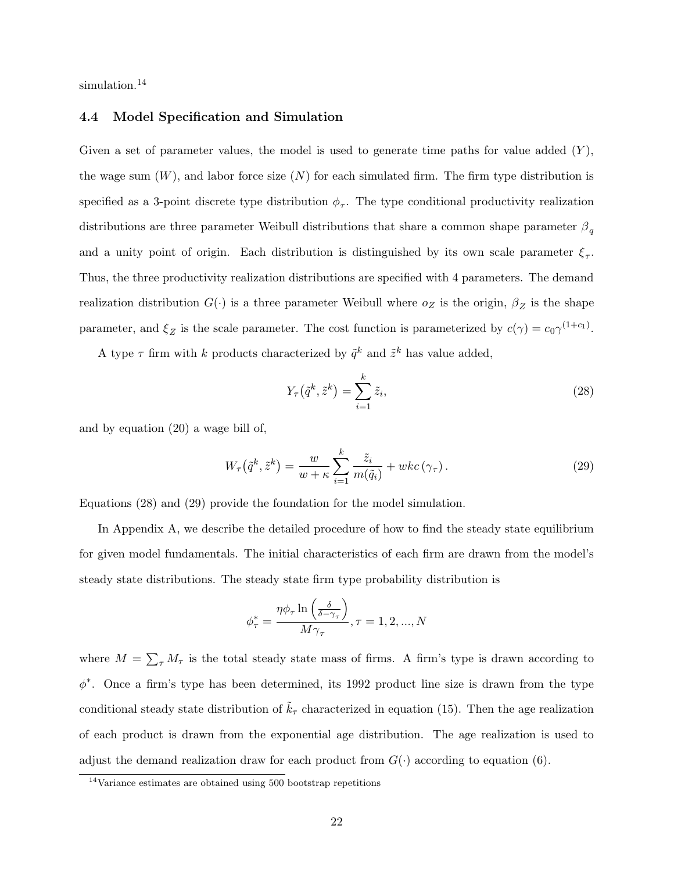simulation.<sup>14</sup>

## 4.4 Model Specification and Simulation

Given a set of parameter values, the model is used to generate time paths for value added  $(Y)$ , the wage sum  $(W)$ , and labor force size  $(N)$  for each simulated firm. The firm type distribution is specified as a 3-point discrete type distribution  $\phi_{\tau}$ . The type conditional productivity realization distributions are three parameter Weibull distributions that share a common shape parameter  $\beta_q$ and a unity point of origin. Each distribution is distinguished by its own scale parameter  $\xi_{\tau}$ . Thus, the three productivity realization distributions are specified with 4 parameters. The demand realization distribution  $G(\cdot)$  is a three parameter Weibull where  $o_Z$  is the origin,  $\beta_Z$  is the shape parameter, and  $\xi_Z$  is the scale parameter. The cost function is parameterized by  $c(\gamma) = c_0 \gamma^{(1+c_1)}$ .

A type  $\tau$  firm with k products characterized by  $\tilde{q}^k$  and  $\tilde{z}^k$  has value added,

$$
Y_{\tau}(\tilde{q}^k, \tilde{z}^k) = \sum_{i=1}^k \tilde{z}_i,
$$
\n(28)

and by equation (20) a wage bill of,

$$
W_{\tau}(\tilde{q}^k, \tilde{z}^k) = \frac{w}{w + \kappa} \sum_{i=1}^k \frac{\tilde{z}_i}{m(\tilde{q}_i)} + wkc(\gamma_\tau). \tag{29}
$$

Equations (28) and (29) provide the foundation for the model simulation.

In Appendix A, we describe the detailed procedure of how to find the steady state equilibrium for given model fundamentals. The initial characteristics of each firm are drawn from the model's steady state distributions. The steady state firm type probability distribution is

$$
\phi_{\tau}^{*} = \frac{\eta \phi_{\tau} \ln\left(\frac{\delta}{\delta - \gamma_{\tau}}\right)}{M \gamma_{\tau}}, \tau = 1, 2, ..., N
$$

where  $M = \sum_{\tau} M_{\tau}$  is the total steady state mass of firms. A firm's type is drawn according to  $\phi^*$ . Once a firm's type has been determined, its 1992 product line size is drawn from the type conditional steady state distribution of  $\tilde{k}_{\tau}$  characterized in equation (15). Then the age realization of each product is drawn from the exponential age distribution. The age realization is used to adjust the demand realization draw for each product from  $G(\cdot)$  according to equation (6).

<sup>14</sup>Variance estimates are obtained using 500 bootstrap repetitions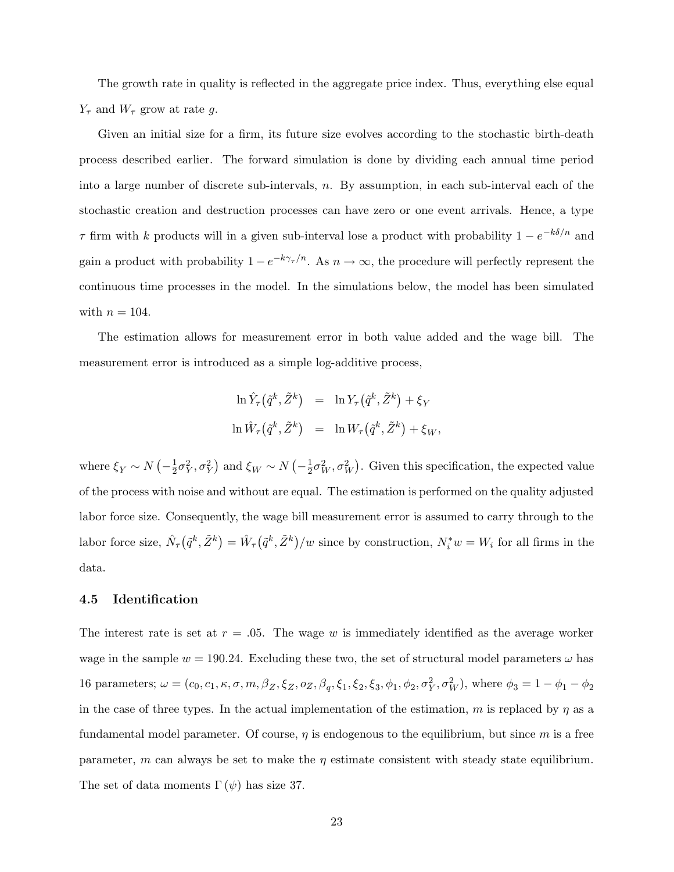The growth rate in quality is reflected in the aggregate price index. Thus, everything else equal  $Y_{\tau}$  and  $W_{\tau}$  grow at rate g.

Given an initial size for a firm, its future size evolves according to the stochastic birth-death process described earlier. The forward simulation is done by dividing each annual time period into a large number of discrete sub-intervals, n. By assumption, in each sub-interval each of the stochastic creation and destruction processes can have zero or one event arrivals. Hence, a type  $\tau$  firm with k products will in a given sub-interval lose a product with probability  $1 - e^{-k\delta/n}$  and gain a product with probability  $1 - e^{-k\gamma_{\tau}/n}$ . As  $n \to \infty$ , the procedure will perfectly represent the continuous time processes in the model. In the simulations below, the model has been simulated with  $n = 104$ .

The estimation allows for measurement error in both value added and the wage bill. The measurement error is introduced as a simple log-additive process,

$$
\ln \hat{Y}_{\tau}(\tilde{q}^k, \tilde{Z}^k) = \ln Y_{\tau}(\tilde{q}^k, \tilde{Z}^k) + \xi_Y
$$
  

$$
\ln \hat{W}_{\tau}(\tilde{q}^k, \tilde{Z}^k) = \ln W_{\tau}(\tilde{q}^k, \tilde{Z}^k) + \xi_W,
$$

where  $\xi_Y \sim N\left(-\frac{1}{2}\right)$  $\frac{1}{2}\sigma_Y^2, \sigma_Y^2$  and  $\xi_W \sim N\left(-\frac{1}{2}\right)$  $\frac{1}{2}\sigma_W^2$ ,  $\sigma_W^2$ ). Given this specification, the expected value of the process with noise and without are equal. The estimation is performed on the quality adjusted labor force size. Consequently, the wage bill measurement error is assumed to carry through to the labor force size,  $\hat{N}_{\tau}(\tilde{q}^k, \tilde{Z}^k) = \hat{W}_{\tau}(\tilde{q}^k, \tilde{Z}^k)/w$  since by construction,  $N_i^*w = W_i$  for all firms in the data.

## 4.5 Identification

The interest rate is set at  $r = .05$ . The wage w is immediately identified as the average worker wage in the sample  $w = 190.24$ . Excluding these two, the set of structural model parameters  $\omega$  has 16 parameters;  $\omega = (c_0, c_1, \kappa, \sigma, m, \beta_Z, \xi_Z, o_Z, \beta_q, \xi_1, \xi_2, \xi_3, \phi_1, \phi_2, \sigma_Y^2, \sigma_W^2)$ , where  $\phi_3 = 1 - \phi_1 - \phi_2$ in the case of three types. In the actual implementation of the estimation, m is replaced by  $\eta$  as a fundamental model parameter. Of course,  $\eta$  is endogenous to the equilibrium, but since m is a free parameter, m can always be set to make the  $\eta$  estimate consistent with steady state equilibrium. The set of data moments  $\Gamma(\psi)$  has size 37.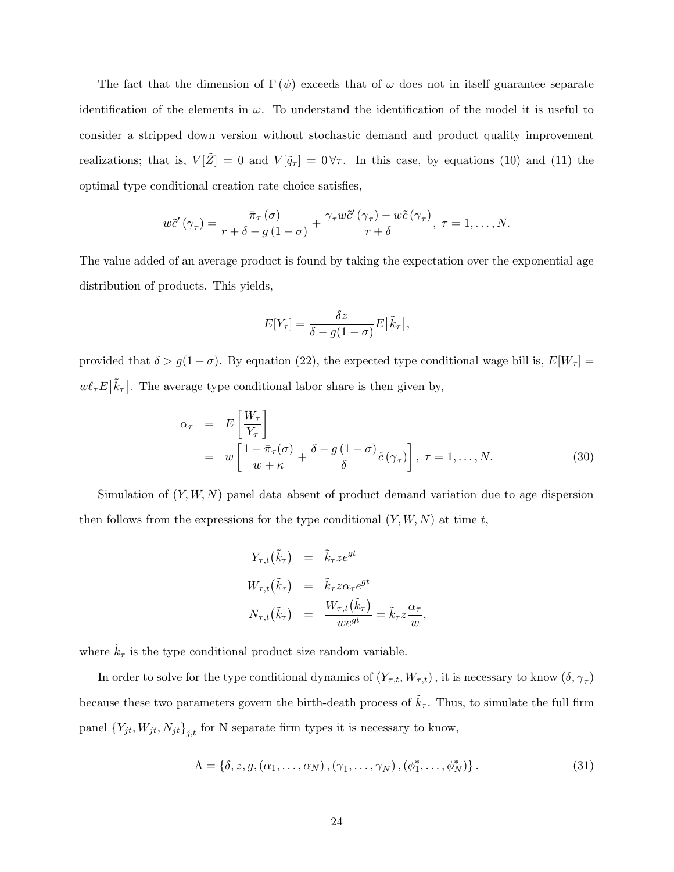The fact that the dimension of  $\Gamma(\psi)$  exceeds that of  $\omega$  does not in itself guarantee separate identification of the elements in  $\omega$ . To understand the identification of the model it is useful to consider a stripped down version without stochastic demand and product quality improvement realizations; that is,  $V[\tilde{Z}] = 0$  and  $V[\tilde{q}_\tau] = 0 \forall \tau$ . In this case, by equations (10) and (11) the optimal type conditional creation rate choice satisfies,

$$
w\tilde{c}'(\gamma_{\tau}) = \frac{\bar{\pi}_{\tau}(\sigma)}{r + \delta - g(1 - \sigma)} + \frac{\gamma_{\tau}w\tilde{c}'(\gamma_{\tau}) - w\tilde{c}(\gamma_{\tau})}{r + \delta}, \ \tau = 1, \ldots, N.
$$

The value added of an average product is found by taking the expectation over the exponential age distribution of products. This yields,

$$
E[Y_{\tau}] = \frac{\delta z}{\delta - g(1 - \sigma)} E[\tilde{k}_{\tau}],
$$

provided that  $\delta > g(1 - \sigma)$ . By equation (22), the expected type conditional wage bill is,  $E[W_{\tau}]$  =  $w\ell_{\tau}E[\tilde{k}_{\tau}]$ . The average type conditional labor share is then given by,

$$
\alpha_{\tau} = E\left[\frac{W_{\tau}}{Y_{\tau}}\right]
$$
  
= 
$$
w\left[\frac{1-\bar{\pi}_{\tau}(\sigma)}{w+\kappa} + \frac{\delta - g(1-\sigma)}{\delta}\tilde{c}(\gamma_{\tau})\right], \tau = 1,..., N.
$$
 (30)

Simulation of  $(Y, W, N)$  panel data absent of product demand variation due to age dispersion then follows from the expressions for the type conditional  $(Y, W, N)$  at time t,

$$
Y_{\tau,t}(\tilde{k}_{\tau}) = \tilde{k}_{\tau} z e^{gt}
$$
  
\n
$$
W_{\tau,t}(\tilde{k}_{\tau}) = \tilde{k}_{\tau} z \alpha_{\tau} e^{gt}
$$
  
\n
$$
N_{\tau,t}(\tilde{k}_{\tau}) = \frac{W_{\tau,t}(\tilde{k}_{\tau})}{we^{gt}} = \tilde{k}_{\tau} z \frac{\alpha_{\tau}}{w},
$$

where  $\tilde{k}_{\tau}$  is the type conditional product size random variable.

In order to solve for the type conditional dynamics of  $(Y_{\tau,t}, W_{\tau,t})$ , it is necessary to know  $(\delta, \gamma_{\tau})$ because these two parameters govern the birth-death process of  $\tilde{k}_{\tau}$ . Thus, to simulate the full firm panel  ${Y_{jt}, W_{jt}, N_{jt}}_{j,t}$  for N separate firm types it is necessary to know,

$$
\Lambda = \{ \delta, z, g, (\alpha_1, \dots, \alpha_N), (\gamma_1, \dots, \gamma_N), (\phi_1^*, \dots, \phi_N^*) \}.
$$
\n(31)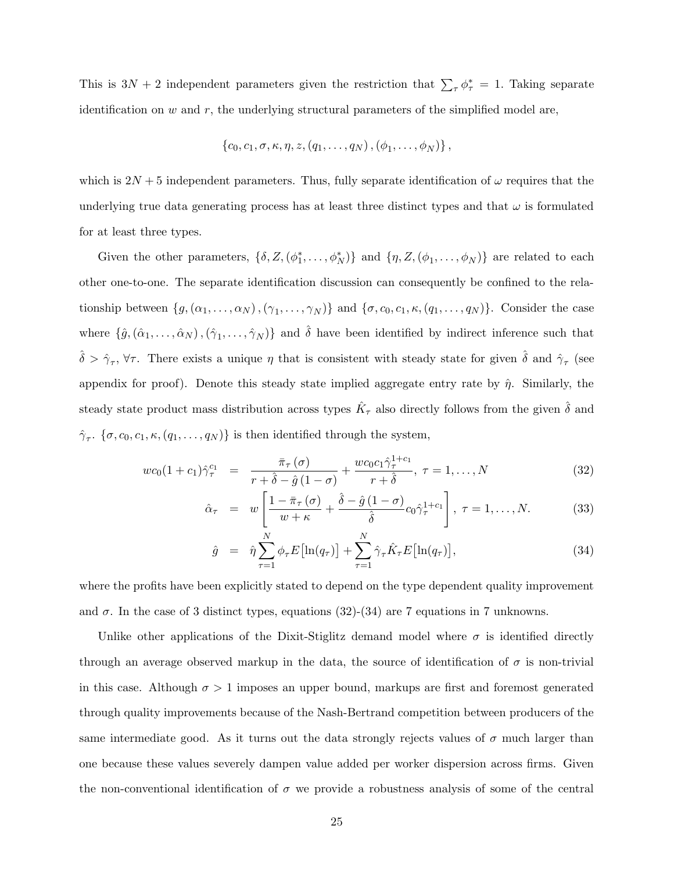This is  $3N + 2$  independent parameters given the restriction that  $\sum_{\tau} \phi_{\tau}^* = 1$ . Taking separate identification on  $w$  and  $r$ , the underlying structural parameters of the simplified model are,

$$
{c_0, c_1, \sigma, \kappa, \eta, z, (q_1, \ldots, q_N), (\phi_1, \ldots, \phi_N)}
$$
,

which is  $2N + 5$  independent parameters. Thus, fully separate identification of  $\omega$  requires that the underlying true data generating process has at least three distinct types and that  $\omega$  is formulated for at least three types.

Given the other parameters,  $\{\delta, Z, (\phi_1^*, \ldots, \phi_N^*)\}$  and  $\{\eta, Z, (\phi_1, \ldots, \phi_N)\}$  are related to each other one-to-one. The separate identification discussion can consequently be confined to the relationship between  $\{g, (\alpha_1, \ldots, \alpha_N), (\gamma_1, \ldots, \gamma_N)\}\$  and  $\{\sigma, c_0, c_1, \kappa, (q_1, \ldots, q_N)\}\$ . Consider the case where  $\{\hat{g},(\hat{\alpha}_1,\ldots,\hat{\alpha}_N),(\hat{\gamma}_1,\ldots,\hat{\gamma}_N)\}\$  and  $\hat{\delta}$  have been identified by indirect inference such that  $\hat{\delta} > \hat{\gamma}_{\tau}, \forall \tau$ . There exists a unique  $\eta$  that is consistent with steady state for given  $\hat{\delta}$  and  $\hat{\gamma}_{\tau}$  (see appendix for proof). Denote this steady state implied aggregate entry rate by  $\hat{\eta}$ . Similarly, the steady state product mass distribution across types  $\hat{K}_{\tau}$  also directly follows from the given  $\hat{\delta}$  and  $\hat{\gamma}_{\tau}$ .  $\{\sigma, c_0, c_1, \kappa, (q_1, \ldots, q_N)\}\$ is then identified through the system,

$$
wc_0(1+c_1)\hat{\gamma}_{\tau}^{c_1} = \frac{\bar{\pi}_{\tau}(\sigma)}{r+\hat{\delta}-\hat{g}(1-\sigma)} + \frac{wc_0c_1\hat{\gamma}_{\tau}^{1+c_1}}{r+\hat{\delta}}, \ \tau = 1,\ldots,N
$$
 (32)

$$
\hat{\alpha}_{\tau} = w \left[ \frac{1 - \bar{\pi}_{\tau}(\sigma)}{w + \kappa} + \frac{\hat{\delta} - \hat{g}(1 - \sigma)}{\hat{\delta}} c_0 \hat{\gamma}_{\tau}^{1 + c_1} \right], \tau = 1, \dots, N. \tag{33}
$$

$$
\hat{g} = \hat{\eta} \sum_{\tau=1}^{N} \phi_{\tau} E\left[\ln(q_{\tau})\right] + \sum_{\tau=1}^{N} \hat{\gamma}_{\tau} \hat{K}_{\tau} E\left[\ln(q_{\tau})\right],\tag{34}
$$

where the profits have been explicitly stated to depend on the type dependent quality improvement and  $\sigma$ . In the case of 3 distinct types, equations (32)-(34) are 7 equations in 7 unknowns.

Unlike other applications of the Dixit-Stiglitz demand model where  $\sigma$  is identified directly through an average observed markup in the data, the source of identification of  $\sigma$  is non-trivial in this case. Although  $\sigma > 1$  imposes an upper bound, markups are first and foremost generated through quality improvements because of the Nash-Bertrand competition between producers of the same intermediate good. As it turns out the data strongly rejects values of  $\sigma$  much larger than one because these values severely dampen value added per worker dispersion across firms. Given the non-conventional identification of  $\sigma$  we provide a robustness analysis of some of the central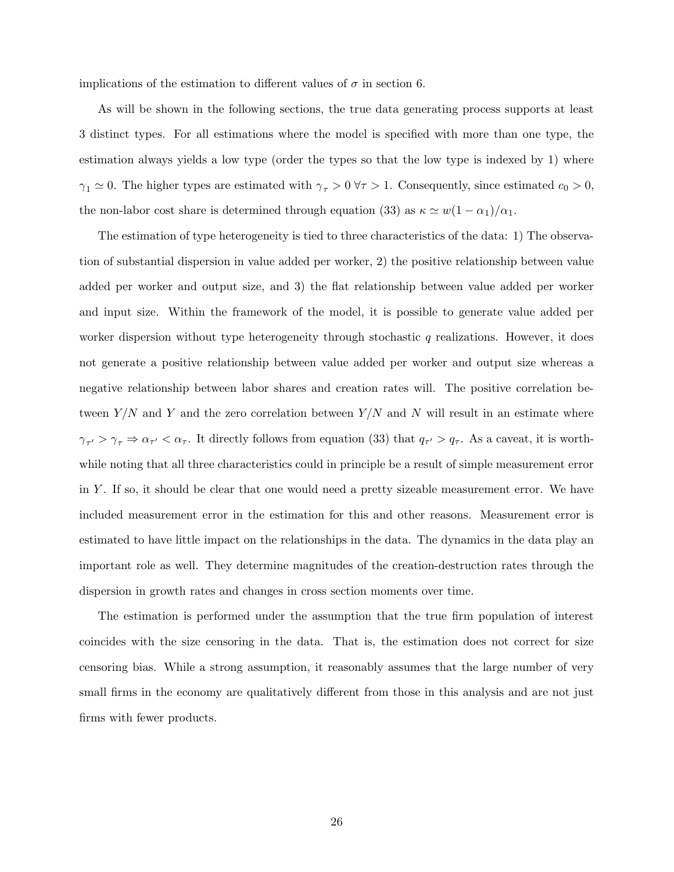implications of the estimation to different values of  $\sigma$  in section 6.

As will be shown in the following sections, the true data generating process supports at least 3 distinct types. For all estimations where the model is specified with more than one type, the estimation always yields a low type (order the types so that the low type is indexed by 1) where  $\gamma_1 \simeq 0$ . The higher types are estimated with  $\gamma_\tau > 0 \,\forall \tau > 1$ . Consequently, since estimated  $c_0 > 0$ , the non-labor cost share is determined through equation (33) as  $\kappa \simeq w(1 - \alpha_1)/\alpha_1$ .

The estimation of type heterogeneity is tied to three characteristics of the data: 1) The observation of substantial dispersion in value added per worker, 2) the positive relationship between value added per worker and output size, and 3) the flat relationship between value added per worker and input size. Within the framework of the model, it is possible to generate value added per worker dispersion without type heterogeneity through stochastic  $q$  realizations. However, it does not generate a positive relationship between value added per worker and output size whereas a negative relationship between labor shares and creation rates will. The positive correlation between  $Y/N$  and Y and the zero correlation between  $Y/N$  and N will result in an estimate where  $\gamma_{\tau'} > \gamma_{\tau} \Rightarrow \alpha_{\tau'} < \alpha_{\tau}$ . It directly follows from equation (33) that  $q_{\tau'} > q_{\tau}$ . As a caveat, it is worthwhile noting that all three characteristics could in principle be a result of simple measurement error in  $Y$ . If so, it should be clear that one would need a pretty sizeable measurement error. We have included measurement error in the estimation for this and other reasons. Measurement error is estimated to have little impact on the relationships in the data. The dynamics in the data play an important role as well. They determine magnitudes of the creation-destruction rates through the dispersion in growth rates and changes in cross section moments over time.

The estimation is performed under the assumption that the true firm population of interest coincides with the size censoring in the data. That is, the estimation does not correct for size censoring bias. While a strong assumption, it reasonably assumes that the large number of very small firms in the economy are qualitatively different from those in this analysis and are not just firms with fewer products.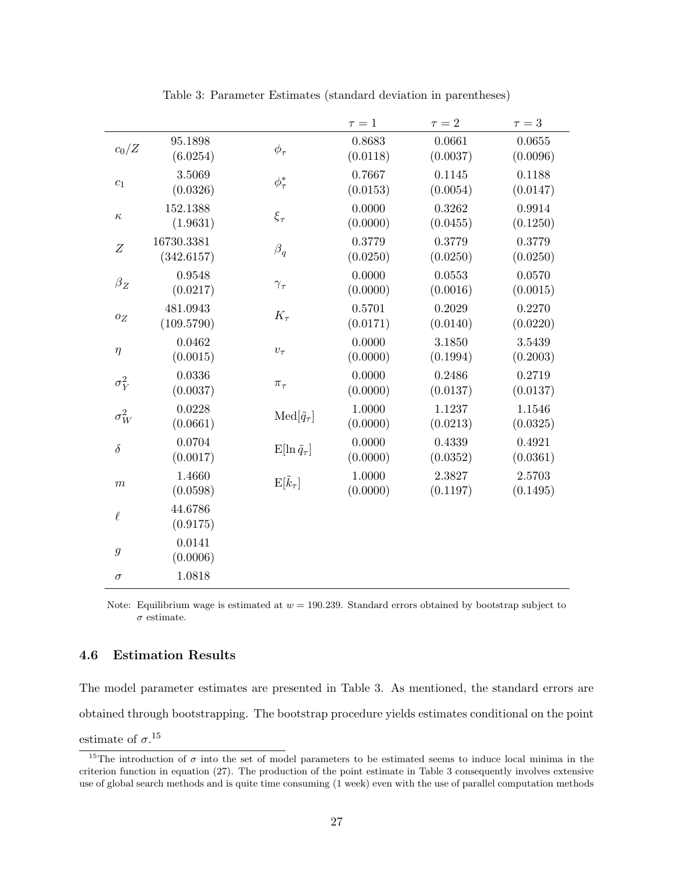|                  |                          |                                    | $\tau=1$           | $\tau=2$           | $\tau = 3$         |
|------------------|--------------------------|------------------------------------|--------------------|--------------------|--------------------|
| $c_0/Z$          | 95.1898<br>(6.0254)      | $\phi_\tau$                        | 0.8683<br>(0.0118) | 0.0661<br>(0.0037) | 0.0655<br>(0.0096) |
| $c_1$            | 3.5069<br>(0.0326)       | $\phi^*_\tau$                      | 0.7667<br>(0.0153) | 0.1145<br>(0.0054) | 0.1188<br>(0.0147) |
| $\kappa$         | 152.1388<br>(1.9631)     | $\xi_{\tau}$                       | 0.0000<br>(0.0000) | 0.3262<br>(0.0455) | 0.9914<br>(0.1250) |
| Z                | 16730.3381<br>(342.6157) | $\beta_q$                          | 0.3779<br>(0.0250) | 0.3779<br>(0.0250) | 0.3779<br>(0.0250) |
| $\beta_Z$        | 0.9548<br>(0.0217)       | $\gamma_\tau$                      | 0.0000<br>(0.0000) | 0.0553<br>(0.0016) | 0.0570<br>(0.0015) |
| $O_{Z}$          | 481.0943<br>(109.5790)   | $K_{\tau}$                         | 0.5701<br>(0.0171) | 0.2029<br>(0.0140) | 0.2270<br>(0.0220) |
| $\eta$           | 0.0462<br>(0.0015)       | $v_\tau$                           | 0.0000<br>(0.0000) | 3.1850<br>(0.1994) | 3.5439<br>(0.2003) |
| $\sigma_Y^2$     | 0.0336<br>(0.0037)       | $\pi_{\tau}$                       | 0.0000<br>(0.0000) | 0.2486<br>(0.0137) | 0.2719<br>(0.0137) |
| $\sigma_W^2$     | 0.0228<br>(0.0661)       | $\text{Med}[\tilde{q}_{\tau}]$     | 1.0000<br>(0.0000) | 1.1237<br>(0.0213) | 1.1546<br>(0.0325) |
| $\delta$         | 0.0704<br>(0.0017)       | $\mathbb{E}[\ln \tilde{q}_{\tau}]$ | 0.0000<br>(0.0000) | 0.4339<br>(0.0352) | 0.4921<br>(0.0361) |
| $\,m$            | 1.4660<br>(0.0598)       | $E[\tilde{k}_{\tau}]$              | 1.0000<br>(0.0000) | 2.3827<br>(0.1197) | 2.5703<br>(0.1495) |
| $\ell$           | 44.6786<br>(0.9175)      |                                    |                    |                    |                    |
| $\boldsymbol{g}$ | 0.0141<br>(0.0006)       |                                    |                    |                    |                    |
| $\sigma$         | 1.0818                   |                                    |                    |                    |                    |

Table 3: Parameter Estimates (standard deviation in parentheses)

Note: Equilibrium wage is estimated at  $w = 190.239$ . Standard errors obtained by bootstrap subject to  $\sigma$  estimate.

## 4.6 Estimation Results

The model parameter estimates are presented in Table 3. As mentioned, the standard errors are obtained through bootstrapping. The bootstrap procedure yields estimates conditional on the point estimate of  $\sigma$ <sup>15</sup>

<sup>&</sup>lt;sup>15</sup>The introduction of  $\sigma$  into the set of model parameters to be estimated seems to induce local minima in the criterion function in equation (27). The production of the point estimate in Table 3 consequently involves extensive use of global search methods and is quite time consuming (1 week) even with the use of parallel computation methods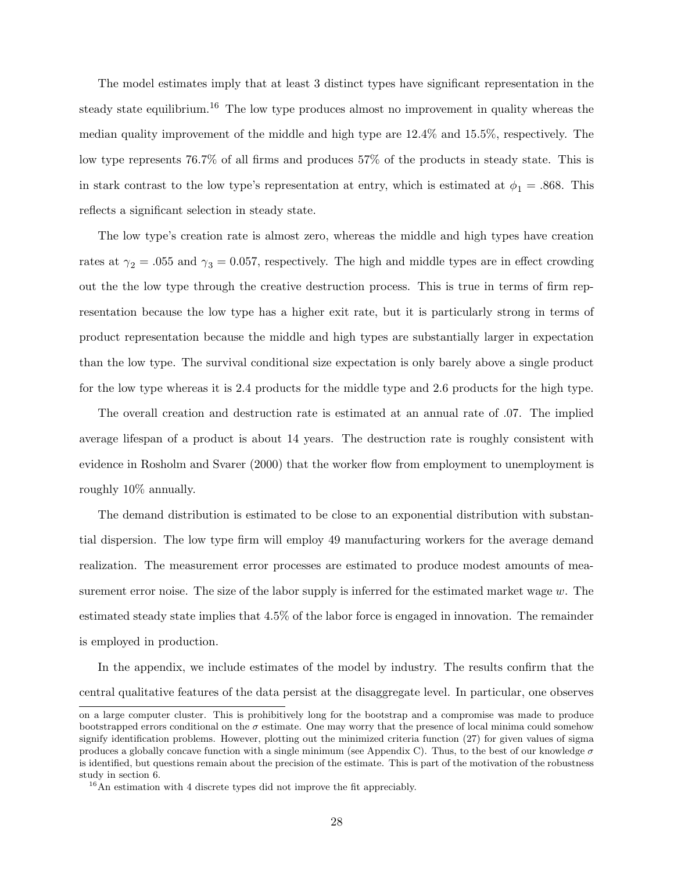The model estimates imply that at least 3 distinct types have significant representation in the steady state equilibrium.<sup>16</sup> The low type produces almost no improvement in quality whereas the median quality improvement of the middle and high type are 12.4% and 15.5%, respectively. The low type represents 76.7% of all firms and produces 57% of the products in steady state. This is in stark contrast to the low type's representation at entry, which is estimated at  $\phi_1 = .868$ . This reflects a significant selection in steady state.

The low type's creation rate is almost zero, whereas the middle and high types have creation rates at  $\gamma_2 = .055$  and  $\gamma_3 = 0.057$ , respectively. The high and middle types are in effect crowding out the the low type through the creative destruction process. This is true in terms of firm representation because the low type has a higher exit rate, but it is particularly strong in terms of product representation because the middle and high types are substantially larger in expectation than the low type. The survival conditional size expectation is only barely above a single product for the low type whereas it is 2.4 products for the middle type and 2.6 products for the high type.

The overall creation and destruction rate is estimated at an annual rate of .07. The implied average lifespan of a product is about 14 years. The destruction rate is roughly consistent with evidence in Rosholm and Svarer (2000) that the worker flow from employment to unemployment is roughly 10% annually.

The demand distribution is estimated to be close to an exponential distribution with substantial dispersion. The low type firm will employ 49 manufacturing workers for the average demand realization. The measurement error processes are estimated to produce modest amounts of measurement error noise. The size of the labor supply is inferred for the estimated market wage w. The estimated steady state implies that 4.5% of the labor force is engaged in innovation. The remainder is employed in production.

In the appendix, we include estimates of the model by industry. The results confirm that the central qualitative features of the data persist at the disaggregate level. In particular, one observes

on a large computer cluster. This is prohibitively long for the bootstrap and a compromise was made to produce bootstrapped errors conditional on the  $\sigma$  estimate. One may worry that the presence of local minima could somehow signify identification problems. However, plotting out the minimized criteria function (27) for given values of sigma produces a globally concave function with a single minimum (see Appendix C). Thus, to the best of our knowledge  $\sigma$ is identified, but questions remain about the precision of the estimate. This is part of the motivation of the robustness study in section 6.

<sup>16</sup>An estimation with 4 discrete types did not improve the fit appreciably.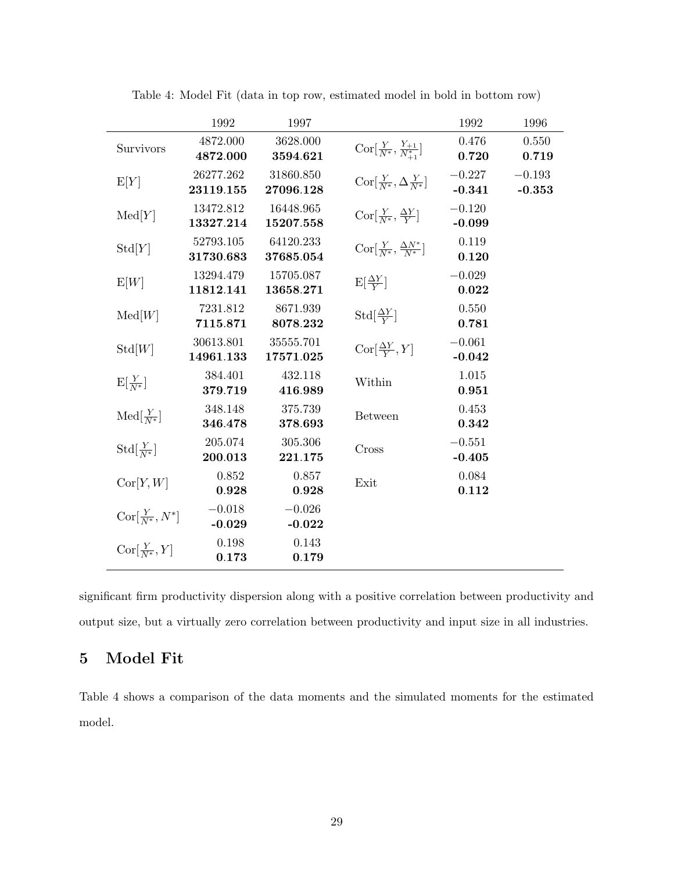|                             | 1992                   | 1997                   |                                               | 1992                 | 1996                 |
|-----------------------------|------------------------|------------------------|-----------------------------------------------|----------------------|----------------------|
| Survivors                   | 4872.000<br>4872.000   | 3628.000<br>3594.621   | $Cor[\frac{Y}{N^*}, \frac{Y_{+1}}{N^*_{+1}}]$ | 0.476<br>0.720       | 0.550<br>0.719       |
| E[Y]                        | 26277.262<br>23119.155 | 31860.850<br>27096.128 | $Cor[\frac{Y}{N^*}, \Delta \frac{Y}{N^*}]$    | $-0.227$<br>$-0.341$ | $-0.193$<br>$-0.353$ |
| Med[Y]                      | 13472.812<br>13327.214 | 16448.965<br>15207.558 | $Cor[\frac{Y}{N^*}, \frac{\Delta Y}{Y}]$      | $-0.120$<br>$-0.099$ |                      |
| $\mathrm{Std}[Y]$           | 52793.105<br>31730.683 | 64120.233<br>37685.054 | $Cor[\frac{Y}{N^*}, \frac{\Delta N^*}{N^*}]$  | 0.119<br>0.120       |                      |
| E[W]                        | 13294.479<br>11812.141 | 15705.087<br>13658.271 | $E[\frac{\Delta Y}{Y}]$                       | $-0.029$<br>0.022    |                      |
| Med[W]                      | 7231.812<br>7115.871   | 8671.939<br>8078.232   | $\text{Std}[\frac{\Delta Y}{Y}]$              | 0.550<br>0.781       |                      |
| $\mathrm{Std}[W]$           | 30613.801<br>14961.133 | 35555.701<br>17571.025 | $Cor[\frac{\Delta Y}{Y}, Y]$                  | $-0.061$<br>$-0.042$ |                      |
| $E[\frac{Y}{N^*}]$          | 384.401<br>379.719     | 432.118<br>416.989     | Within                                        | 1.015<br>0.951       |                      |
| $\text{Med}[\frac{Y}{N^*}]$ | 348.148<br>346.478     | 375.739<br>378.693     | <b>Between</b>                                | 0.453<br>0.342       |                      |
| $\text{Std}[\frac{Y}{N^*}]$ | 205.074<br>200.013     | 305.306<br>221.175     | Cross                                         | $-0.551$<br>$-0.405$ |                      |
| Cor[Y, W]                   | 0.852<br>0.928         | 0.857<br>0.928         | Exit                                          | 0.084<br>0.112       |                      |
| $Cor[\frac{Y}{N^*}, N^*]$   | $-0.018$<br>$-0.029$   | $-0.026$<br>$-0.022$   |                                               |                      |                      |
| $Cor[\frac{Y}{N^*}, Y]$     | 0.198<br>0.173         | 0.143<br>0.179         |                                               |                      |                      |

Table 4: Model Fit (data in top row, estimated model in bold in bottom row)

significant firm productivity dispersion along with a positive correlation between productivity and output size, but a virtually zero correlation between productivity and input size in all industries.

# 5 Model Fit

Table 4 shows a comparison of the data moments and the simulated moments for the estimated model.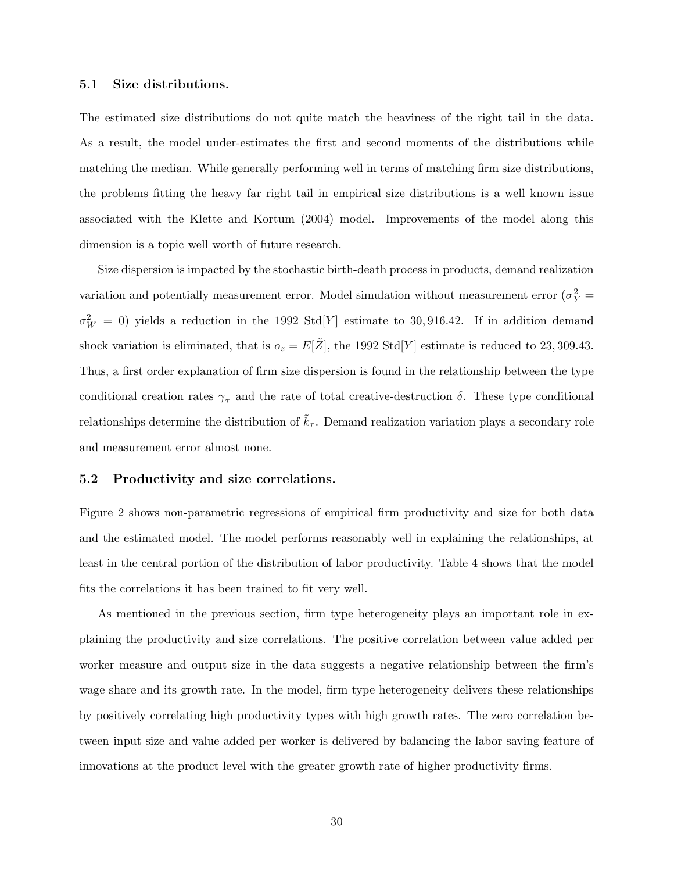## 5.1 Size distributions.

The estimated size distributions do not quite match the heaviness of the right tail in the data. As a result, the model under-estimates the first and second moments of the distributions while matching the median. While generally performing well in terms of matching firm size distributions, the problems fitting the heavy far right tail in empirical size distributions is a well known issue associated with the Klette and Kortum (2004) model. Improvements of the model along this dimension is a topic well worth of future research.

Size dispersion is impacted by the stochastic birth-death process in products, demand realization variation and potentially measurement error. Model simulation without measurement error  $(\sigma_Y^2 =$  $\sigma_W^2 = 0$ ) yields a reduction in the 1992 Std[Y] estimate to 30,916.42. If in addition demand shock variation is eliminated, that is  $o_z = E[\tilde{Z}]$ , the 1992 Std[Y] estimate is reduced to 23, 309.43. Thus, a first order explanation of firm size dispersion is found in the relationship between the type conditional creation rates  $\gamma_{\tau}$  and the rate of total creative-destruction  $\delta$ . These type conditional relationships determine the distribution of  $\tilde{k}_{\tau}$ . Demand realization variation plays a secondary role and measurement error almost none.

## 5.2 Productivity and size correlations.

Figure 2 shows non-parametric regressions of empirical firm productivity and size for both data and the estimated model. The model performs reasonably well in explaining the relationships, at least in the central portion of the distribution of labor productivity. Table 4 shows that the model fits the correlations it has been trained to fit very well.

As mentioned in the previous section, firm type heterogeneity plays an important role in explaining the productivity and size correlations. The positive correlation between value added per worker measure and output size in the data suggests a negative relationship between the firm's wage share and its growth rate. In the model, firm type heterogeneity delivers these relationships by positively correlating high productivity types with high growth rates. The zero correlation between input size and value added per worker is delivered by balancing the labor saving feature of innovations at the product level with the greater growth rate of higher productivity firms.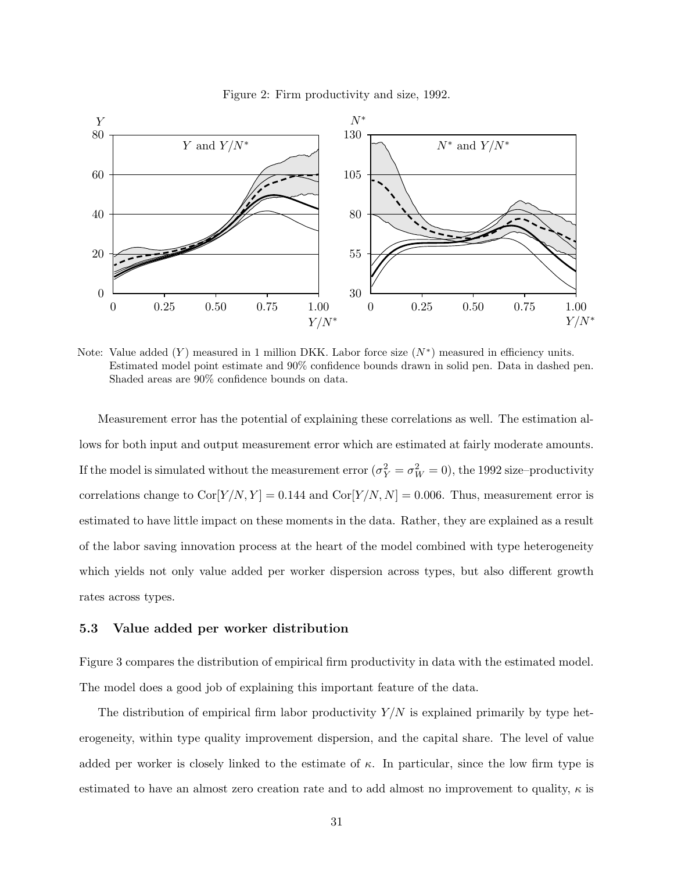

Figure 2: Firm productivity and size, 1992.

Note: Value added  $(Y)$  measured in 1 million DKK. Labor force size  $(N^*)$  measured in efficiency units. Estimated model point estimate and 90% confidence bounds drawn in solid pen. Data in dashed pen. Shaded areas are 90% confidence bounds on data.

Measurement error has the potential of explaining these correlations as well. The estimation allows for both input and output measurement error which are estimated at fairly moderate amounts. If the model is simulated without the measurement error  $(\sigma_Y^2 = \sigma_W^2 = 0)$ , the 1992 size–productivity correlations change to  $Cor[Y/N, Y] = 0.144$  and  $Cor[Y/N, N] = 0.006$ . Thus, measurement error is estimated to have little impact on these moments in the data. Rather, they are explained as a result of the labor saving innovation process at the heart of the model combined with type heterogeneity which yields not only value added per worker dispersion across types, but also different growth rates across types.

## 5.3 Value added per worker distribution

Figure 3 compares the distribution of empirical firm productivity in data with the estimated model. The model does a good job of explaining this important feature of the data.

The distribution of empirical firm labor productivity  $Y/N$  is explained primarily by type heterogeneity, within type quality improvement dispersion, and the capital share. The level of value added per worker is closely linked to the estimate of  $\kappa$ . In particular, since the low firm type is estimated to have an almost zero creation rate and to add almost no improvement to quality,  $\kappa$  is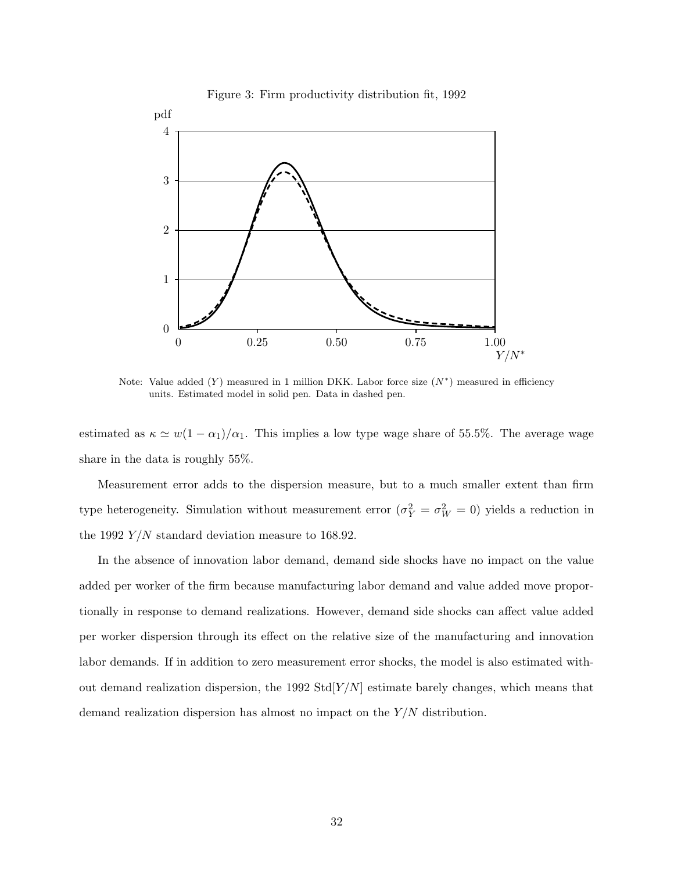

Figure 3: Firm productivity distribution fit, 1992

Note: Value added  $(Y)$  measured in 1 million DKK. Labor force size  $(N^*)$  measured in efficiency units. Estimated model in solid pen. Data in dashed pen.

estimated as  $\kappa \simeq w(1-\alpha_1)/\alpha_1$ . This implies a low type wage share of 55.5%. The average wage share in the data is roughly 55%.

Measurement error adds to the dispersion measure, but to a much smaller extent than firm type heterogeneity. Simulation without measurement error  $(\sigma_Y^2 = \sigma_W^2 = 0)$  yields a reduction in the 1992  $Y/N$  standard deviation measure to 168.92.

In the absence of innovation labor demand, demand side shocks have no impact on the value added per worker of the firm because manufacturing labor demand and value added move proportionally in response to demand realizations. However, demand side shocks can affect value added per worker dispersion through its effect on the relative size of the manufacturing and innovation labor demands. If in addition to zero measurement error shocks, the model is also estimated without demand realization dispersion, the 1992 Std $[Y/N]$  estimate barely changes, which means that demand realization dispersion has almost no impact on the  $Y/N$  distribution.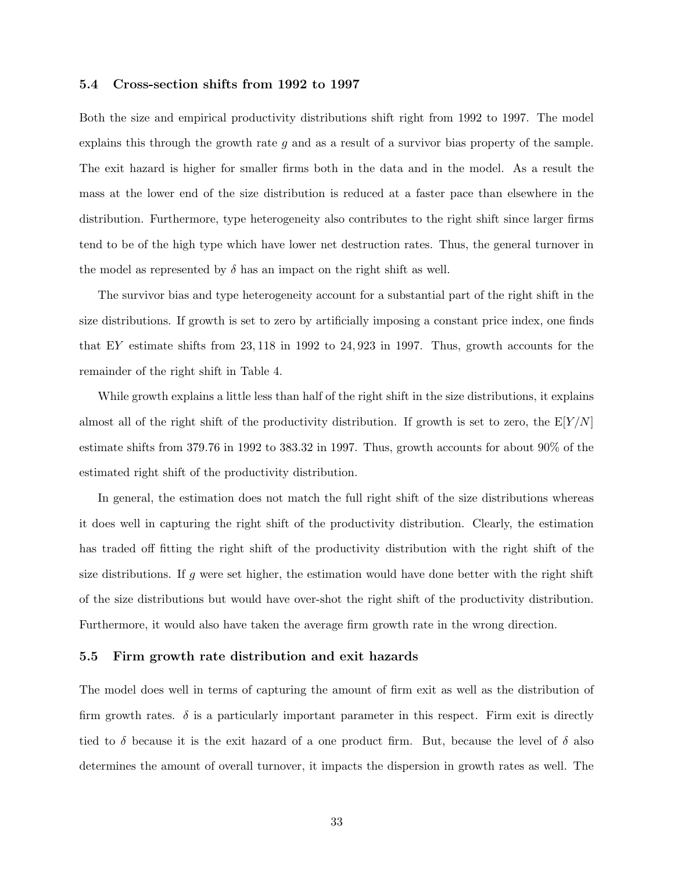## 5.4 Cross-section shifts from 1992 to 1997

Both the size and empirical productivity distributions shift right from 1992 to 1997. The model explains this through the growth rate  $g$  and as a result of a survivor bias property of the sample. The exit hazard is higher for smaller firms both in the data and in the model. As a result the mass at the lower end of the size distribution is reduced at a faster pace than elsewhere in the distribution. Furthermore, type heterogeneity also contributes to the right shift since larger firms tend to be of the high type which have lower net destruction rates. Thus, the general turnover in the model as represented by  $\delta$  has an impact on the right shift as well.

The survivor bias and type heterogeneity account for a substantial part of the right shift in the size distributions. If growth is set to zero by artificially imposing a constant price index, one finds that EY estimate shifts from 23, 118 in 1992 to 24, 923 in 1997. Thus, growth accounts for the remainder of the right shift in Table 4.

While growth explains a little less than half of the right shift in the size distributions, it explains almost all of the right shift of the productivity distribution. If growth is set to zero, the  $E[Y/N]$ estimate shifts from 379.76 in 1992 to 383.32 in 1997. Thus, growth accounts for about 90% of the estimated right shift of the productivity distribution.

In general, the estimation does not match the full right shift of the size distributions whereas it does well in capturing the right shift of the productivity distribution. Clearly, the estimation has traded off fitting the right shift of the productivity distribution with the right shift of the size distributions. If g were set higher, the estimation would have done better with the right shift of the size distributions but would have over-shot the right shift of the productivity distribution. Furthermore, it would also have taken the average firm growth rate in the wrong direction.

#### 5.5 Firm growth rate distribution and exit hazards

The model does well in terms of capturing the amount of firm exit as well as the distribution of firm growth rates.  $\delta$  is a particularly important parameter in this respect. Firm exit is directly tied to  $\delta$  because it is the exit hazard of a one product firm. But, because the level of  $\delta$  also determines the amount of overall turnover, it impacts the dispersion in growth rates as well. The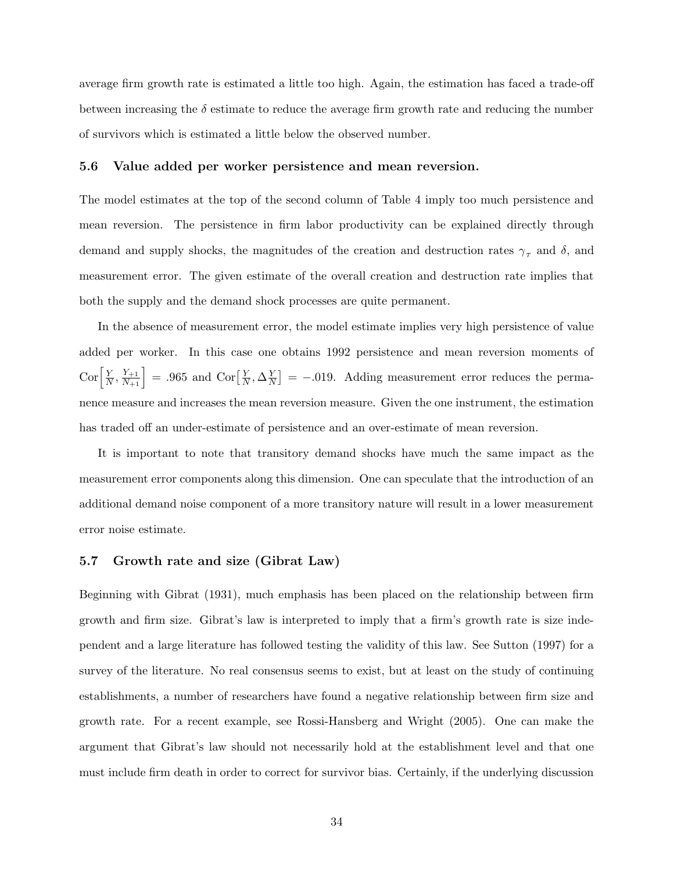average firm growth rate is estimated a little too high. Again, the estimation has faced a trade-off between increasing the  $\delta$  estimate to reduce the average firm growth rate and reducing the number of survivors which is estimated a little below the observed number.

## 5.6 Value added per worker persistence and mean reversion.

The model estimates at the top of the second column of Table 4 imply too much persistence and mean reversion. The persistence in firm labor productivity can be explained directly through demand and supply shocks, the magnitudes of the creation and destruction rates  $\gamma_{\tau}$  and  $\delta$ , and measurement error. The given estimate of the overall creation and destruction rate implies that both the supply and the demand shock processes are quite permanent.

In the absence of measurement error, the model estimate implies very high persistence of value added per worker. In this case one obtains 1992 persistence and mean reversion moments of  $\operatorname{Cor} \left[ \frac{Y}{\lambda} \right]$  $\left[\frac{Y}{N}, \frac{Y_{+1}}{N_{+1}}\right] = .965$  and  $\text{Cor}\left[\frac{Y}{N}\right]$  $\left[\frac{Y}{N}, \Delta \frac{Y}{N}\right] = -.019.$  Adding measurement error reduces the permanence measure and increases the mean reversion measure. Given the one instrument, the estimation has traded off an under-estimate of persistence and an over-estimate of mean reversion.

It is important to note that transitory demand shocks have much the same impact as the measurement error components along this dimension. One can speculate that the introduction of an additional demand noise component of a more transitory nature will result in a lower measurement error noise estimate.

## 5.7 Growth rate and size (Gibrat Law)

Beginning with Gibrat (1931), much emphasis has been placed on the relationship between firm growth and firm size. Gibrat's law is interpreted to imply that a firm's growth rate is size independent and a large literature has followed testing the validity of this law. See Sutton (1997) for a survey of the literature. No real consensus seems to exist, but at least on the study of continuing establishments, a number of researchers have found a negative relationship between firm size and growth rate. For a recent example, see Rossi-Hansberg and Wright (2005). One can make the argument that Gibrat's law should not necessarily hold at the establishment level and that one must include firm death in order to correct for survivor bias. Certainly, if the underlying discussion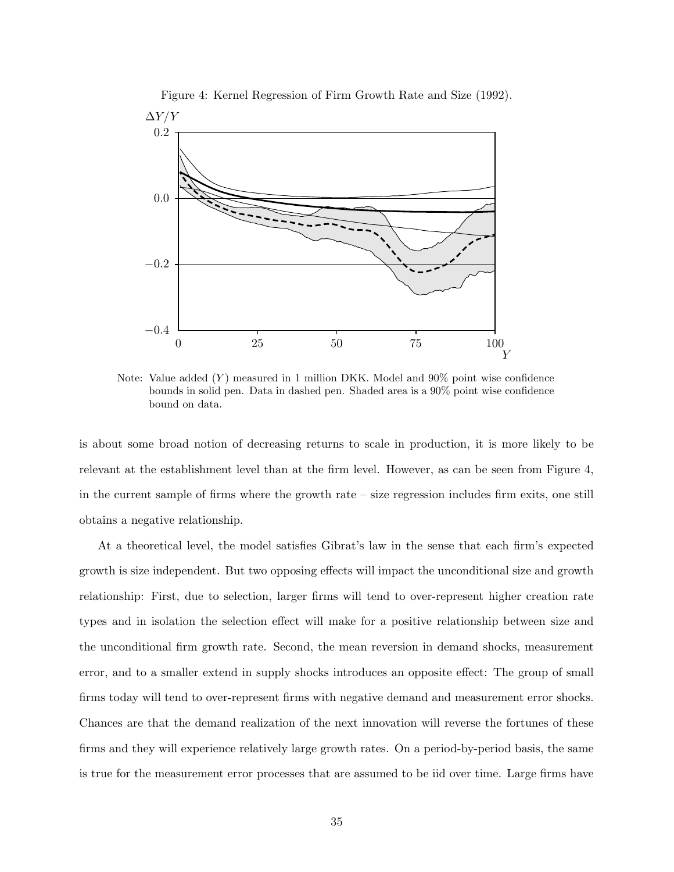

Figure 4: Kernel Regression of Firm Growth Rate and Size (1992).

Note: Value added  $(Y)$  measured in 1 million DKK. Model and 90% point wise confidence bounds in solid pen. Data in dashed pen. Shaded area is a 90% point wise confidence bound on data.

is about some broad notion of decreasing returns to scale in production, it is more likely to be relevant at the establishment level than at the firm level. However, as can be seen from Figure 4, in the current sample of firms where the growth rate – size regression includes firm exits, one still obtains a negative relationship.

At a theoretical level, the model satisfies Gibrat's law in the sense that each firm's expected growth is size independent. But two opposing effects will impact the unconditional size and growth relationship: First, due to selection, larger firms will tend to over-represent higher creation rate types and in isolation the selection effect will make for a positive relationship between size and the unconditional firm growth rate. Second, the mean reversion in demand shocks, measurement error, and to a smaller extend in supply shocks introduces an opposite effect: The group of small firms today will tend to over-represent firms with negative demand and measurement error shocks. Chances are that the demand realization of the next innovation will reverse the fortunes of these firms and they will experience relatively large growth rates. On a period-by-period basis, the same is true for the measurement error processes that are assumed to be iid over time. Large firms have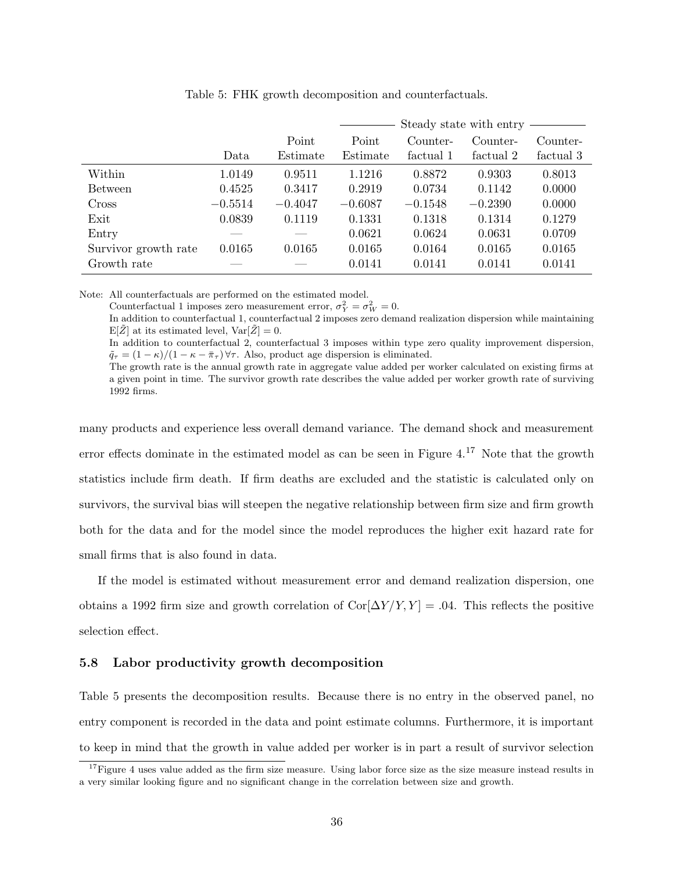|                      |           | Point     | Point     | Counter-  | Counter-  | Counter-  |
|----------------------|-----------|-----------|-----------|-----------|-----------|-----------|
|                      | Data      | Estimate  | Estimate  | factual 1 | factual 2 | factual 3 |
| Within               | 1.0149    | 0.9511    | 1.1216    | 0.8872    | 0.9303    | 0.8013    |
| <b>Between</b>       | 0.4525    | 0.3417    | 0.2919    | 0.0734    | 0.1142    | 0.0000    |
| Cross                | $-0.5514$ | $-0.4047$ | $-0.6087$ | $-0.1548$ | $-0.2390$ | 0.0000    |
| Exit                 | 0.0839    | 0.1119    | 0.1331    | 0.1318    | 0.1314    | 0.1279    |
| Entry                |           |           | 0.0621    | 0.0624    | 0.0631    | 0.0709    |
| Survivor growth rate | 0.0165    | 0.0165    | 0.0165    | 0.0164    | 0.0165    | 0.0165    |
| Growth rate          |           |           | 0.0141    | 0.0141    | 0.0141    | 0.0141    |

Table 5: FHK growth decomposition and counterfactuals.

Note: All counterfactuals are performed on the estimated model.

Counterfactual 1 imposes zero measurement error,  $\sigma_Y^2 = \sigma_W^2 = 0$ .

In addition to counterfactual 1, counterfactual 2 imposes zero demand realization dispersion while maintaining  $E[\tilde{Z}]$  at its estimated level,  $Var[\tilde{Z}] = 0$ .

In addition to counterfactual 2, counterfactual 3 imposes within type zero quality improvement dispersion,  $\tilde{q}_{\tau} = (1 - \kappa)/(1 - \kappa - \bar{\pi}_{\tau}) \forall \tau$ . Also, product age dispersion is eliminated.

The growth rate is the annual growth rate in aggregate value added per worker calculated on existing firms at a given point in time. The survivor growth rate describes the value added per worker growth rate of surviving 1992 firms.

many products and experience less overall demand variance. The demand shock and measurement error effects dominate in the estimated model as can be seen in Figure 4.<sup>17</sup> Note that the growth statistics include firm death. If firm deaths are excluded and the statistic is calculated only on survivors, the survival bias will steepen the negative relationship between firm size and firm growth both for the data and for the model since the model reproduces the higher exit hazard rate for small firms that is also found in data.

If the model is estimated without measurement error and demand realization dispersion, one obtains a 1992 firm size and growth correlation of  $\text{Cor}[\Delta Y/Y, Y] = .04$ . This reflects the positive selection effect.

## 5.8 Labor productivity growth decomposition

Table 5 presents the decomposition results. Because there is no entry in the observed panel, no entry component is recorded in the data and point estimate columns. Furthermore, it is important to keep in mind that the growth in value added per worker is in part a result of survivor selection

 $17$  Figure 4 uses value added as the firm size measure. Using labor force size as the size measure instead results in a very similar looking figure and no significant change in the correlation between size and growth.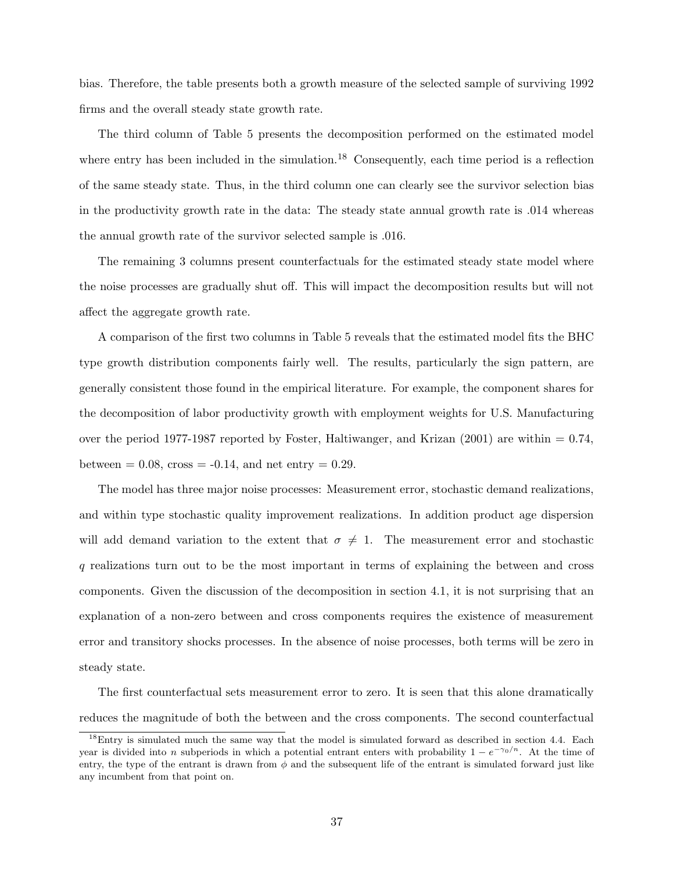bias. Therefore, the table presents both a growth measure of the selected sample of surviving 1992 firms and the overall steady state growth rate.

The third column of Table 5 presents the decomposition performed on the estimated model where entry has been included in the simulation.<sup>18</sup> Consequently, each time period is a reflection of the same steady state. Thus, in the third column one can clearly see the survivor selection bias in the productivity growth rate in the data: The steady state annual growth rate is .014 whereas the annual growth rate of the survivor selected sample is .016.

The remaining 3 columns present counterfactuals for the estimated steady state model where the noise processes are gradually shut off. This will impact the decomposition results but will not affect the aggregate growth rate.

A comparison of the first two columns in Table 5 reveals that the estimated model fits the BHC type growth distribution components fairly well. The results, particularly the sign pattern, are generally consistent those found in the empirical literature. For example, the component shares for the decomposition of labor productivity growth with employment weights for U.S. Manufacturing over the period 1977-1987 reported by Foster, Haltiwanger, and Krizan  $(2001)$  are within  $= 0.74$ , between  $= 0.08$ , cross  $= -0.14$ , and net entry  $= 0.29$ .

The model has three major noise processes: Measurement error, stochastic demand realizations, and within type stochastic quality improvement realizations. In addition product age dispersion will add demand variation to the extent that  $\sigma \neq 1$ . The measurement error and stochastic q realizations turn out to be the most important in terms of explaining the between and cross components. Given the discussion of the decomposition in section 4.1, it is not surprising that an explanation of a non-zero between and cross components requires the existence of measurement error and transitory shocks processes. In the absence of noise processes, both terms will be zero in steady state.

The first counterfactual sets measurement error to zero. It is seen that this alone dramatically reduces the magnitude of both the between and the cross components. The second counterfactual

<sup>&</sup>lt;sup>18</sup>Entry is simulated much the same way that the model is simulated forward as described in section 4.4. Each year is divided into *n* subperiods in which a potential entrant enters with probability  $1 - e^{-\gamma_0/n}$ . At the time of entry, the type of the entrant is drawn from  $\phi$  and the subsequent life of the entrant is simulated forward just like any incumbent from that point on.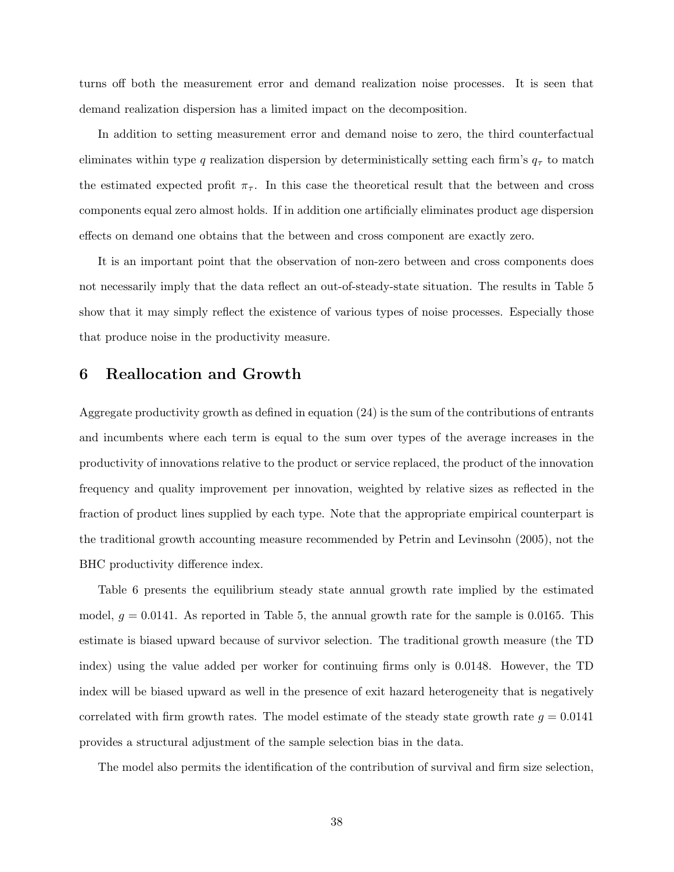turns off both the measurement error and demand realization noise processes. It is seen that demand realization dispersion has a limited impact on the decomposition.

In addition to setting measurement error and demand noise to zero, the third counterfactual eliminates within type q realization dispersion by deterministically setting each firm's  $q<sub>\tau</sub>$  to match the estimated expected profit  $\pi_{\tau}$ . In this case the theoretical result that the between and cross components equal zero almost holds. If in addition one artificially eliminates product age dispersion effects on demand one obtains that the between and cross component are exactly zero.

It is an important point that the observation of non-zero between and cross components does not necessarily imply that the data reflect an out-of-steady-state situation. The results in Table 5 show that it may simply reflect the existence of various types of noise processes. Especially those that produce noise in the productivity measure.

## 6 Reallocation and Growth

Aggregate productivity growth as defined in equation (24) is the sum of the contributions of entrants and incumbents where each term is equal to the sum over types of the average increases in the productivity of innovations relative to the product or service replaced, the product of the innovation frequency and quality improvement per innovation, weighted by relative sizes as reflected in the fraction of product lines supplied by each type. Note that the appropriate empirical counterpart is the traditional growth accounting measure recommended by Petrin and Levinsohn (2005), not the BHC productivity difference index.

Table 6 presents the equilibrium steady state annual growth rate implied by the estimated model,  $g = 0.0141$ . As reported in Table 5, the annual growth rate for the sample is 0.0165. This estimate is biased upward because of survivor selection. The traditional growth measure (the TD index) using the value added per worker for continuing firms only is 0.0148. However, the TD index will be biased upward as well in the presence of exit hazard heterogeneity that is negatively correlated with firm growth rates. The model estimate of the steady state growth rate  $g = 0.0141$ provides a structural adjustment of the sample selection bias in the data.

The model also permits the identification of the contribution of survival and firm size selection,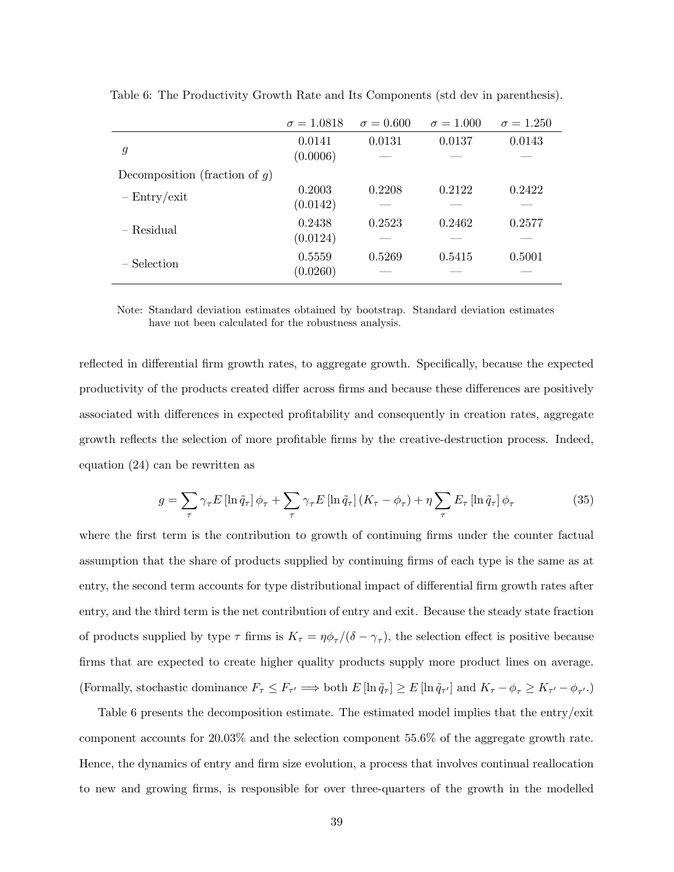|                                  | $\sigma = 1.0818$ | $\sigma = 0.600$ | $\sigma = 1.000$ | $\sigma = 1.250$ |
|----------------------------------|-------------------|------------------|------------------|------------------|
|                                  | 0.0141            | 0.0131           | 0.0137           | 0.0143           |
| $\mathfrak g$                    | (0.0006)          |                  |                  |                  |
| Decomposition (fraction of $q$ ) |                   |                  |                  |                  |
| $-$ Entry/exit                   | 0.2003            | 0.2208           | 0.2122           | 0.2422           |
|                                  | (0.0142)          |                  |                  |                  |
| - Residual                       | 0.2438            | 0.2523           | 0.2462           | 0.2577           |
|                                  | (0.0124)          |                  |                  |                  |
| $-$ Selection                    | 0.5559            | 0.5269           | 0.5415           | 0.5001           |
|                                  | (0.0260)          |                  |                  |                  |

Table 6: The Productivity Growth Rate and Its Components (std dev in parenthesis).

Note: Standard deviation estimates obtained by bootstrap. Standard deviation estimates have not been calculated for the robustness analysis.

reflected in differential firm growth rates, to aggregate growth. Specifically, because the expected productivity of the products created differ across firms and because these differences are positively associated with differences in expected profitability and consequently in creation rates, aggregate growth reflects the selection of more profitable firms by the creative-destruction process. Indeed, equation (24) can be rewritten as

$$
g = \sum_{\tau} \gamma_{\tau} E \left[ \ln \tilde{q}_{\tau} \right] \phi_{\tau} + \sum_{\tau} \gamma_{\tau} E \left[ \ln \tilde{q}_{\tau} \right] \left( K_{\tau} - \phi_{\tau} \right) + \eta \sum_{\tau} E_{\tau} \left[ \ln \tilde{q}_{\tau} \right] \phi_{\tau}
$$
(35)

where the first term is the contribution to growth of continuing firms under the counter factual assumption that the share of products supplied by continuing firms of each type is the same as at entry, the second term accounts for type distributional impact of differential firm growth rates after entry, and the third term is the net contribution of entry and exit. Because the steady state fraction of products supplied by type  $\tau$  firms is  $K_{\tau} = \eta \phi_{\tau}/(\delta - \gamma_{\tau})$ , the selection effect is positive because firms that are expected to create higher quality products supply more product lines on average. (Formally, stochastic dominance  $F_{\tau} \leq F_{\tau'} \Longrightarrow$  both  $E[\ln \tilde{q}_{\tau}] \geq E[\ln \tilde{q}_{\tau'}]$  and  $K_{\tau} - \phi_{\tau} \geq K_{\tau'} - \phi_{\tau'}]$ .)

Table 6 presents the decomposition estimate. The estimated model implies that the entry/exit component accounts for 20.03% and the selection component 55.6% of the aggregate growth rate. Hence, the dynamics of entry and firm size evolution, a process that involves continual reallocation to new and growing firms, is responsible for over three-quarters of the growth in the modelled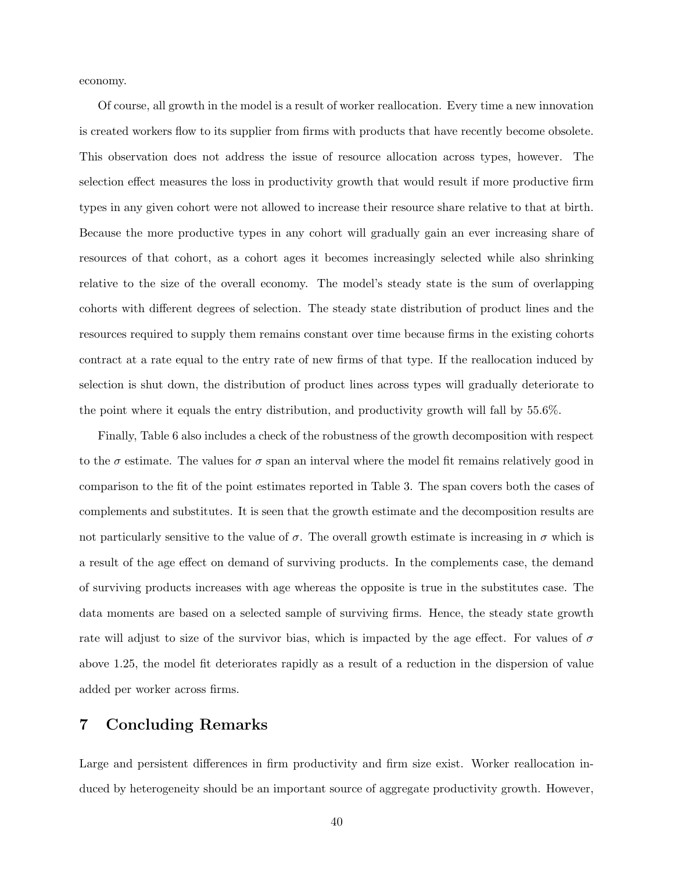economy.

Of course, all growth in the model is a result of worker reallocation. Every time a new innovation is created workers flow to its supplier from firms with products that have recently become obsolete. This observation does not address the issue of resource allocation across types, however. The selection effect measures the loss in productivity growth that would result if more productive firm types in any given cohort were not allowed to increase their resource share relative to that at birth. Because the more productive types in any cohort will gradually gain an ever increasing share of resources of that cohort, as a cohort ages it becomes increasingly selected while also shrinking relative to the size of the overall economy. The model's steady state is the sum of overlapping cohorts with different degrees of selection. The steady state distribution of product lines and the resources required to supply them remains constant over time because firms in the existing cohorts contract at a rate equal to the entry rate of new firms of that type. If the reallocation induced by selection is shut down, the distribution of product lines across types will gradually deteriorate to the point where it equals the entry distribution, and productivity growth will fall by 55.6%.

Finally, Table 6 also includes a check of the robustness of the growth decomposition with respect to the  $\sigma$  estimate. The values for  $\sigma$  span an interval where the model fit remains relatively good in comparison to the fit of the point estimates reported in Table 3. The span covers both the cases of complements and substitutes. It is seen that the growth estimate and the decomposition results are not particularly sensitive to the value of  $\sigma$ . The overall growth estimate is increasing in  $\sigma$  which is a result of the age effect on demand of surviving products. In the complements case, the demand of surviving products increases with age whereas the opposite is true in the substitutes case. The data moments are based on a selected sample of surviving firms. Hence, the steady state growth rate will adjust to size of the survivor bias, which is impacted by the age effect. For values of  $\sigma$ above 1.25, the model fit deteriorates rapidly as a result of a reduction in the dispersion of value added per worker across firms.

## 7 Concluding Remarks

Large and persistent differences in firm productivity and firm size exist. Worker reallocation induced by heterogeneity should be an important source of aggregate productivity growth. However,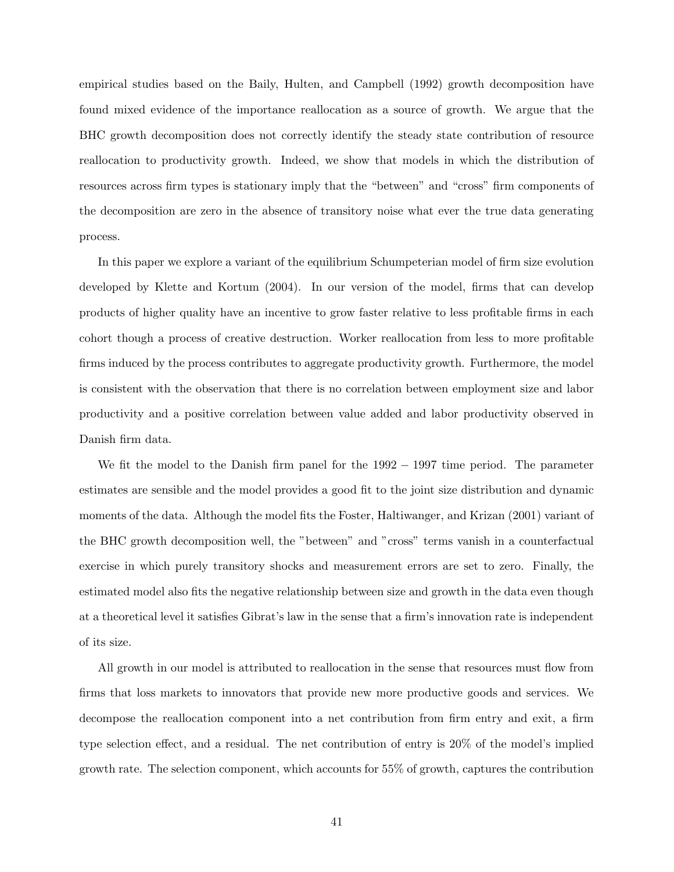empirical studies based on the Baily, Hulten, and Campbell (1992) growth decomposition have found mixed evidence of the importance reallocation as a source of growth. We argue that the BHC growth decomposition does not correctly identify the steady state contribution of resource reallocation to productivity growth. Indeed, we show that models in which the distribution of resources across firm types is stationary imply that the "between" and "cross" firm components of the decomposition are zero in the absence of transitory noise what ever the true data generating process.

In this paper we explore a variant of the equilibrium Schumpeterian model of firm size evolution developed by Klette and Kortum (2004). In our version of the model, firms that can develop products of higher quality have an incentive to grow faster relative to less profitable firms in each cohort though a process of creative destruction. Worker reallocation from less to more profitable firms induced by the process contributes to aggregate productivity growth. Furthermore, the model is consistent with the observation that there is no correlation between employment size and labor productivity and a positive correlation between value added and labor productivity observed in Danish firm data.

We fit the model to the Danish firm panel for the  $1992 - 1997$  time period. The parameter estimates are sensible and the model provides a good fit to the joint size distribution and dynamic moments of the data. Although the model fits the Foster, Haltiwanger, and Krizan (2001) variant of the BHC growth decomposition well, the "between" and "cross" terms vanish in a counterfactual exercise in which purely transitory shocks and measurement errors are set to zero. Finally, the estimated model also fits the negative relationship between size and growth in the data even though at a theoretical level it satisfies Gibrat's law in the sense that a firm's innovation rate is independent of its size.

All growth in our model is attributed to reallocation in the sense that resources must flow from firms that loss markets to innovators that provide new more productive goods and services. We decompose the reallocation component into a net contribution from firm entry and exit, a firm type selection effect, and a residual. The net contribution of entry is 20% of the model's implied growth rate. The selection component, which accounts for 55% of growth, captures the contribution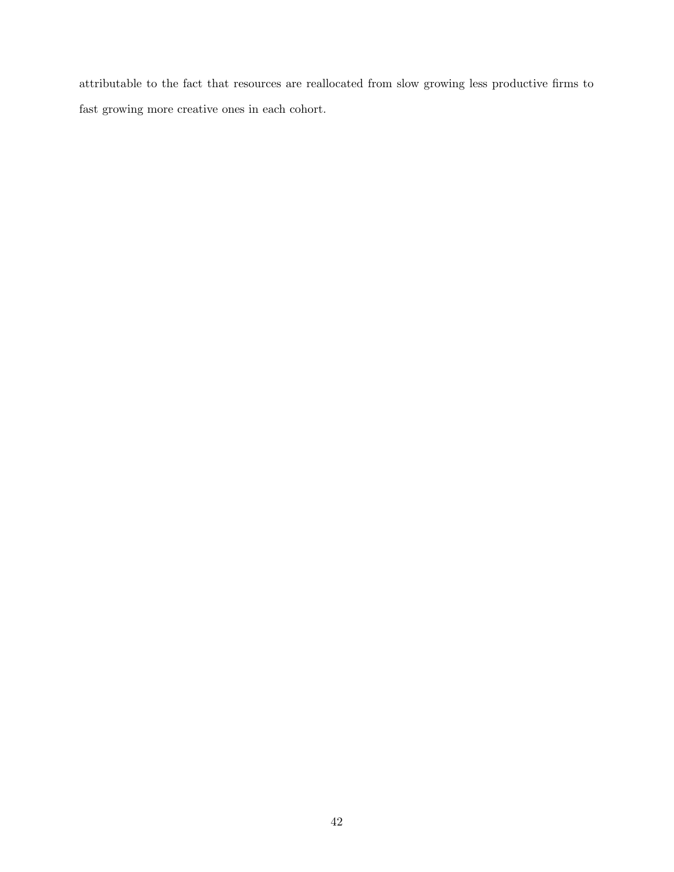attributable to the fact that resources are reallocated from slow growing less productive firms to fast growing more creative ones in each cohort.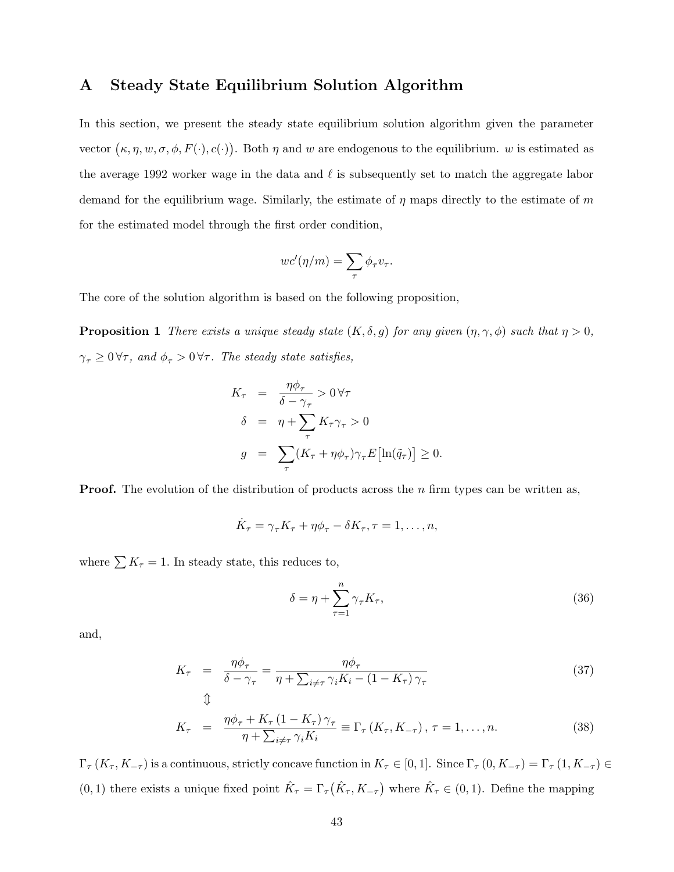## A Steady State Equilibrium Solution Algorithm

In this section, we present the steady state equilibrium solution algorithm given the parameter vector  $(\kappa, \eta, w, \sigma, \phi, F(\cdot), c(\cdot))$ . Both  $\eta$  and w are endogenous to the equilibrium. w is estimated as the average 1992 worker wage in the data and  $\ell$  is subsequently set to match the aggregate labor demand for the equilibrium wage. Similarly, the estimate of  $\eta$  maps directly to the estimate of m for the estimated model through the first order condition,

$$
wc'(\eta/m) = \sum_{\tau} \phi_{\tau} v_{\tau}.
$$

The core of the solution algorithm is based on the following proposition,

**Proposition 1** There exists a unique steady state  $(K, \delta, g)$  for any given  $(\eta, \gamma, \phi)$  such that  $\eta > 0$ ,  $\gamma_{\tau} \geq 0 \,\forall \tau$ , and  $\phi_{\tau} > 0 \,\forall \tau$ . The steady state satisfies,

$$
K_{\tau} = \frac{\eta \phi_{\tau}}{\delta - \gamma_{\tau}} > 0 \forall \tau
$$
  
\n
$$
\delta = \eta + \sum_{\tau} K_{\tau} \gamma_{\tau} > 0
$$
  
\n
$$
g = \sum_{\tau} (K_{\tau} + \eta \phi_{\tau}) \gamma_{\tau} E[\ln(\tilde{q}_{\tau})] \ge 0.
$$

**Proof.** The evolution of the distribution of products across the n firm types can be written as,

$$
\dot{K}_{\tau} = \gamma_{\tau} K_{\tau} + \eta \phi_{\tau} - \delta K_{\tau}, \tau = 1, \dots, n,
$$

where  $\sum K_{\tau} = 1$ . In steady state, this reduces to,

$$
\delta = \eta + \sum_{\tau=1}^{n} \gamma_{\tau} K_{\tau},\tag{36}
$$

and,

$$
K_{\tau} = \frac{\eta \phi_{\tau}}{\delta - \gamma_{\tau}} = \frac{\eta \phi_{\tau}}{\eta + \sum_{i \neq \tau} \gamma_{i} K_{i} - (1 - K_{\tau}) \gamma_{\tau}}
$$
(37)

$$
K_{\tau} = \frac{\eta \phi_{\tau} + K_{\tau} \left(1 - K_{\tau}\right) \gamma_{\tau}}{\eta + \sum_{i \neq \tau} \gamma_{i} K_{i}} \equiv \Gamma_{\tau} \left(K_{\tau}, K_{-\tau}\right), \tau = 1, \dots, n. \tag{38}
$$

 $\Gamma_{\tau}$   $(K_{\tau}, K_{-\tau})$  is a continuous, strictly concave function in  $K_{\tau} \in [0,1]$ . Since  $\Gamma_{\tau}$   $(0, K_{-\tau}) = \Gamma_{\tau}$   $(1, K_{-\tau}) \in$  $(0, 1)$  there exists a unique fixed point  $\hat{K}_{\tau} = \Gamma_{\tau}(\hat{K}_{\tau}, K_{-\tau})$  where  $\hat{K}_{\tau} \in (0, 1)$ . Define the mapping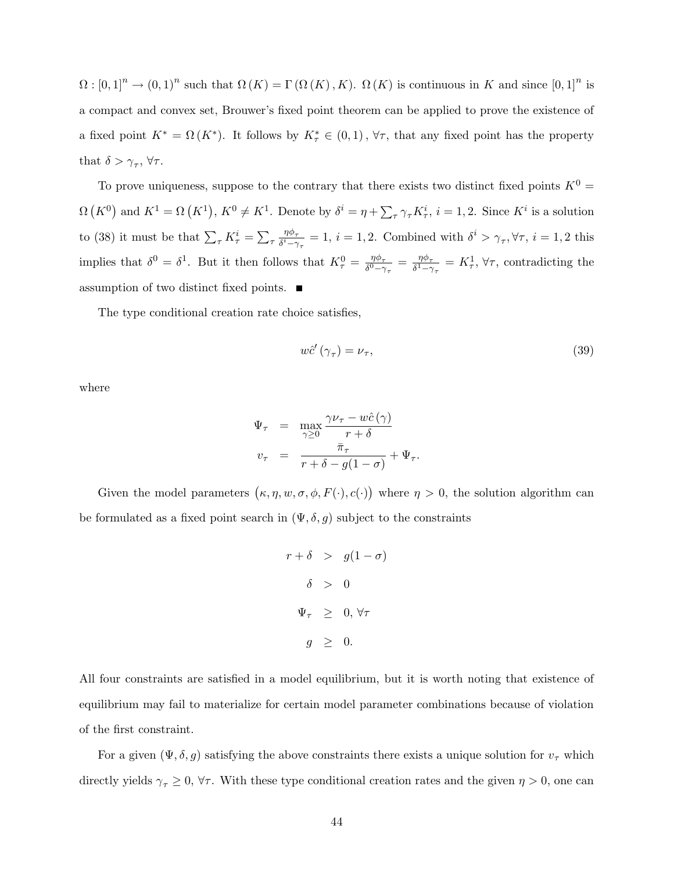$\Omega: [0,1]^n \to (0,1)^n$  such that  $\Omega(K) = \Gamma(\Omega(K), K)$ .  $\Omega(K)$  is continuous in K and since  $[0,1]^n$  is a compact and convex set, Brouwer's fixed point theorem can be applied to prove the existence of a fixed point  $K^* = \Omega(K^*)$ . It follows by  $K^*_{\tau} \in (0,1)$ ,  $\forall \tau$ , that any fixed point has the property that  $\delta > \gamma_{\tau}$ ,  $\forall \tau$ .

To prove uniqueness, suppose to the contrary that there exists two distinct fixed points  $K^0$  =  $\Omega(K^0)$  and  $K^1 = \Omega(K^1)$ ,  $K^0 \neq K^1$ . Denote by  $\delta^i = \eta + \sum_{\tau} \gamma_{\tau} K^i_{\tau}$ ,  $i = 1, 2$ . Since  $K^i$  is a solution to (38) it must be that  $\sum_{\tau} K_{\tau}^{i} = \sum_{\tau} \frac{\eta \phi_{\tau}}{\delta^{i} - \gamma}$  $\frac{\eta \phi_{\tau}}{\delta^i - \gamma_{\tau}} = 1$ ,  $i = 1, 2$ . Combined with  $\delta^i > \gamma_{\tau}, \forall \tau, i = 1, 2$  this implies that  $\delta^0 = \delta^1$ . But it then follows that  $K_\tau^0 = \frac{\eta \phi_\tau}{\delta^0 - \gamma}$  $\frac{\eta\phi_{\tau}}{\delta^0-\gamma_{\tau}}=\frac{\eta\phi_{\tau}}{\delta^1-\gamma}$  $\frac{\eta \phi_{\tau}}{\delta^1 - \gamma_{\tau}} = K_{\tau}^1$ ,  $\forall \tau$ , contradicting the assumption of two distinct fixed points.

The type conditional creation rate choice satisfies,

$$
w\hat{c}'\left(\gamma_{\tau}\right) = \nu_{\tau},\tag{39}
$$

where

$$
\Psi_{\tau} = \max_{\gamma \ge 0} \frac{\gamma \nu_{\tau} - w\hat{c}(\gamma)}{r + \delta}
$$
  

$$
v_{\tau} = \frac{\bar{\pi}_{\tau}}{r + \delta - g(1 - \sigma)} + \Psi_{\tau}.
$$

Given the model parameters  $(\kappa, \eta, w, \sigma, \phi, F(\cdot), c(\cdot))$  where  $\eta > 0$ , the solution algorithm can be formulated as a fixed point search in  $(\Psi, \delta, g)$  subject to the constraints

$$
r + \delta > g(1 - \sigma)
$$
\n
$$
\delta > 0
$$
\n
$$
\Psi_{\tau} \geq 0, \forall \tau
$$
\n
$$
g \geq 0.
$$

All four constraints are satisfied in a model equilibrium, but it is worth noting that existence of equilibrium may fail to materialize for certain model parameter combinations because of violation of the first constraint.

For a given  $(\Psi, \delta, g)$  satisfying the above constraints there exists a unique solution for  $v_{\tau}$  which directly yields  $\gamma_{\tau} \ge 0$ ,  $\forall \tau$ . With these type conditional creation rates and the given  $\eta > 0$ , one can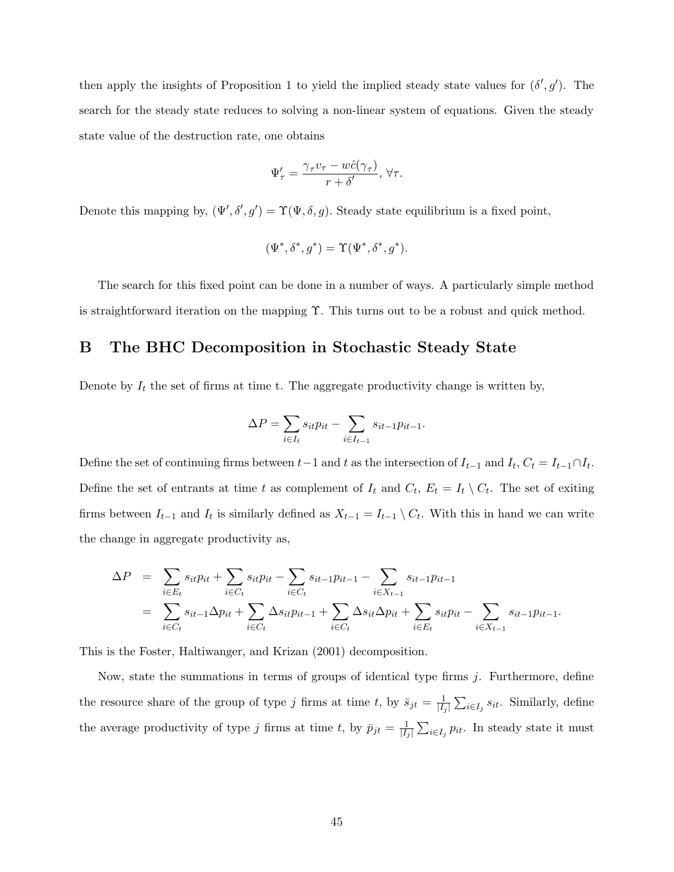then apply the insights of Proposition 1 to yield the implied steady state values for  $(\delta', g')$ . The search for the steady state reduces to solving a non-linear system of equations. Given the steady state value of the destruction rate, one obtains

$$
\Psi_{\tau}' = \frac{\gamma_{\tau}v_{\tau} - w\hat{c}(\gamma_{\tau})}{r + \delta'}, \forall \tau.
$$

Denote this mapping by,  $(\Psi', \delta', g') = \Upsilon(\Psi, \delta, g)$ . Steady state equilibrium is a fixed point,

$$
(\Psi^*,\delta^*,g^*)=\Upsilon(\Psi^*,\delta^*,g^*).
$$

The search for this fixed point can be done in a number of ways. A particularly simple method is straightforward iteration on the mapping  $\Upsilon$ . This turns out to be a robust and quick method.

## B The BHC Decomposition in Stochastic Steady State

Denote by  $I_t$  the set of firms at time t. The aggregate productivity change is written by,

$$
\Delta P = \sum_{i \in I_t} s_{it} p_{it} - \sum_{i \in I_{t-1}} s_{it-1} p_{it-1}.
$$

Define the set of continuing firms between  $t-1$  and  $t$  as the intersection of  $I_{t-1}$  and  $I_t$ ,  $C_t = I_{t-1} \cap I_t$ . Define the set of entrants at time t as complement of  $I_t$  and  $C_t$ ,  $E_t = I_t \setminus C_t$ . The set of exiting firms between  $I_{t-1}$  and  $I_t$  is similarly defined as  $X_{t-1} = I_{t-1} \setminus C_t$ . With this in hand we can write the change in aggregate productivity as,

$$
\Delta P = \sum_{i \in E_t} s_{it} p_{it} + \sum_{i \in C_t} s_{it} p_{it} - \sum_{i \in C_t} s_{it-1} p_{it-1} - \sum_{i \in X_{t-1}} s_{it-1} p_{it-1}
$$
  
= 
$$
\sum_{i \in C_t} s_{it-1} \Delta p_{it} + \sum_{i \in C_t} \Delta s_{it} p_{it-1} + \sum_{i \in C_t} \Delta s_{it} \Delta p_{it} + \sum_{i \in E_t} s_{it} p_{it} - \sum_{i \in X_{t-1}} s_{it-1} p_{it-1}.
$$

This is the Foster, Haltiwanger, and Krizan (2001) decomposition.

Now, state the summations in terms of groups of identical type firms j. Furthermore, define the resource share of the group of type j firms at time t, by  $\bar{s}_{jt} = \frac{1}{|L|}$  $\frac{1}{|I_j|}\sum_{i\in I_j} s_{it}$ . Similarly, define the average productivity of type j firms at time t, by  $\bar{p}_{jt} = \frac{1}{|I_t|}$  $\frac{1}{|I_j|}\sum_{i\in I_j} p_{it}$ . In steady state it must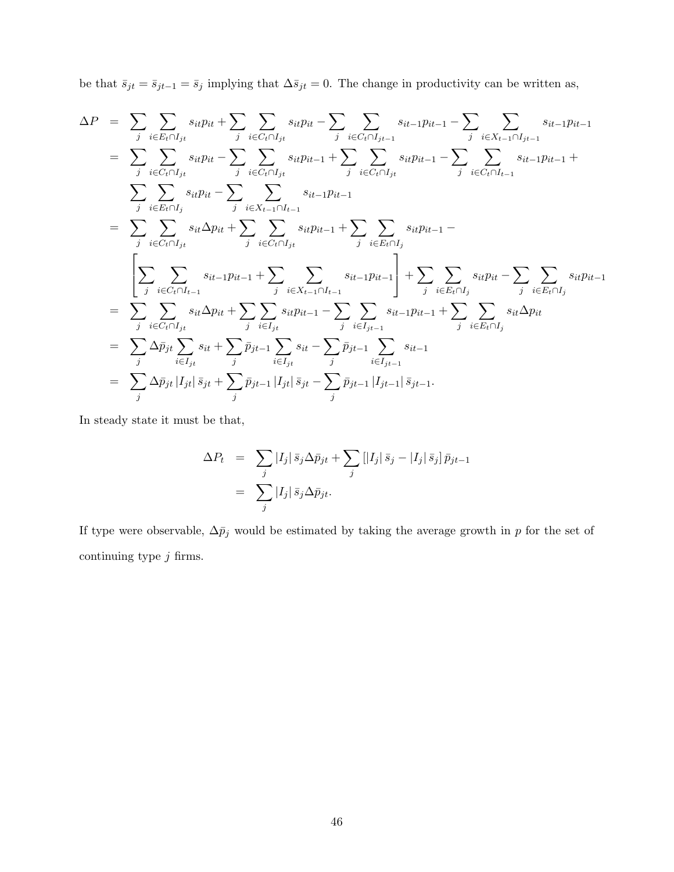be that  $\bar{s}_{jt} = \bar{s}_{jt-1} = \bar{s}_j$  implying that  $\Delta \bar{s}_{jt} = 0$ . The change in productivity can be written as,

$$
\Delta P = \sum_{j} \sum_{i \in E_t \cap I_{jt}} s_{it} p_{it} + \sum_{j} \sum_{i \in C_t \cap I_{jt}} s_{it} p_{it} - \sum_{j} \sum_{i \in C_t \cap I_{jt-1}} s_{it-1} p_{it-1} - \sum_{j} \sum_{i \in X_{t-1} \cap I_{jt-1}} s_{it-1} p_{it-1} \n= \sum_{j} \sum_{i \in C_t \cap I_{jt}} s_{it} p_{it} - \sum_{j} \sum_{i \in C_t \cap I_{jt}} s_{it} p_{it-1} + \sum_{j} \sum_{i \in C_t \cap I_{jt}} s_{it} p_{it-1} - \sum_{j} \sum_{i \in C_t \cap I_{jt}} s_{it-1} p_{it-1} \n= \sum_{j} \sum_{i \in E_t \cap I_{j}} s_{it} p_{it} - \sum_{j} \sum_{i \in X_{t-1} \cap I_{t-1}} s_{it-1} p_{it-1} + \sum_{j} \sum_{i \in E_t \cap I_{jt}} s_{it} p_{it-1} - \sum_{j} \sum_{i \in C_t \cap I_{jt}} s_{it} p_{it-1} + \sum_{j} \sum_{i \in C_t \cap I_{jt}} s_{it} p_{it-1} + \sum_{j} \sum_{i \in E_t \cap I_{jt}} s_{it} p_{it-1} + \sum_{j} \sum_{i \in X_{t-1} \cap I_{t-1}} s_{it-1} p_{it-1} + \sum_{j} \sum_{i \in E_t \cap I_{jt}} s_{it} p_{it-1} - \sum_{j} \sum_{i \in E_t \cap I_{jt}} s_{it} p_{it-1} - \sum_{j} \sum_{i \in I_{jt-1}} s_{it} p_{it-1} - \sum_{j} \sum_{i \in I_{jt-1}} s_{it-1} p_{it-1} + \sum_{j} \sum_{i \in E_t \cap I_{j}} s_{it} \Delta p_{it} \n= \sum_{j} \Delta \bar{p}_{jt} \sum_{i \in I_{jt}} s_{it} + \sum_{j} \bar{p}_{jt-1} \sum_{i \in I_{jt}} s_{it} - \sum_{j} \bar{p}_{jt-1} \sum_{i \in I_{jt-1}} s_{it-1} - \sum_{j} \sum_{i \in E_t \cap I_{j}} s_{it-1} - \sum_{j} \Delta
$$

In steady state it must be that,

$$
\Delta P_t = \sum_j |I_j| \bar{s}_j \Delta \bar{p}_{jt} + \sum_j [|I_j| \bar{s}_j - |I_j| \bar{s}_j] \bar{p}_{jt-1}
$$

$$
= \sum_j |I_j| \bar{s}_j \Delta \bar{p}_{jt}.
$$

If type were observable,  $\Delta \bar{p}_j$  would be estimated by taking the average growth in p for the set of continuing type  $j$  firms.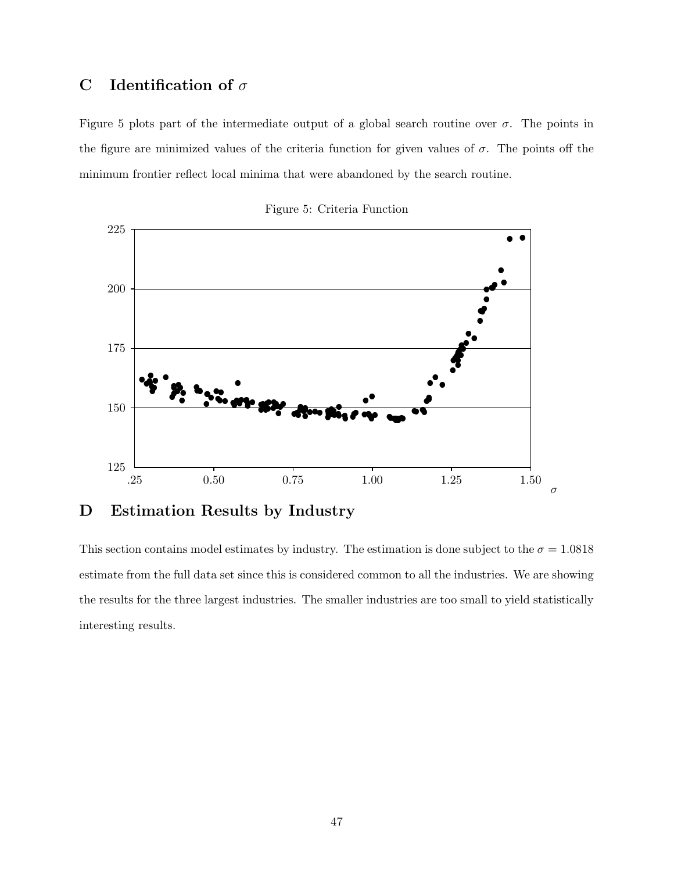# C Identification of  $\sigma$

Figure 5 plots part of the intermediate output of a global search routine over  $\sigma$ . The points in the figure are minimized values of the criteria function for given values of  $\sigma$ . The points off the minimum frontier reflect local minima that were abandoned by the search routine.



Figure 5: Criteria Function

D Estimation Results by Industry

This section contains model estimates by industry. The estimation is done subject to the  $\sigma = 1.0818$ estimate from the full data set since this is considered common to all the industries. We are showing the results for the three largest industries. The smaller industries are too small to yield statistically interesting results.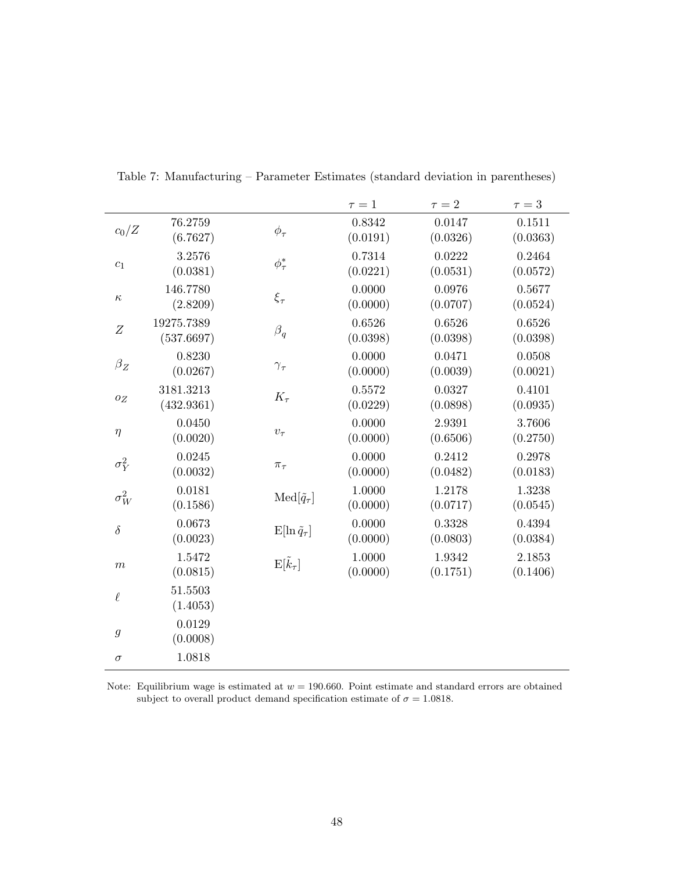|                  |                          |                                | $\tau=1$           | $\tau = 2$         | $\tau=3$           |
|------------------|--------------------------|--------------------------------|--------------------|--------------------|--------------------|
| $c_0/Z$          | 76.2759<br>(6.7627)      | $\phi_\tau$                    | 0.8342<br>(0.0191) | 0.0147<br>(0.0326) | 0.1511<br>(0.0363) |
| $c_1$            | 3.2576<br>(0.0381)       | $\phi^*_\tau$                  | 0.7314<br>(0.0221) | 0.0222<br>(0.0531) | 0.2464<br>(0.0572) |
| $\kappa$         | 146.7780<br>(2.8209)     | $\xi_\tau$                     | 0.0000<br>(0.0000) | 0.0976<br>(0.0707) | 0.5677<br>(0.0524) |
| $\boldsymbol{Z}$ | 19275.7389<br>(537.6697) | $\beta_q$                      | 0.6526<br>(0.0398) | 0.6526<br>(0.0398) | 0.6526<br>(0.0398) |
| $\beta_Z$        | 0.8230<br>(0.0267)       | $\gamma_\tau$                  | 0.0000<br>(0.0000) | 0.0471<br>(0.0039) | 0.0508<br>(0.0021) |
| $o_Z$            | 3181.3213<br>(432.9361)  | $K_{\tau}$                     | 0.5572<br>(0.0229) | 0.0327<br>(0.0898) | 0.4101<br>(0.0935) |
| $\eta$           | 0.0450<br>(0.0020)       | $v_\tau$                       | 0.0000<br>(0.0000) | 2.9391<br>(0.6506) | 3.7606<br>(0.2750) |
| $\sigma_Y^2$     | 0.0245<br>(0.0032)       | $\pi_\tau$                     | 0.0000<br>(0.0000) | 0.2412<br>(0.0482) | 0.2978<br>(0.0183) |
| $\sigma_W^2$     | 0.0181<br>(0.1586)       | $\text{Med}[\tilde{q}_{\tau}]$ | 1.0000<br>(0.0000) | 1.2178<br>(0.0717) | 1.3238<br>(0.0545) |
| $\delta$         | 0.0673<br>(0.0023)       | $E[\ln \tilde{q}_{\tau}]$      | 0.0000<br>(0.0000) | 0.3328<br>(0.0803) | 0.4394<br>(0.0384) |
| $\,m$            | 1.5472<br>(0.0815)       | $\mathbb{E}[\tilde{k}_\tau]$   | 1.0000<br>(0.0000) | 1.9342<br>(0.1751) | 2.1853<br>(0.1406) |
| $\ell$           | 51.5503<br>(1.4053)      |                                |                    |                    |                    |
| $\boldsymbol{g}$ | 0.0129<br>(0.0008)       |                                |                    |                    |                    |
| $\sigma$         | 1.0818                   |                                |                    |                    |                    |

Table 7: Manufacturing – Parameter Estimates (standard deviation in parentheses)

Note: Equilibrium wage is estimated at  $w = 190.660$ . Point estimate and standard errors are obtained subject to overall product demand specification estimate of  $\sigma = 1.0818$ .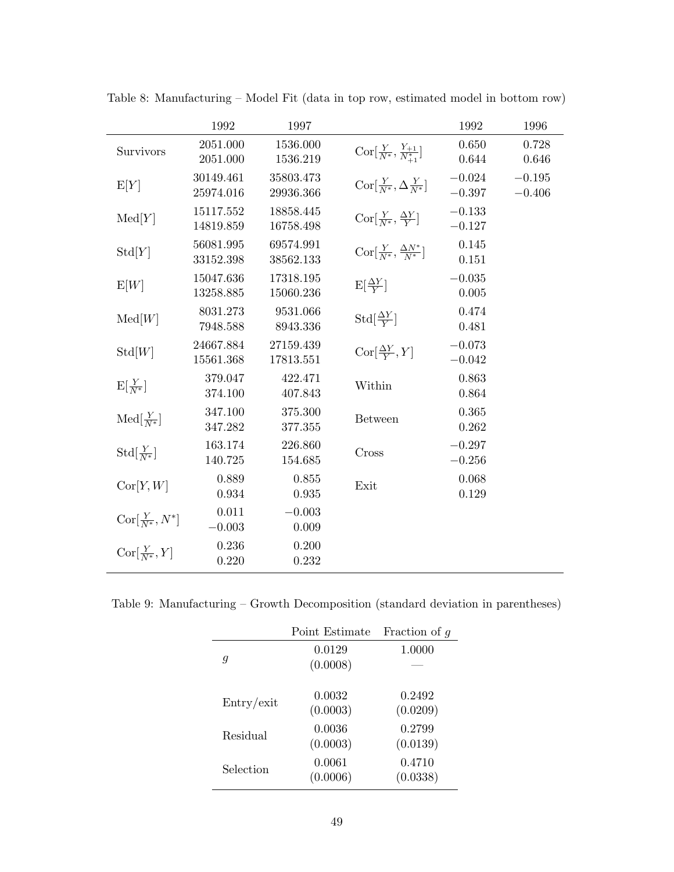|                             | 1992                   | 1997                   |                                               | 1992                 | 1996                 |
|-----------------------------|------------------------|------------------------|-----------------------------------------------|----------------------|----------------------|
| Survivors                   | 2051.000<br>2051.000   | 1536.000<br>1536.219   | $Cor[\frac{Y}{N^*}, \frac{Y_{+1}}{N^*_{+1}}]$ | 0.650<br>0.644       | 0.728<br>0.646       |
| E[Y]                        | 30149.461<br>25974.016 | 35803.473<br>29936.366 | $Cor[\frac{Y}{N^*}, \Delta \frac{Y}{N^*}]$    | $-0.024$<br>$-0.397$ | $-0.195$<br>$-0.406$ |
| Med[Y]                      | 15117.552<br>14819.859 | 18858.445<br>16758.498 | $Cor[\frac{Y}{N^*}, \frac{\Delta Y}{Y}]$      | $-0.133$<br>$-0.127$ |                      |
| Std[Y]                      | 56081.995<br>33152.398 | 69574.991<br>38562.133 | $Cor[\frac{Y}{N^*}, \frac{\Delta N^*}{N^*}]$  | 0.145<br>0.151       |                      |
| E[W]                        | 15047.636<br>13258.885 | 17318.195<br>15060.236 | $E[\frac{\Delta Y}{Y}]$                       | $-0.035$<br>0.005    |                      |
| Med[W]                      | 8031.273<br>7948.588   | 9531.066<br>8943.336   | $\text{Std}[\frac{\Delta Y}{Y}]$              | 0.474<br>0.481       |                      |
| $\mathrm{Std}[W]$           | 24667.884<br>15561.368 | 27159.439<br>17813.551 | $Cor[\frac{\Delta Y}{V}, Y]$                  | $-0.073$<br>$-0.042$ |                      |
| $E[\frac{Y}{N^*}]$          | 379.047<br>374.100     | 422.471<br>407.843     | Within                                        | 0.863<br>0.864       |                      |
| $\text{Med}[\frac{Y}{N^*}]$ | 347.100<br>347.282     | 375.300<br>377.355     | <b>Between</b>                                | 0.365<br>0.262       |                      |
| $\text{Std}[\frac{Y}{N^*}]$ | 163.174<br>140.725     | 226.860<br>154.685     | Cross                                         | $-0.297$<br>$-0.256$ |                      |
| Cor[Y, W]                   | 0.889<br>0.934         | 0.855<br>0.935         | Exit                                          | 0.068<br>0.129       |                      |
| $Cor[\frac{Y}{N^*}, N^*]$   | 0.011<br>$-0.003$      | $-0.003$<br>0.009      |                                               |                      |                      |
| $Cor[\frac{Y}{N^*}, Y]$     | 0.236<br>0.220         | 0.200<br>0.232         |                                               |                      |                      |

Table 8: Manufacturing – Model Fit (data in top row, estimated model in bottom row)

Table 9: Manufacturing – Growth Decomposition (standard deviation in parentheses)

|                  | Point Estimate | Fraction of $q$ |
|------------------|----------------|-----------------|
| g                | 0.0129         | 1.0000          |
|                  | (0.0008)       |                 |
|                  | 0.0032         | 0.2492          |
| $\rm Entry/exit$ | (0.0003)       | (0.0209)        |
| Residual         | 0.0036         | 0.2799          |
|                  | (0.0003)       | (0.0139)        |
| Selection        | 0.0061         | 0.4710          |
|                  | (0.0006)       | (0.0338)        |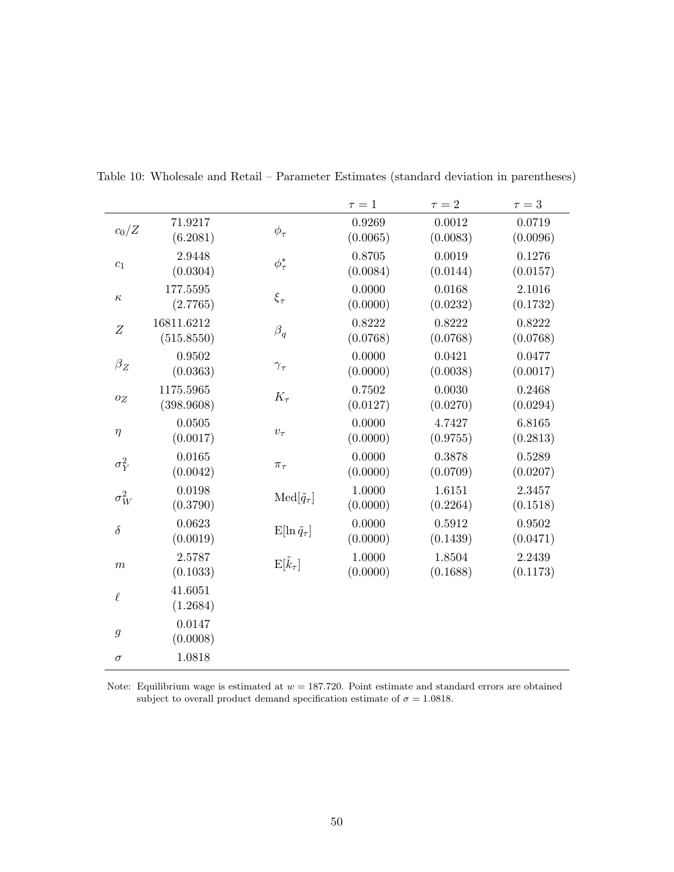|                  |                          |                              | $\tau = 1$         | $\tau = 2$         | $\tau = 3$         |
|------------------|--------------------------|------------------------------|--------------------|--------------------|--------------------|
| $c_0/Z$          | 71.9217<br>(6.2081)      | $\phi_\tau$                  | 0.9269<br>(0.0065) | 0.0012<br>(0.0083) | 0.0719<br>(0.0096) |
| $c_1$            | 2.9448<br>(0.0304)       | $\phi^*_\tau$                | 0.8705<br>(0.0084) | 0.0019<br>(0.0144) | 0.1276<br>(0.0157) |
| $\kappa$         | 177.5595<br>(2.7765)     | $\xi_{\tau}$                 | 0.0000<br>(0.0000) | 0.0168<br>(0.0232) | 2.1016<br>(0.1732) |
| $\boldsymbol{Z}$ | 16811.6212<br>(515.8550) | $\beta_q$                    | 0.8222<br>(0.0768) | 0.8222<br>(0.0768) | 0.8222<br>(0.0768) |
| $\beta_Z$        | 0.9502<br>(0.0363)       | $\gamma_\tau$                | 0.0000<br>(0.0000) | 0.0421<br>(0.0038) | 0.0477<br>(0.0017) |
| $o_Z$            | 1175.5965<br>(398.9608)  | $K_{\tau}$                   | 0.7502<br>(0.0127) | 0.0030<br>(0.0270) | 0.2468<br>(0.0294) |
| $\eta$           | 0.0505<br>(0.0017)       | $v_\tau$                     | 0.0000<br>(0.0000) | 4.7427<br>(0.9755) | 6.8165<br>(0.2813) |
| $\sigma_Y^2$     | 0.0165<br>(0.0042)       | $\pi_\tau$                   | 0.0000<br>(0.0000) | 0.3878<br>(0.0709) | 0.5289<br>(0.0207) |
| $\sigma_W^2$     | 0.0198<br>(0.3790)       | $\text{Med}[\tilde{q}_\tau]$ | 1.0000<br>(0.0000) | 1.6151<br>(0.2264) | 2.3457<br>(0.1518) |
| $\delta$         | 0.0623<br>(0.0019)       | $E[\ln \tilde{q}_{\tau}]$    | 0.0000<br>(0.0000) | 0.5912<br>(0.1439) | 0.9502<br>(0.0471) |
| $\boldsymbol{m}$ | 2.5787<br>(0.1033)       | $E[\tilde{k}_{\tau}]$        | 1.0000<br>(0.0000) | 1.8504<br>(0.1688) | 2.2439<br>(0.1173) |
| $\ell$           | 41.6051<br>(1.2684)      |                              |                    |                    |                    |
| $\boldsymbol{g}$ | 0.0147<br>(0.0008)       |                              |                    |                    |                    |
| $\sigma$         | 1.0818                   |                              |                    |                    |                    |

Table 10: Wholesale and Retail – Parameter Estimates (standard deviation in parentheses)

Note: Equilibrium wage is estimated at  $w = 187.720$ . Point estimate and standard errors are obtained subject to overall product demand specification estimate of  $\sigma = 1.0818$ .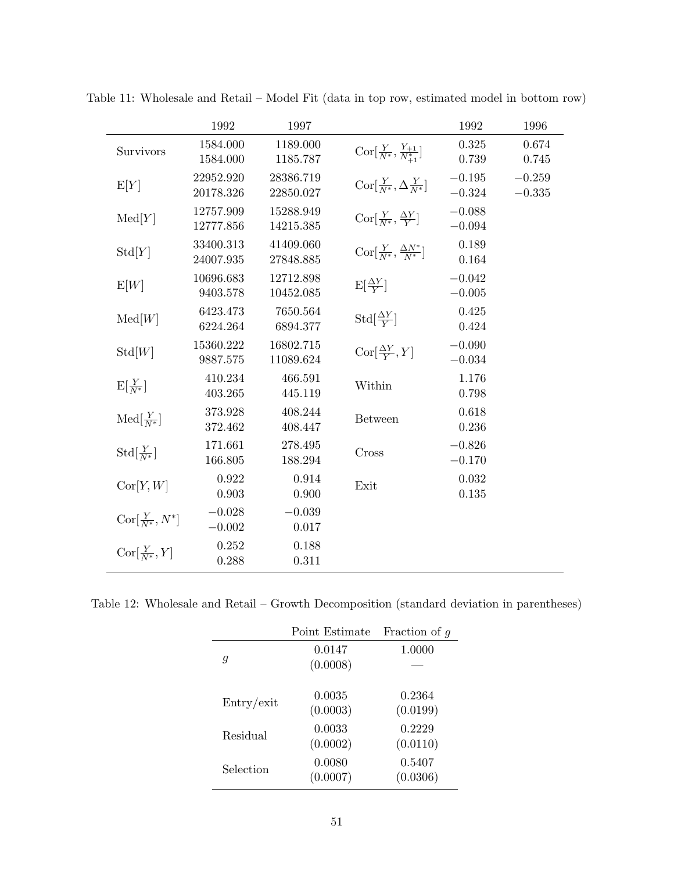|                             | 1992                   | 1997                   |                                               | 1992                 | 1996                 |
|-----------------------------|------------------------|------------------------|-----------------------------------------------|----------------------|----------------------|
| Survivors                   | 1584.000<br>1584.000   | 1189.000<br>1185.787   | $Cor[\frac{Y}{N^*}, \frac{Y_{+1}}{N^*_{+1}}]$ | 0.325<br>0.739       | 0.674<br>0.745       |
| E[Y]                        | 22952.920<br>20178.326 | 28386.719<br>22850.027 | $Cor[\frac{Y}{N^*}, \Delta \frac{Y}{N^*}]$    | $-0.195$<br>$-0.324$ | $-0.259$<br>$-0.335$ |
| Med[Y]                      | 12757.909<br>12777.856 | 15288.949<br>14215.385 | $Cor[\frac{Y}{N^*}, \frac{\Delta Y}{Y}]$      | $-0.088$<br>$-0.094$ |                      |
| Std[Y]                      | 33400.313<br>24007.935 | 41409.060<br>27848.885 | $Cor[\frac{Y}{N^*}, \frac{\Delta N^*}{N^*}]$  | 0.189<br>0.164       |                      |
| E[W]                        | 10696.683<br>9403.578  | 12712.898<br>10452.085 | $E[\frac{\Delta Y}{Y}]$                       | $-0.042$<br>$-0.005$ |                      |
| Med[W]                      | 6423.473<br>6224.264   | 7650.564<br>6894.377   | $\text{Std}[\frac{\Delta Y}{Y}]$              | 0.425<br>0.424       |                      |
| $\mathrm{Std}[W]$           | 15360.222<br>9887.575  | 16802.715<br>11089.624 | $Cor[\frac{\Delta Y}{Y}, Y]$                  | $-0.090$<br>$-0.034$ |                      |
| $E[\frac{Y}{N^*}]$          | 410.234<br>403.265     | 466.591<br>445.119     | Within                                        | 1.176<br>0.798       |                      |
| $\text{Med}[\frac{Y}{N^*}]$ | 373.928<br>372.462     | 408.244<br>408.447     | <b>Between</b>                                | 0.618<br>0.236       |                      |
| $\text{Std}[\frac{Y}{N^*}]$ | 171.661<br>166.805     | 278.495<br>188.294     | Cross                                         | $-0.826$<br>$-0.170$ |                      |
| Cor[Y, W]                   | 0.922<br>0.903         | 0.914<br>0.900         | Exit                                          | 0.032<br>0.135       |                      |
| $Cor[\frac{Y}{N^*}, N^*]$   | $-0.028$<br>$-0.002$   | $-0.039$<br>0.017      |                                               |                      |                      |
| $Cor[\frac{Y}{N^*}, Y]$     | 0.252<br>0.288         | 0.188<br>0.311         |                                               |                      |                      |

Table 11: Wholesale and Retail – Model Fit (data in top row, estimated model in bottom row)

Table 12: Wholesale and Retail – Growth Decomposition (standard deviation in parentheses)

|            | Point Estimate | Fraction of $q$ |
|------------|----------------|-----------------|
| g          | 0.0147         | 1.0000          |
|            | (0.0008)       |                 |
|            | 0.0035         | 0.2364          |
| Entry/exit | (0.0003)       | (0.0199)        |
| Residual   | 0.0033         | 0.2229          |
|            | (0.0002)       | (0.0110)        |
| Selection  | 0.0080         | 0.5407          |
|            | (0.0007)       | (0.0306)        |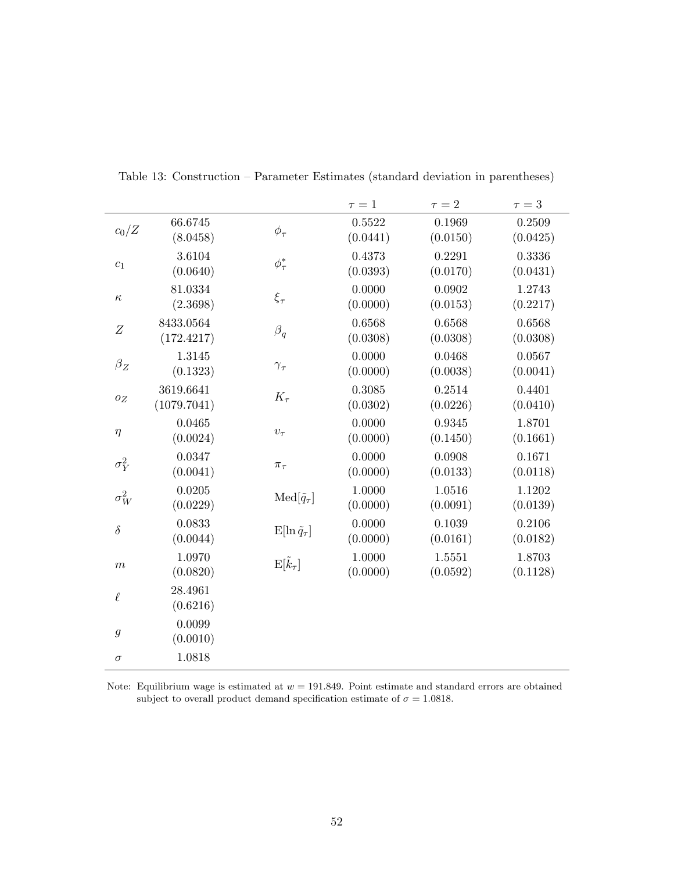|                  |                          |                              | $\tau=1$           | $\tau=2$           | $\tau=3$           |
|------------------|--------------------------|------------------------------|--------------------|--------------------|--------------------|
| $c_0/Z$          | 66.6745<br>(8.0458)      | $\phi_\tau$                  | 0.5522<br>(0.0441) | 0.1969<br>(0.0150) | 0.2509<br>(0.0425) |
| $c_1$            | 3.6104<br>(0.0640)       | $\phi^*_\tau$                | 0.4373<br>(0.0393) | 0.2291<br>(0.0170) | 0.3336<br>(0.0431) |
| $\kappa$         | 81.0334<br>(2.3698)      | $\xi_\tau$                   | 0.0000<br>(0.0000) | 0.0902<br>(0.0153) | 1.2743<br>(0.2217) |
| $\boldsymbol{Z}$ | 8433.0564<br>(172.4217)  | $\beta_q$                    | 0.6568<br>(0.0308) | 0.6568<br>(0.0308) | 0.6568<br>(0.0308) |
| $\beta_Z$        | 1.3145<br>(0.1323)       | $\gamma_\tau$                | 0.0000<br>(0.0000) | 0.0468<br>(0.0038) | 0.0567<br>(0.0041) |
| $o_Z$            | 3619.6641<br>(1079.7041) | $K_{\tau}$                   | 0.3085<br>(0.0302) | 0.2514<br>(0.0226) | 0.4401<br>(0.0410) |
| $\eta$           | 0.0465<br>(0.0024)       | $v_\tau$                     | 0.0000<br>(0.0000) | 0.9345<br>(0.1450) | 1.8701<br>(0.1661) |
| $\sigma_Y^2$     | 0.0347<br>(0.0041)       | $\pi_\tau$                   | 0.0000<br>(0.0000) | 0.0908<br>(0.0133) | 0.1671<br>(0.0118) |
| $\sigma_W^2$     | 0.0205<br>(0.0229)       | $\text{Med}[\tilde{q}_\tau]$ | 1.0000<br>(0.0000) | 1.0516<br>(0.0091) | 1.1202<br>(0.0139) |
| $\delta$         | 0.0833<br>(0.0044)       | $E[\ln \tilde{q}_{\tau}]$    | 0.0000<br>(0.0000) | 0.1039<br>(0.0161) | 0.2106<br>(0.0182) |
| $\,m$            | 1.0970<br>(0.0820)       | $E[\tilde{k}_{\tau}]$        | 1.0000<br>(0.0000) | 1.5551<br>(0.0592) | 1.8703<br>(0.1128) |
| $\ell$           | 28.4961<br>(0.6216)      |                              |                    |                    |                    |
| $\boldsymbol{g}$ | 0.0099<br>(0.0010)       |                              |                    |                    |                    |
| $\sigma$         | 1.0818                   |                              |                    |                    |                    |

Table 13: Construction – Parameter Estimates (standard deviation in parentheses)

Note: Equilibrium wage is estimated at  $w = 191.849$ . Point estimate and standard errors are obtained subject to overall product demand specification estimate of  $\sigma = 1.0818$ .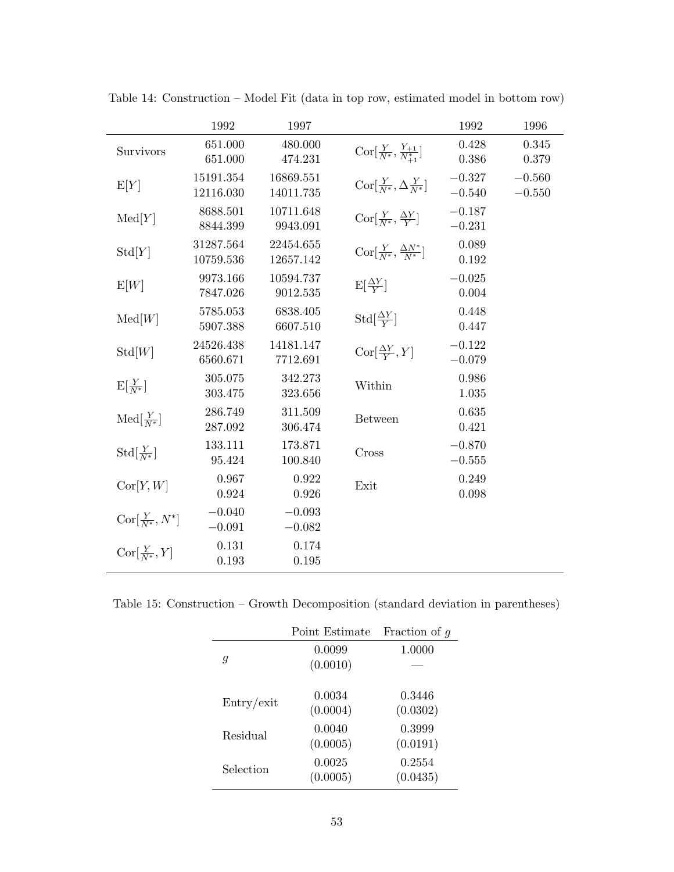|                             | 1992                   | 1997                   |                                               | 1992                 | 1996                 |
|-----------------------------|------------------------|------------------------|-----------------------------------------------|----------------------|----------------------|
| Survivors                   | 651.000<br>651.000     | 480.000<br>474.231     | $Cor[\frac{Y}{N^*}, \frac{Y_{+1}}{N^*_{+1}}]$ | 0.428<br>0.386       | 0.345<br>0.379       |
| E[Y]                        | 15191.354<br>12116.030 | 16869.551<br>14011.735 | $Cor[\frac{Y}{N^*}, \Delta \frac{Y}{N^*}]$    | $-0.327$<br>$-0.540$ | $-0.560$<br>$-0.550$ |
| Med[Y]                      | 8688.501<br>8844.399   | 10711.648<br>9943.091  | $Cor[\frac{Y}{N^*}, \frac{\Delta Y}{Y}]$      | $-0.187$<br>$-0.231$ |                      |
| $\mathrm{Std}[Y]$           | 31287.564<br>10759.536 | 22454.655<br>12657.142 | $Cor[\frac{Y}{N^*}, \frac{\Delta N^*}{N^*}]$  | 0.089<br>0.192       |                      |
| E[W]                        | 9973.166<br>7847.026   | 10594.737<br>9012.535  | $E[\frac{\Delta Y}{Y}]$                       | $-0.025$<br>0.004    |                      |
| Med[W]                      | 5785.053<br>5907.388   | 6838.405<br>6607.510   | $\operatorname{Std}[\frac{\Delta Y}{Y}]$      | 0.448<br>0.447       |                      |
| $\mathrm{Std}[W]$           | 24526.438<br>6560.671  | 14181.147<br>7712.691  | $Cor[\frac{\Delta Y}{V}, Y]$                  | $-0.122$<br>$-0.079$ |                      |
| $E[\frac{Y}{N^*}]$          | 305.075<br>303.475     | 342.273<br>323.656     | Within                                        | 0.986<br>1.035       |                      |
| $\text{Med}[\frac{Y}{N^*}]$ | 286.749<br>287.092     | 311.509<br>306.474     | <b>Between</b>                                | 0.635<br>0.421       |                      |
| $\text{Std}[\frac{Y}{N^*}]$ | 133.111<br>95.424      | 173.871<br>100.840     | Cross                                         | $-0.870$<br>$-0.555$ |                      |
| Cor[Y, W]                   | 0.967<br>0.924         | 0.922<br>0.926         | Exit                                          | 0.249<br>0.098       |                      |
| $Cor[\frac{Y}{N^*}, N^*]$   | $-0.040$<br>$-0.091$   | $-0.093$<br>$-0.082$   |                                               |                      |                      |
| $Cor[\frac{Y}{N^*}, Y]$     | 0.131<br>0.193         | 0.174<br>0.195         |                                               |                      |                      |

Table 14: Construction – Model Fit (data in top row, estimated model in bottom row)

Table 15: Construction – Growth Decomposition (standard deviation in parentheses)

|            | Point Estimate | Fraction of $q$ |  |  |
|------------|----------------|-----------------|--|--|
|            | 0.0099         | 1.0000          |  |  |
| g          | (0.0010)       |                 |  |  |
|            |                |                 |  |  |
| Entry/exit | 0.0034         | 0.3446          |  |  |
|            | (0.0004)       | (0.0302)        |  |  |
| Residual   | 0.0040         | 0.3999          |  |  |
|            | (0.0005)       | (0.0191)        |  |  |
|            | 0.0025         | 0.2554          |  |  |
| Selection  | (0.0005)       | (0.0435)        |  |  |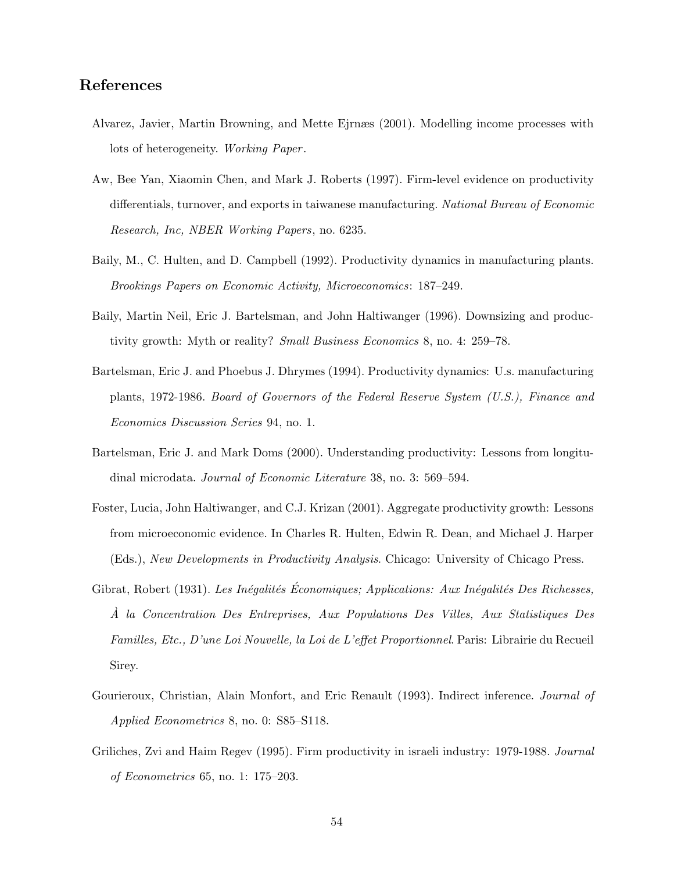# References

- Alvarez, Javier, Martin Browning, and Mette Ejrnæs (2001). Modelling income processes with lots of heterogeneity. Working Paper .
- Aw, Bee Yan, Xiaomin Chen, and Mark J. Roberts (1997). Firm-level evidence on productivity differentials, turnover, and exports in taiwanese manufacturing. National Bureau of Economic Research, Inc, NBER Working Papers, no. 6235.
- Baily, M., C. Hulten, and D. Campbell (1992). Productivity dynamics in manufacturing plants. Brookings Papers on Economic Activity, Microeconomics: 187–249.
- Baily, Martin Neil, Eric J. Bartelsman, and John Haltiwanger (1996). Downsizing and productivity growth: Myth or reality? Small Business Economics 8, no. 4: 259–78.
- Bartelsman, Eric J. and Phoebus J. Dhrymes (1994). Productivity dynamics: U.s. manufacturing plants, 1972-1986. Board of Governors of the Federal Reserve System (U.S.), Finance and Economics Discussion Series 94, no. 1.
- Bartelsman, Eric J. and Mark Doms (2000). Understanding productivity: Lessons from longitudinal microdata. Journal of Economic Literature 38, no. 3: 569–594.
- Foster, Lucia, John Haltiwanger, and C.J. Krizan (2001). Aggregate productivity growth: Lessons from microeconomic evidence. In Charles R. Hulten, Edwin R. Dean, and Michael J. Harper (Eds.), New Developments in Productivity Analysis. Chicago: University of Chicago Press.
- Gibrat, Robert (1931). Les Inégalités Économiques; Applications: Aux Inégalités Des Richesses, A` la Concentration Des Entreprises, Aux Populations Des Villes, Aux Statistiques Des Familles, Etc., D'une Loi Nouvelle, la Loi de L'effet Proportionnel. Paris: Librairie du Recueil Sirey.
- Gourieroux, Christian, Alain Monfort, and Eric Renault (1993). Indirect inference. *Journal of* Applied Econometrics 8, no. 0: S85–S118.
- Griliches, Zvi and Haim Regev (1995). Firm productivity in israeli industry: 1979-1988. Journal of Econometrics 65, no. 1: 175–203.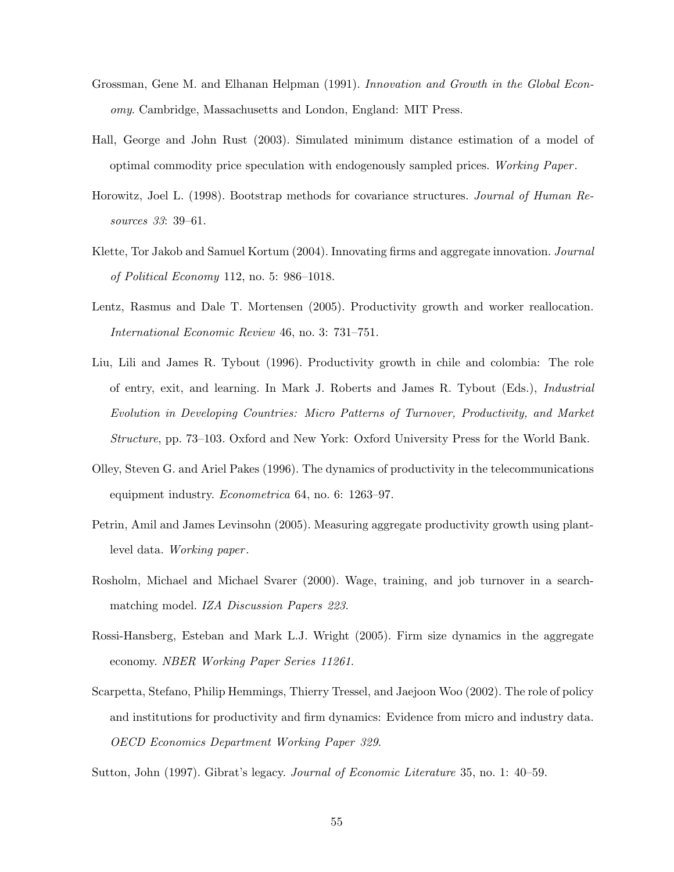- Grossman, Gene M. and Elhanan Helpman (1991). Innovation and Growth in the Global Economy. Cambridge, Massachusetts and London, England: MIT Press.
- Hall, George and John Rust (2003). Simulated minimum distance estimation of a model of optimal commodity price speculation with endogenously sampled prices. Working Paper .
- Horowitz, Joel L. (1998). Bootstrap methods for covariance structures. Journal of Human Resources 33: 39–61.
- Klette, Tor Jakob and Samuel Kortum (2004). Innovating firms and aggregate innovation. Journal of Political Economy 112, no. 5: 986–1018.
- Lentz, Rasmus and Dale T. Mortensen (2005). Productivity growth and worker reallocation. International Economic Review 46, no. 3: 731–751.
- Liu, Lili and James R. Tybout (1996). Productivity growth in chile and colombia: The role of entry, exit, and learning. In Mark J. Roberts and James R. Tybout (Eds.), Industrial Evolution in Developing Countries: Micro Patterns of Turnover, Productivity, and Market Structure, pp. 73–103. Oxford and New York: Oxford University Press for the World Bank.
- Olley, Steven G. and Ariel Pakes (1996). The dynamics of productivity in the telecommunications equipment industry. Econometrica 64, no. 6: 1263–97.
- Petrin, Amil and James Levinsohn (2005). Measuring aggregate productivity growth using plantlevel data. Working paper .
- Rosholm, Michael and Michael Svarer (2000). Wage, training, and job turnover in a searchmatching model. IZA Discussion Papers 223.
- Rossi-Hansberg, Esteban and Mark L.J. Wright (2005). Firm size dynamics in the aggregate economy. NBER Working Paper Series 11261.
- Scarpetta, Stefano, Philip Hemmings, Thierry Tressel, and Jaejoon Woo (2002). The role of policy and institutions for productivity and firm dynamics: Evidence from micro and industry data. OECD Economics Department Working Paper 329.

Sutton, John (1997). Gibrat's legacy. Journal of Economic Literature 35, no. 1: 40–59.